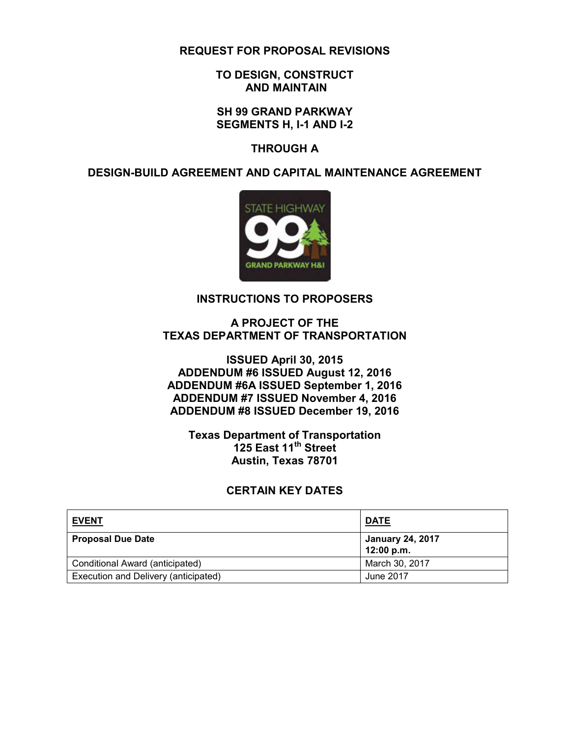#### **REQUEST FOR PROPOSAL REVISIONS**

#### **TO DESIGN, CONSTRUCT AND MAINTAIN**

#### **SH 99 GRAND PARKWAY SEGMENTS H, I-1 AND I-2**

#### **THROUGH A**

#### **DESIGN-BUILD AGREEMENT AND CAPITAL MAINTENANCE AGREEMENT**



#### **INSTRUCTIONS TO PROPOSERS**

#### **A PROJECT OF THE TEXAS DEPARTMENT OF TRANSPORTATION**

#### **ISSUED April 30, 2015 ADDENDUM #6 ISSUED August 12, 2016 ADDENDUM #6A ISSUED September 1, 2016 ADDENDUM #7 ISSUED November 4, 2016 ADDENDUM #8 ISSUED December 19, 2016**

#### **Texas Department of Transportation 125 East 11th Street Austin, Texas 78701**

#### **CERTAIN KEY DATES**

| <b>EVENT</b>                         | <b>DATE</b>                           |
|--------------------------------------|---------------------------------------|
| <b>Proposal Due Date</b>             | <b>January 24, 2017</b><br>12:00 p.m. |
| Conditional Award (anticipated)      | March 30, 2017                        |
| Execution and Delivery (anticipated) | June 2017                             |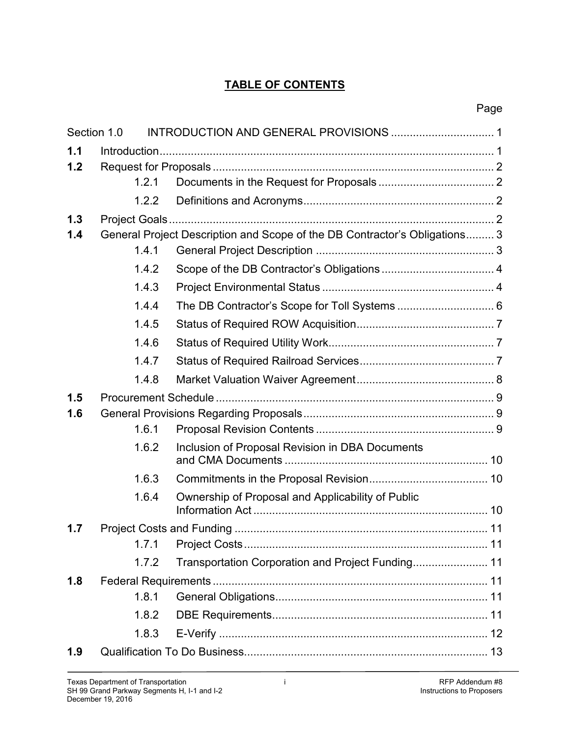## **TABLE OF CONTENTS**

|     | Section 1.0 |                                                                            |  |  |  |
|-----|-------------|----------------------------------------------------------------------------|--|--|--|
| 1.1 |             |                                                                            |  |  |  |
| 1.2 |             |                                                                            |  |  |  |
|     | 1.2.1       |                                                                            |  |  |  |
|     | 1.2.2       |                                                                            |  |  |  |
| 1.3 |             |                                                                            |  |  |  |
| 1.4 |             | General Project Description and Scope of the DB Contractor's Obligations 3 |  |  |  |
|     | 1.4.1       |                                                                            |  |  |  |
|     | 1.4.2       |                                                                            |  |  |  |
|     | 1.4.3       |                                                                            |  |  |  |
|     | 1.4.4       |                                                                            |  |  |  |
|     | 1.4.5       |                                                                            |  |  |  |
|     | 1.4.6       |                                                                            |  |  |  |
|     | 1.4.7       |                                                                            |  |  |  |
|     | 1.4.8       |                                                                            |  |  |  |
| 1.5 |             |                                                                            |  |  |  |
| 1.6 |             |                                                                            |  |  |  |
|     | 1.6.1       |                                                                            |  |  |  |
|     | 1.6.2       | Inclusion of Proposal Revision in DBA Documents                            |  |  |  |
|     | 1.6.3       |                                                                            |  |  |  |
|     | 1.6.4       | Ownership of Proposal and Applicability of Public                          |  |  |  |
| 1.7 |             |                                                                            |  |  |  |
|     |             |                                                                            |  |  |  |
|     | 1.7.2       | Transportation Corporation and Project Funding 11                          |  |  |  |
| 1.8 |             |                                                                            |  |  |  |
|     | 1.8.1       |                                                                            |  |  |  |
|     | 1.8.2       |                                                                            |  |  |  |
|     | 1.8.3       |                                                                            |  |  |  |
| 1.9 |             |                                                                            |  |  |  |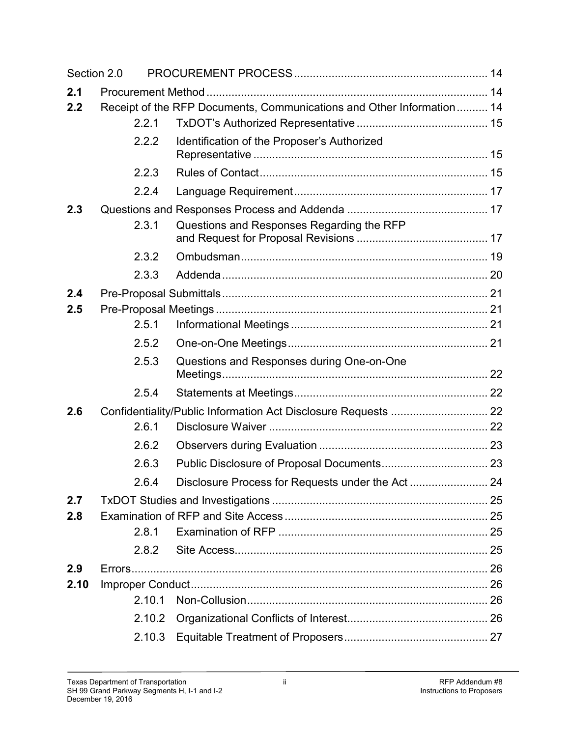| Section 2.0 |                                                                       |                                                                |  |  |  |
|-------------|-----------------------------------------------------------------------|----------------------------------------------------------------|--|--|--|
| 2.1         |                                                                       |                                                                |  |  |  |
| 2.2         | Receipt of the RFP Documents, Communications and Other Information 14 |                                                                |  |  |  |
|             | 2.2.1                                                                 |                                                                |  |  |  |
|             | 2.2.2                                                                 | Identification of the Proposer's Authorized                    |  |  |  |
|             | 2.2.3                                                                 |                                                                |  |  |  |
|             | 2.2.4                                                                 |                                                                |  |  |  |
| 2.3         |                                                                       |                                                                |  |  |  |
|             | 2.3.1                                                                 | Questions and Responses Regarding the RFP                      |  |  |  |
|             | 2.3.2                                                                 |                                                                |  |  |  |
|             | 2.3.3                                                                 |                                                                |  |  |  |
| 2.4         |                                                                       |                                                                |  |  |  |
| 2.5         |                                                                       |                                                                |  |  |  |
|             | 2.5.1                                                                 |                                                                |  |  |  |
|             | 2.5.2                                                                 |                                                                |  |  |  |
|             | 2.5.3                                                                 | Questions and Responses during One-on-One                      |  |  |  |
|             | 2.5.4                                                                 |                                                                |  |  |  |
| 2.6         |                                                                       | Confidentiality/Public Information Act Disclosure Requests  22 |  |  |  |
|             | 2.6.1                                                                 |                                                                |  |  |  |
|             | 2.6.2                                                                 |                                                                |  |  |  |
|             | 2.6.3                                                                 |                                                                |  |  |  |
|             | 2.6.4                                                                 |                                                                |  |  |  |
| 2.7         |                                                                       |                                                                |  |  |  |
| 2.8         |                                                                       |                                                                |  |  |  |
|             | 2.8.1                                                                 |                                                                |  |  |  |
|             | 2.8.2                                                                 |                                                                |  |  |  |
| 2.9         |                                                                       |                                                                |  |  |  |
| 2.10        |                                                                       |                                                                |  |  |  |
|             | 2.10.1                                                                |                                                                |  |  |  |
|             | 2.10.2                                                                |                                                                |  |  |  |
|             | 2.10.3                                                                |                                                                |  |  |  |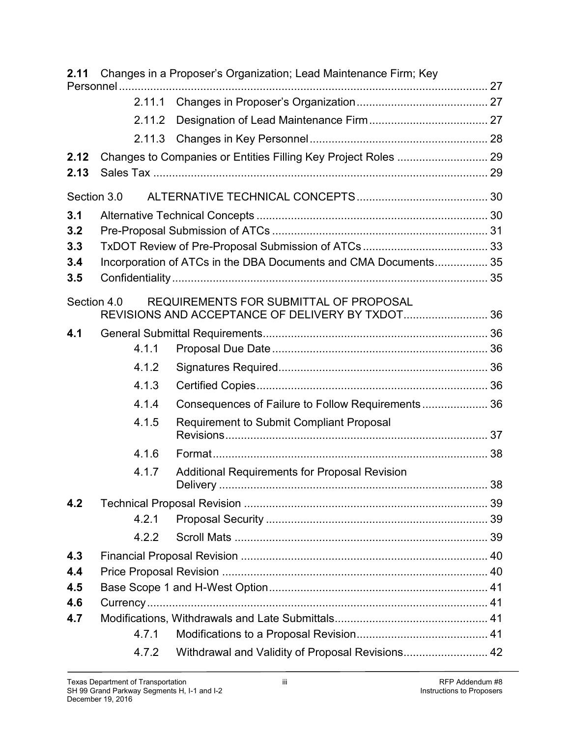| 2.11        |        | Changes in a Proposer's Organization; Lead Maintenance Firm; Key |  |
|-------------|--------|------------------------------------------------------------------|--|
|             |        |                                                                  |  |
|             | 2.11.1 |                                                                  |  |
|             | 2.11.2 |                                                                  |  |
|             | 2.11.3 |                                                                  |  |
| 2.12        |        | Changes to Companies or Entities Filling Key Project Roles  29   |  |
| 2.13        |        |                                                                  |  |
| Section 3.0 |        |                                                                  |  |
| 3.1         |        |                                                                  |  |
| 3.2         |        |                                                                  |  |
| 3.3         |        |                                                                  |  |
| 3.4         |        | Incorporation of ATCs in the DBA Documents and CMA Documents 35  |  |
| 3.5         |        |                                                                  |  |
| Section 4.0 |        | REQUIREMENTS FOR SUBMITTAL OF PROPOSAL                           |  |
|             |        | REVISIONS AND ACCEPTANCE OF DELIVERY BY TXDOT36                  |  |
| 4.1         |        |                                                                  |  |
|             | 4.1.1  |                                                                  |  |
|             | 4.1.2  |                                                                  |  |
|             | 4.1.3  |                                                                  |  |
|             | 4.1.4  | Consequences of Failure to Follow Requirements 36                |  |
|             | 4.1.5  | <b>Requirement to Submit Compliant Proposal</b>                  |  |
|             | 4.1.6  |                                                                  |  |
|             | 4.1.7  | <b>Additional Requirements for Proposal Revision</b>             |  |
| 4.2         |        |                                                                  |  |
|             | 4.2.1  |                                                                  |  |
|             | 4.2.2  |                                                                  |  |
| 4.3         |        |                                                                  |  |
| 4.4         |        |                                                                  |  |
| 4.5         |        |                                                                  |  |
| 4.6         |        |                                                                  |  |
| 4.7         |        |                                                                  |  |
|             | 4.7.1  |                                                                  |  |
|             | 4.7.2  | Withdrawal and Validity of Proposal Revisions 42                 |  |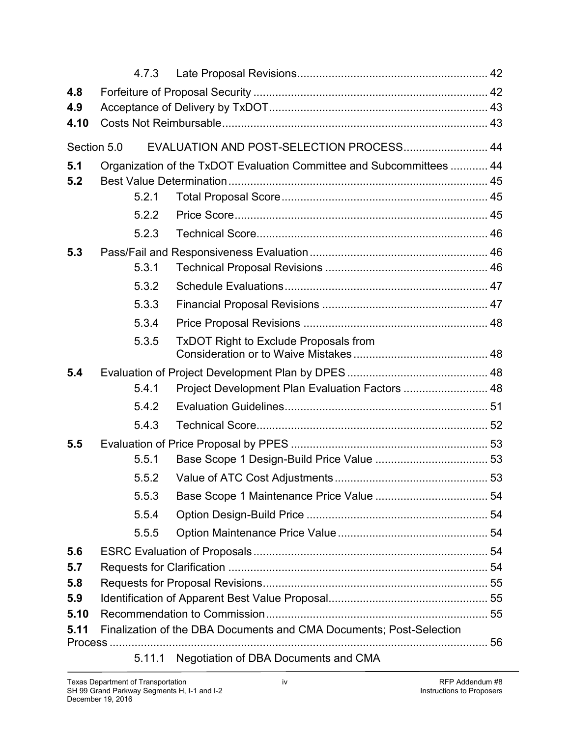|      | 4.7.3                                                                |                                                 |  |  |  |  |
|------|----------------------------------------------------------------------|-------------------------------------------------|--|--|--|--|
| 4.8  |                                                                      |                                                 |  |  |  |  |
| 4.9  |                                                                      |                                                 |  |  |  |  |
| 4.10 |                                                                      |                                                 |  |  |  |  |
|      | EVALUATION AND POST-SELECTION PROCESS 44<br>Section 5.0              |                                                 |  |  |  |  |
| 5.1  | Organization of the TxDOT Evaluation Committee and Subcommittees  44 |                                                 |  |  |  |  |
| 5.2  |                                                                      |                                                 |  |  |  |  |
|      | 5.2.1                                                                |                                                 |  |  |  |  |
|      | 5.2.2                                                                |                                                 |  |  |  |  |
|      | 5.2.3                                                                |                                                 |  |  |  |  |
| 5.3  |                                                                      |                                                 |  |  |  |  |
|      | 5.3.1                                                                |                                                 |  |  |  |  |
|      | 5.3.2                                                                |                                                 |  |  |  |  |
|      | 5.3.3                                                                |                                                 |  |  |  |  |
|      | 5.3.4                                                                |                                                 |  |  |  |  |
|      | 5.3.5                                                                | <b>TxDOT Right to Exclude Proposals from</b>    |  |  |  |  |
| 5.4  |                                                                      |                                                 |  |  |  |  |
|      | 5.4.1                                                                | Project Development Plan Evaluation Factors  48 |  |  |  |  |
|      | 5.4.2                                                                |                                                 |  |  |  |  |
|      | 5.4.3                                                                |                                                 |  |  |  |  |
| 5.5  |                                                                      |                                                 |  |  |  |  |
|      | 5.5.1                                                                |                                                 |  |  |  |  |
|      | 5.5.2                                                                |                                                 |  |  |  |  |
|      | 5.5.3                                                                |                                                 |  |  |  |  |
|      | 5.5.4                                                                |                                                 |  |  |  |  |
|      | 5.5.5                                                                |                                                 |  |  |  |  |
| 5.6  |                                                                      |                                                 |  |  |  |  |
| 5.7  |                                                                      |                                                 |  |  |  |  |
| 5.8  |                                                                      |                                                 |  |  |  |  |
| 5.9  |                                                                      |                                                 |  |  |  |  |
| 5.10 |                                                                      |                                                 |  |  |  |  |
| 5.11 | Finalization of the DBA Documents and CMA Documents; Post-Selection  |                                                 |  |  |  |  |
|      | 5.11.1                                                               | Negotiation of DBA Documents and CMA            |  |  |  |  |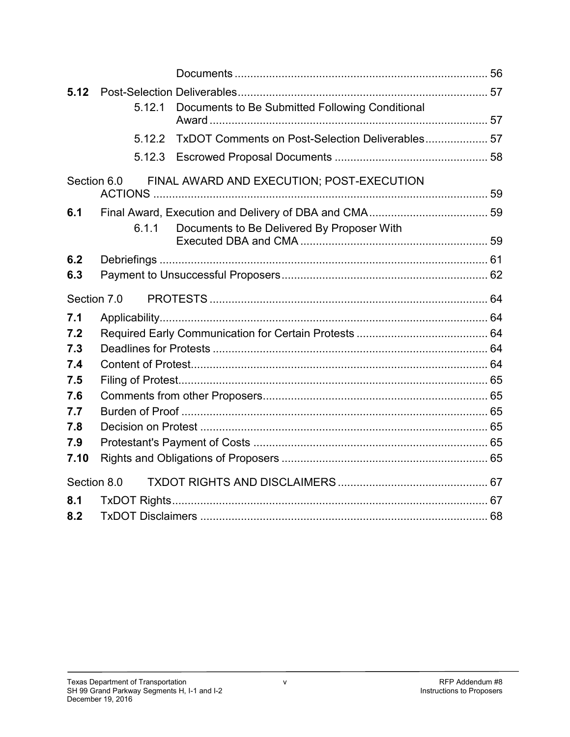| 5.12        |        |                                                  |  |
|-------------|--------|--------------------------------------------------|--|
|             | 5.12.1 | Documents to Be Submitted Following Conditional  |  |
|             |        |                                                  |  |
|             | 5.12.2 | TxDOT Comments on Post-Selection Deliverables 57 |  |
|             | 5.12.3 |                                                  |  |
| Section 6.0 |        | FINAL AWARD AND EXECUTION; POST-EXECUTION        |  |
|             |        |                                                  |  |
| 6.1         |        |                                                  |  |
|             | 6.1.1  | Documents to Be Delivered By Proposer With       |  |
|             |        |                                                  |  |
| 6.2         |        |                                                  |  |
| 6.3         |        |                                                  |  |
| Section 7.0 |        |                                                  |  |
| 7.1         |        |                                                  |  |
| 7.2         |        |                                                  |  |
| 7.3         |        |                                                  |  |
| 7.4         |        |                                                  |  |
| 7.5         |        |                                                  |  |
| 7.6         |        |                                                  |  |
| 7.7         |        |                                                  |  |
| 7.8         |        |                                                  |  |
| 7.9         |        |                                                  |  |
| 7.10        |        |                                                  |  |
| Section 8.0 |        |                                                  |  |
| 8.1         |        |                                                  |  |
| 8.2         |        |                                                  |  |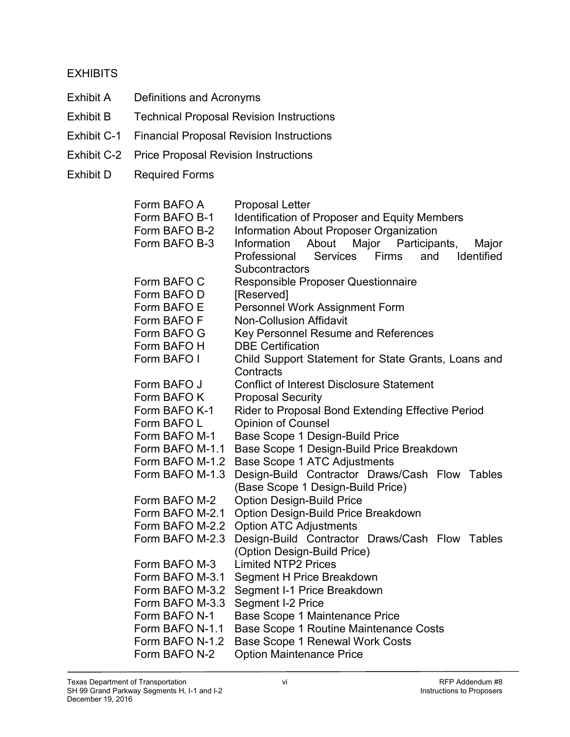#### **EXHIBITS**

- Exhibit A Definitions and Acronyms
- Exhibit B Technical Proposal Revision Instructions
- Exhibit C-1 Financial Proposal Revision Instructions
- Exhibit C-2 Price Proposal Revision Instructions
- Exhibit D Required Forms

Form BAFO A Proposal Letter Form BAFO B-1 Identification of Proposer and Equity Members Form BAFO B-2 Information About Proposer Organization Form BAFO B-3 Information About Major Participants, Major Professional Services Firms and Identified **Subcontractors** Form BAFO C Responsible Proposer Questionnaire Form BAFO D [Reserved] Form BAFO E Personnel Work Assignment Form Form BAFO F Non-Collusion Affidavit Form BAFO G Key Personnel Resume and References Form BAFO H DBE Certification Form BAFO I Child Support Statement for State Grants, Loans and **Contracts** Form BAFO J Conflict of Interest Disclosure Statement Form BAFO K Proposal Security Form BAFO K-1 Rider to Proposal Bond Extending Effective Period Form BAFO L Copinion of Counsel Form BAFO M-1 Base Scope 1 Design-Build Price Form BAFO M-1.1 Base Scope 1 Design-Build Price Breakdown Form BAFO M-1.2 Base Scope 1 ATC Adjustments Form BAFO M-1.3 Design-Build Contractor Draws/Cash Flow Tables (Base Scope 1 Design-Build Price) Form BAFO M-2 Option Design-Build Price Form BAFO M-2.1 Option Design-Build Price Breakdown Form BAFO M-2.2 Option ATC Adjustments Form BAFO M-2.3 Design-Build Contractor Draws/Cash Flow Tables (Option Design-Build Price) Form BAFO M-3 Limited NTP2 Prices Form BAFO M-3.1 Segment H Price Breakdown Form BAFO M-3.2 Segment I-1 Price Breakdown Form BAFO M-3.3 Segment I-2 Price Form BAFO N-1 Base Scope 1 Maintenance Price Form BAFO N-1.1 Base Scope 1 Routine Maintenance Costs Form BAFO N-1.2 Base Scope 1 Renewal Work Costs Form BAFO N-2 Option Maintenance Price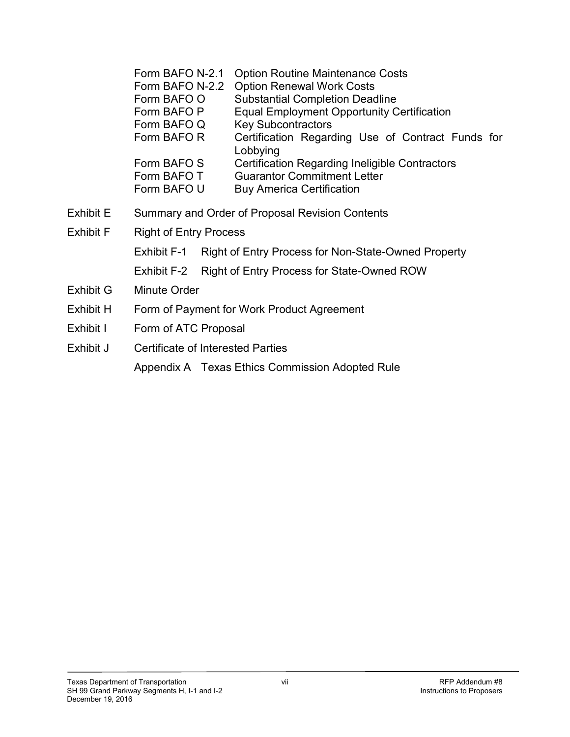|                                            | Form BAFO N-2.1<br>Form BAFO N-2.2<br>Form BAFO O<br>Form BAFO P<br>Form BAFO Q<br>Form BAFO R<br>Form BAFO S<br>Form BAFO T<br>Form BAFO U | <b>Option Routine Maintenance Costs</b><br><b>Option Renewal Work Costs</b><br><b>Substantial Completion Deadline</b><br><b>Equal Employment Opportunity Certification</b><br><b>Key Subcontractors</b><br>Certification Regarding Use of Contract Funds for<br>Lobbying<br>Certification Regarding Ineligible Contractors<br><b>Guarantor Commitment Letter</b><br><b>Buy America Certification</b> |  |  |
|--------------------------------------------|---------------------------------------------------------------------------------------------------------------------------------------------|------------------------------------------------------------------------------------------------------------------------------------------------------------------------------------------------------------------------------------------------------------------------------------------------------------------------------------------------------------------------------------------------------|--|--|
| <b>Exhibit E</b>                           | Summary and Order of Proposal Revision Contents                                                                                             |                                                                                                                                                                                                                                                                                                                                                                                                      |  |  |
| Exhibit F<br><b>Right of Entry Process</b> |                                                                                                                                             |                                                                                                                                                                                                                                                                                                                                                                                                      |  |  |
|                                            | Exhibit F-1                                                                                                                                 | Right of Entry Process for Non-State-Owned Property                                                                                                                                                                                                                                                                                                                                                  |  |  |
|                                            | Exhibit F-2                                                                                                                                 | Right of Entry Process for State-Owned ROW                                                                                                                                                                                                                                                                                                                                                           |  |  |
| Exhibit G                                  | <b>Minute Order</b>                                                                                                                         |                                                                                                                                                                                                                                                                                                                                                                                                      |  |  |
| Exhibit H                                  |                                                                                                                                             | Form of Payment for Work Product Agreement                                                                                                                                                                                                                                                                                                                                                           |  |  |
| Exhibit I                                  | Form of ATC Proposal                                                                                                                        |                                                                                                                                                                                                                                                                                                                                                                                                      |  |  |
| Exhibit J                                  | <b>Certificate of Interested Parties</b>                                                                                                    |                                                                                                                                                                                                                                                                                                                                                                                                      |  |  |
|                                            |                                                                                                                                             |                                                                                                                                                                                                                                                                                                                                                                                                      |  |  |

Appendix A Texas Ethics Commission Adopted Rule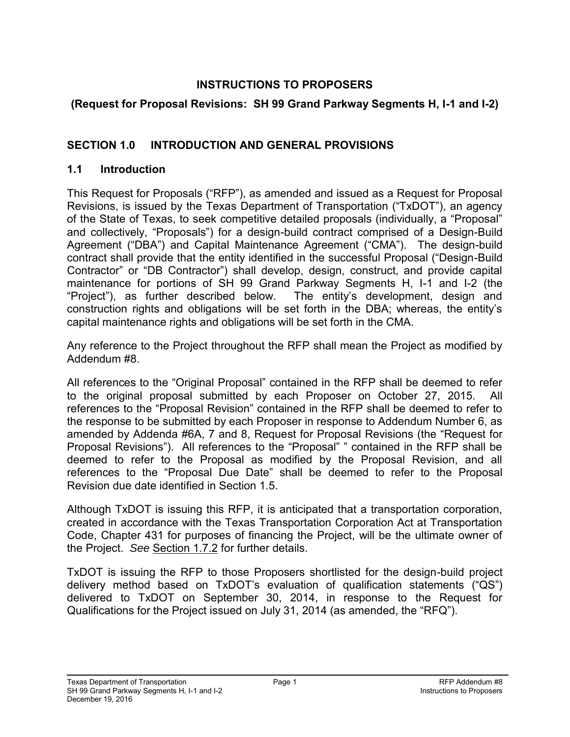## **INSTRUCTIONS TO PROPOSERS**

## **(Request for Proposal Revisions: SH 99 Grand Parkway Segments H, I-1 and I-2)**

## <span id="page-8-0"></span>**SECTION 1.0 INTRODUCTION AND GENERAL PROVISIONS**

#### <span id="page-8-1"></span>**1.1 Introduction**

This Request for Proposals ("RFP"), as amended and issued as a Request for Proposal Revisions, is issued by the Texas Department of Transportation ("TxDOT"), an agency of the State of Texas, to seek competitive detailed proposals (individually, a "Proposal" and collectively, "Proposals") for a design-build contract comprised of a Design-Build Agreement ("DBA") and Capital Maintenance Agreement ("CMA"). The design-build contract shall provide that the entity identified in the successful Proposal ("Design-Build Contractor" or "DB Contractor") shall develop, design, construct, and provide capital maintenance for portions of SH 99 Grand Parkway Segments H, I-1 and I-2 (the "Project"), as further described below. The entity's development, design and construction rights and obligations will be set forth in the DBA; whereas, the entity's capital maintenance rights and obligations will be set forth in the CMA.

Any reference to the Project throughout the RFP shall mean the Project as modified by Addendum #8.

All references to the "Original Proposal" contained in the RFP shall be deemed to refer to the original proposal submitted by each Proposer on October 27, 2015. references to the "Proposal Revision" contained in the RFP shall be deemed to refer to the response to be submitted by each Proposer in response to Addendum Number 6, as amended by Addenda #6A, 7 and 8, Request for Proposal Revisions (the "Request for Proposal Revisions"). All references to the "Proposal" " contained in the RFP shall be deemed to refer to the Proposal as modified by the Proposal Revision, and all references to the "Proposal Due Date" shall be deemed to refer to the Proposal Revision due date identified in Section 1.5.

Although TxDOT is issuing this RFP, it is anticipated that a transportation corporation, created in accordance with the Texas Transportation Corporation Act at Transportation Code, Chapter 431 for purposes of financing the Project, will be the ultimate owner of the Project. *See* Section 1.7.2 for further details.

TxDOT is issuing the RFP to those Proposers shortlisted for the design-build project delivery method based on TxDOT's evaluation of qualification statements ("QS") delivered to TxDOT on September 30, 2014, in response to the Request for Qualifications for the Project issued on July 31, 2014 (as amended, the "RFQ").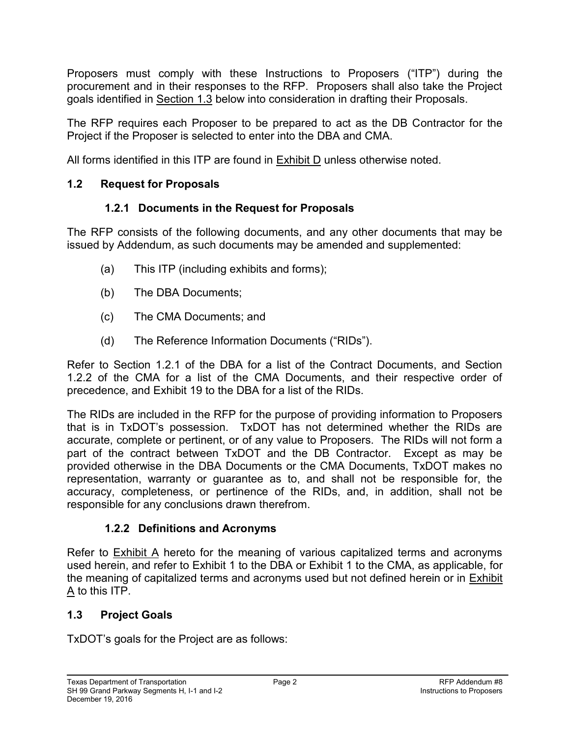Proposers must comply with these Instructions to Proposers ("ITP") during the procurement and in their responses to the RFP. Proposers shall also take the Project goals identified in Section 1.3 below into consideration in drafting their Proposals.

The RFP requires each Proposer to be prepared to act as the DB Contractor for the Project if the Proposer is selected to enter into the DBA and CMA.

All forms identified in this ITP are found in Exhibit D unless otherwise noted.

## <span id="page-9-1"></span><span id="page-9-0"></span>**1.2 Request for Proposals**

## **1.2.1 Documents in the Request for Proposals**

The RFP consists of the following documents, and any other documents that may be issued by Addendum, as such documents may be amended and supplemented:

- (a) This ITP (including exhibits and forms);
- (b) The DBA Documents;
- (c) The CMA Documents; and
- (d) The Reference Information Documents ("RIDs").

Refer to Section 1.2.1 of the DBA for a list of the Contract Documents, and Section 1.2.2 of the CMA for a list of the CMA Documents, and their respective order of precedence, and Exhibit 19 to the DBA for a list of the RIDs.

The RIDs are included in the RFP for the purpose of providing information to Proposers that is in TxDOT's possession. TxDOT has not determined whether the RIDs are accurate, complete or pertinent, or of any value to Proposers. The RIDs will not form a part of the contract between TxDOT and the DB Contractor. Except as may be provided otherwise in the DBA Documents or the CMA Documents, TxDOT makes no representation, warranty or guarantee as to, and shall not be responsible for, the accuracy, completeness, or pertinence of the RIDs, and, in addition, shall not be responsible for any conclusions drawn therefrom.

## **1.2.2 Definitions and Acronyms**

<span id="page-9-2"></span>Refer to Exhibit A hereto for the meaning of various capitalized terms and acronyms used herein, and refer to Exhibit 1 to the DBA or Exhibit 1 to the CMA, as applicable, for the meaning of capitalized terms and acronyms used but not defined herein or in **Exhibit** A to this ITP.

## <span id="page-9-3"></span>**1.3 Project Goals**

TxDOT's goals for the Project are as follows: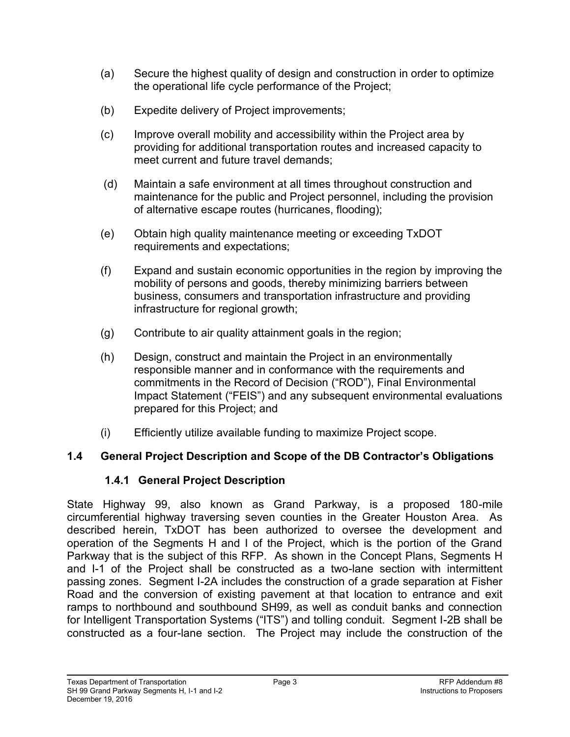- (a) Secure the highest quality of design and construction in order to optimize the operational life cycle performance of the Project;
- (b) Expedite delivery of Project improvements;
- (c) Improve overall mobility and accessibility within the Project area by providing for additional transportation routes and increased capacity to meet current and future travel demands;
- (d) Maintain a safe environment at all times throughout construction and maintenance for the public and Project personnel, including the provision of alternative escape routes (hurricanes, flooding);
- (e) Obtain high quality maintenance meeting or exceeding TxDOT requirements and expectations;
- (f) Expand and sustain economic opportunities in the region by improving the mobility of persons and goods, thereby minimizing barriers between business, consumers and transportation infrastructure and providing infrastructure for regional growth;
- (g) Contribute to air quality attainment goals in the region;
- (h) Design, construct and maintain the Project in an environmentally responsible manner and in conformance with the requirements and commitments in the Record of Decision ("ROD"), Final Environmental Impact Statement ("FEIS") and any subsequent environmental evaluations prepared for this Project; and
- (i) Efficiently utilize available funding to maximize Project scope.

## <span id="page-10-1"></span><span id="page-10-0"></span>**1.4 General Project Description and Scope of the DB Contractor's Obligations**

## **1.4.1 General Project Description**

State Highway 99, also known as Grand Parkway, is a proposed 180-mile circumferential highway traversing seven counties in the Greater Houston Area. As described herein, TxDOT has been authorized to oversee the development and operation of the Segments H and I of the Project, which is the portion of the Grand Parkway that is the subject of this RFP. As shown in the Concept Plans, Segments H and I-1 of the Project shall be constructed as a two-lane section with intermittent passing zones. Segment I-2A includes the construction of a grade separation at Fisher Road and the conversion of existing pavement at that location to entrance and exit ramps to northbound and southbound SH99, as well as conduit banks and connection for Intelligent Transportation Systems ("ITS") and tolling conduit. Segment I-2B shall be constructed as a four-lane section. The Project may include the construction of the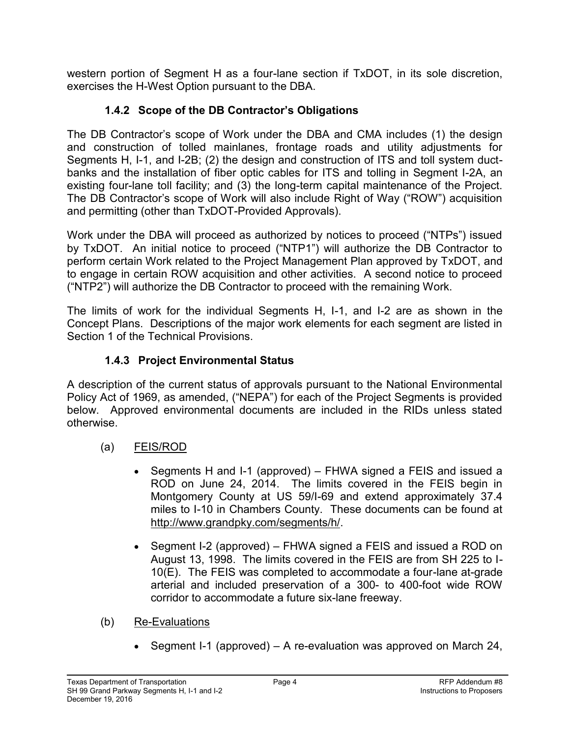<span id="page-11-0"></span>western portion of Segment H as a four-lane section if TxDOT, in its sole discretion, exercises the H-West Option pursuant to the DBA.

# **1.4.2 Scope of the DB Contractor's Obligations**

The DB Contractor's scope of Work under the DBA and CMA includes (1) the design and construction of tolled mainlanes, frontage roads and utility adjustments for Segments H, I-1, and I-2B; (2) the design and construction of ITS and toll system ductbanks and the installation of fiber optic cables for ITS and tolling in Segment I-2A, an existing four-lane toll facility; and (3) the long-term capital maintenance of the Project. The DB Contractor's scope of Work will also include Right of Way ("ROW") acquisition and permitting (other than TxDOT-Provided Approvals).

Work under the DBA will proceed as authorized by notices to proceed ("NTPs") issued by TxDOT. An initial notice to proceed ("NTP1") will authorize the DB Contractor to perform certain Work related to the Project Management Plan approved by TxDOT, and to engage in certain ROW acquisition and other activities. A second notice to proceed ("NTP2") will authorize the DB Contractor to proceed with the remaining Work.

The limits of work for the individual Segments H, I-1, and I-2 are as shown in the Concept Plans. Descriptions of the major work elements for each segment are listed in Section 1 of the Technical Provisions.

## **1.4.3 Project Environmental Status**

<span id="page-11-1"></span>A description of the current status of approvals pursuant to the National Environmental Policy Act of 1969, as amended, ("NEPA") for each of the Project Segments is provided below. Approved environmental documents are included in the RIDs unless stated otherwise.

- (a) FEIS/ROD
	- Segments H and I-1 (approved) FHWA signed a FEIS and issued a ROD on June 24, 2014. The limits covered in the FEIS begin in Montgomery County at US 59/I-69 and extend approximately 37.4 miles to I-10 in Chambers County. These documents can be found at http://www.grandpky.com/segments/h/.
	- Segment I-2 (approved) FHWA signed a FEIS and issued a ROD on August 13, 1998. The limits covered in the FEIS are from SH 225 to I-10(E). The FEIS was completed to accommodate a four-lane at-grade arterial and included preservation of a 300- to 400-foot wide ROW corridor to accommodate a future six-lane freeway.
- (b) Re-Evaluations
	- Segment I-1 (approved) A re-evaluation was approved on March 24,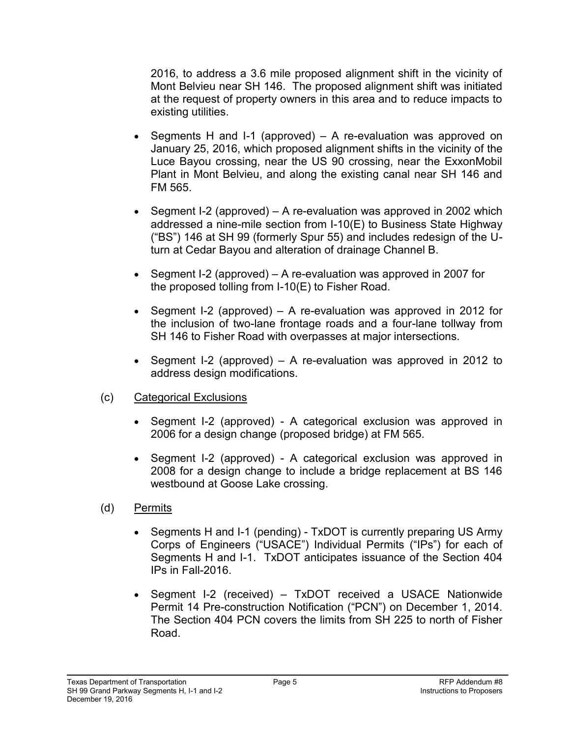2016, to address a 3.6 mile proposed alignment shift in the vicinity of Mont Belvieu near SH 146. The proposed alignment shift was initiated at the request of property owners in this area and to reduce impacts to existing utilities.

- Segments H and I-1 (approved) A re-evaluation was approved on January 25, 2016, which proposed alignment shifts in the vicinity of the Luce Bayou crossing, near the US 90 crossing, near the ExxonMobil Plant in Mont Belvieu, and along the existing canal near SH 146 and FM 565.
- Segment I-2 (approved) A re-evaluation was approved in 2002 which addressed a nine-mile section from I-10(E) to Business State Highway ("BS") 146 at SH 99 (formerly Spur 55) and includes redesign of the Uturn at Cedar Bayou and alteration of drainage Channel B.
- Segment I-2 (approved) A re-evaluation was approved in 2007 for the proposed tolling from I-10(E) to Fisher Road.
- Segment I-2 (approved)  $-$  A re-evaluation was approved in 2012 for the inclusion of two-lane frontage roads and a four-lane tollway from SH 146 to Fisher Road with overpasses at major intersections.
- Segment I-2 (approved) A re-evaluation was approved in 2012 to address design modifications.
- (c) Categorical Exclusions
	- Segment I-2 (approved) A categorical exclusion was approved in 2006 for a design change (proposed bridge) at FM 565.
	- Segment I-2 (approved) A categorical exclusion was approved in 2008 for a design change to include a bridge replacement at BS 146 westbound at Goose Lake crossing.
- (d) Permits
	- Segments H and I-1 (pending) TxDOT is currently preparing US Army Corps of Engineers ("USACE") Individual Permits ("IPs") for each of Segments H and I-1. TxDOT anticipates issuance of the Section 404 IPs in Fall-2016.
	- Segment I-2 (received) TxDOT received a USACE Nationwide Permit 14 Pre-construction Notification ("PCN") on December 1, 2014. The Section 404 PCN covers the limits from SH 225 to north of Fisher Road.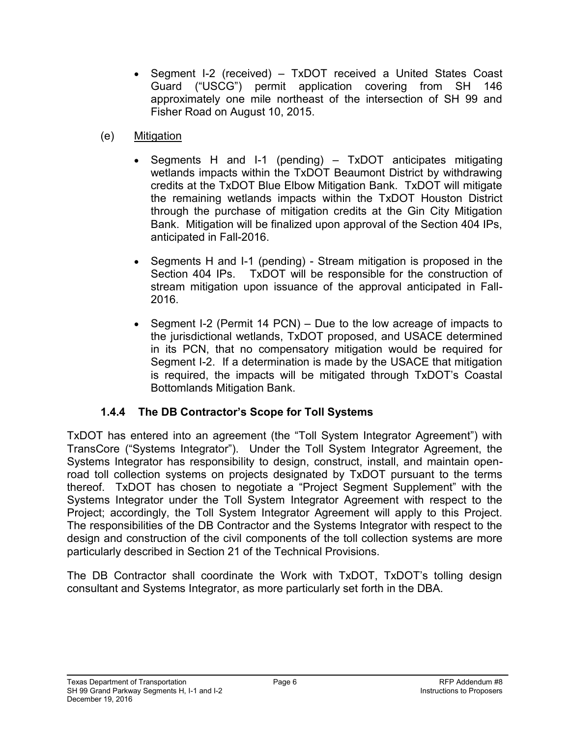- Segment I-2 (received) TxDOT received a United States Coast Guard ("USCG") permit application covering from SH 146 approximately one mile northeast of the intersection of SH 99 and Fisher Road on August 10, 2015.
- (e) Mitigation
	- Segments H and I-1 (pending) TxDOT anticipates mitigating wetlands impacts within the TxDOT Beaumont District by withdrawing credits at the TxDOT Blue Elbow Mitigation Bank. TxDOT will mitigate the remaining wetlands impacts within the TxDOT Houston District through the purchase of mitigation credits at the Gin City Mitigation Bank. Mitigation will be finalized upon approval of the Section 404 IPs, anticipated in Fall-2016.
	- Segments H and I-1 (pending) Stream mitigation is proposed in the Section 404 IPs. TxDOT will be responsible for the construction of stream mitigation upon issuance of the approval anticipated in Fall-2016.
	- Segment I-2 (Permit 14 PCN) Due to the low acreage of impacts to the jurisdictional wetlands, TxDOT proposed, and USACE determined in its PCN, that no compensatory mitigation would be required for Segment I-2. If a determination is made by the USACE that mitigation is required, the impacts will be mitigated through TxDOT's Coastal Bottomlands Mitigation Bank.

## **1.4.4 The DB Contractor's Scope for Toll Systems**

<span id="page-13-0"></span>TxDOT has entered into an agreement (the "Toll System Integrator Agreement") with TransCore ("Systems Integrator"). Under the Toll System Integrator Agreement, the Systems Integrator has responsibility to design, construct, install, and maintain openroad toll collection systems on projects designated by TxDOT pursuant to the terms thereof. TxDOT has chosen to negotiate a "Project Segment Supplement" with the Systems Integrator under the Toll System Integrator Agreement with respect to the Project; accordingly, the Toll System Integrator Agreement will apply to this Project. The responsibilities of the DB Contractor and the Systems Integrator with respect to the design and construction of the civil components of the toll collection systems are more particularly described in Section 21 of the Technical Provisions.

The DB Contractor shall coordinate the Work with TxDOT, TxDOT's tolling design consultant and Systems Integrator, as more particularly set forth in the DBA.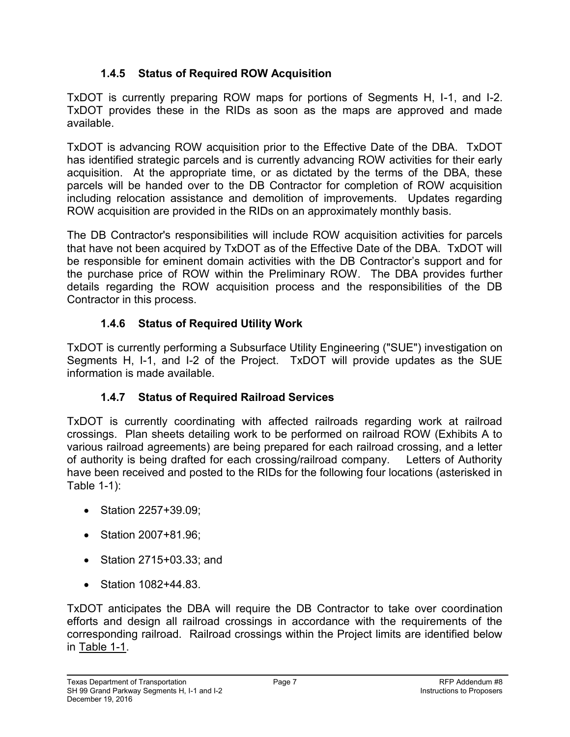## **1.4.5 Status of Required ROW Acquisition**

<span id="page-14-0"></span>TxDOT is currently preparing ROW maps for portions of Segments H, I-1, and I-2. TxDOT provides these in the RIDs as soon as the maps are approved and made available.

TxDOT is advancing ROW acquisition prior to the Effective Date of the DBA. TxDOT has identified strategic parcels and is currently advancing ROW activities for their early acquisition. At the appropriate time, or as dictated by the terms of the DBA, these parcels will be handed over to the DB Contractor for completion of ROW acquisition including relocation assistance and demolition of improvements. Updates regarding ROW acquisition are provided in the RIDs on an approximately monthly basis.

The DB Contractor's responsibilities will include ROW acquisition activities for parcels that have not been acquired by TxDOT as of the Effective Date of the DBA. TxDOT will be responsible for eminent domain activities with the DB Contractor's support and for the purchase price of ROW within the Preliminary ROW. The DBA provides further details regarding the ROW acquisition process and the responsibilities of the DB Contractor in this process.

## **1.4.6 Status of Required Utility Work**

<span id="page-14-1"></span>TxDOT is currently performing a Subsurface Utility Engineering ("SUE") investigation on Segments H, I-1, and I-2 of the Project. TxDOT will provide updates as the SUE information is made available.

# **1.4.7 Status of Required Railroad Services**

<span id="page-14-2"></span>TxDOT is currently coordinating with affected railroads regarding work at railroad crossings. Plan sheets detailing work to be performed on railroad ROW (Exhibits A to various railroad agreements) are being prepared for each railroad crossing, and a letter of authority is being drafted for each crossing/railroad company. Letters of Authority have been received and posted to the RIDs for the following four locations (asterisked in Table 1-1):

- Station 2257+39.09;
- Station 2007+81.96:
- Station 2715+03.33; and
- Station 1082+44.83.

TxDOT anticipates the DBA will require the DB Contractor to take over coordination efforts and design all railroad crossings in accordance with the requirements of the corresponding railroad. Railroad crossings within the Project limits are identified below in Table 1-1.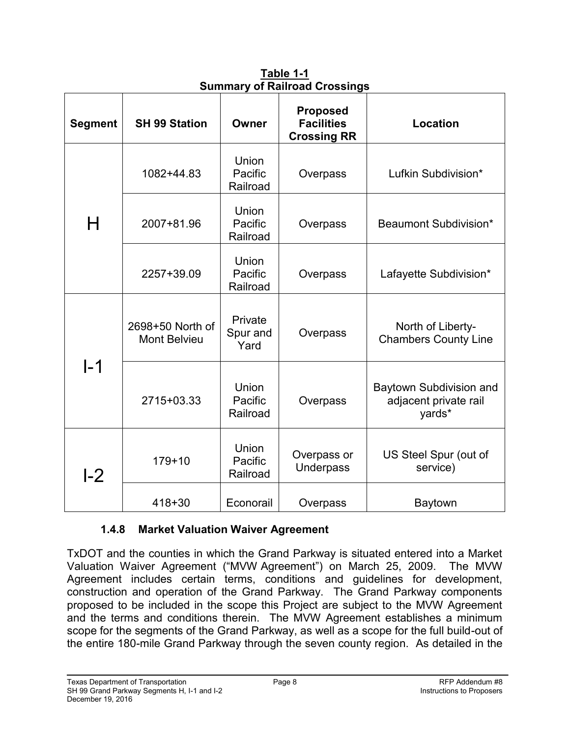| <b>Segment</b>  | <b>SH 99 Station</b>             | Owner                               | <b>Proposed</b><br><b>Facilities</b><br><b>Crossing RR</b> | <b>Location</b>                                            |
|-----------------|----------------------------------|-------------------------------------|------------------------------------------------------------|------------------------------------------------------------|
|                 | 1082+44.83                       | Union<br>Pacific<br>Railroad        | Overpass                                                   | Lufkin Subdivision*                                        |
| H               | 2007+81.96                       | Union<br>Pacific<br>Railroad        | Overpass                                                   | Beaumont Subdivision*                                      |
|                 | 2257+39.09                       | Union<br>Pacific<br>Railroad        | Overpass                                                   | Lafayette Subdivision*                                     |
|                 | 2698+50 North of<br>Mont Belvieu | Private<br>Spur and<br>Yard         | Overpass                                                   | North of Liberty-<br><b>Chambers County Line</b>           |
| $\mathsf{I}$ –1 | 2715+03.33                       | <b>Union</b><br>Pacific<br>Railroad | Overpass                                                   | Baytown Subdivision and<br>adjacent private rail<br>yards* |
| L2              | $179 + 10$                       | <b>Union</b><br>Pacific<br>Railroad | Overpass or<br><b>Underpass</b>                            | US Steel Spur (out of<br>service)                          |
|                 | $418 + 30$                       | Econorail                           | Overpass                                                   | Baytown                                                    |

**Table 1-1 Summary of Railroad Crossings**

## **1.4.8 Market Valuation Waiver Agreement**

<span id="page-15-0"></span>TxDOT and the counties in which the Grand Parkway is situated entered into a Market Valuation Waiver Agreement ("MVW Agreement") on March 25, 2009. The MVW Agreement includes certain terms, conditions and guidelines for development, construction and operation of the Grand Parkway. The Grand Parkway components proposed to be included in the scope this Project are subject to the MVW Agreement and the terms and conditions therein. The MVW Agreement establishes a minimum scope for the segments of the Grand Parkway, as well as a scope for the full build-out of the entire 180-mile Grand Parkway through the seven county region. As detailed in the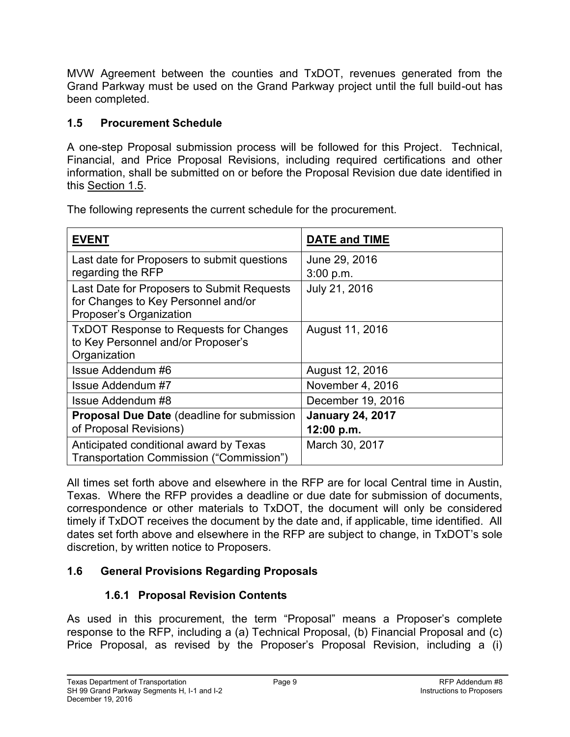MVW Agreement between the counties and TxDOT, revenues generated from the Grand Parkway must be used on the Grand Parkway project until the full build-out has been completed.

## <span id="page-16-0"></span>**1.5 Procurement Schedule**

A one-step Proposal submission process will be followed for this Project. Technical, Financial, and Price Proposal Revisions, including required certifications and other information, shall be submitted on or before the Proposal Revision due date identified in this Section 1.5.

**EVENT DATE and TIME**  Last date for Proposers to submit questions regarding the RFP June 29, 2016 3:00 p.m. Last Date for Proposers to Submit Requests for Changes to Key Personnel and/or Proposer's Organization July 21, 2016 TxDOT Response to Requests for Changes to Key Personnel and/or Proposer's **Organization** August 11, 2016 Issue Addendum #6 August 12, 2016 Issue Addendum #7 November 4, 2016 Issue Addendum #8 December 19, 2016 **Proposal Due Date** (deadline for submission of Proposal Revisions) **January 24, 2017 12:00 p.m.** Anticipated conditional award by Texas Transportation Commission ("Commission") March 30, 2017

The following represents the current schedule for the procurement.

All times set forth above and elsewhere in the RFP are for local Central time in Austin, Texas. Where the RFP provides a deadline or due date for submission of documents, correspondence or other materials to TxDOT, the document will only be considered timely if TxDOT receives the document by the date and, if applicable, time identified. All dates set forth above and elsewhere in the RFP are subject to change, in TxDOT's sole discretion, by written notice to Proposers.

## <span id="page-16-2"></span><span id="page-16-1"></span>**1.6 General Provisions Regarding Proposals**

## **1.6.1 Proposal Revision Contents**

As used in this procurement, the term "Proposal" means a Proposer's complete response to the RFP, including a (a) Technical Proposal, (b) Financial Proposal and (c) Price Proposal, as revised by the Proposer's Proposal Revision, including a (i)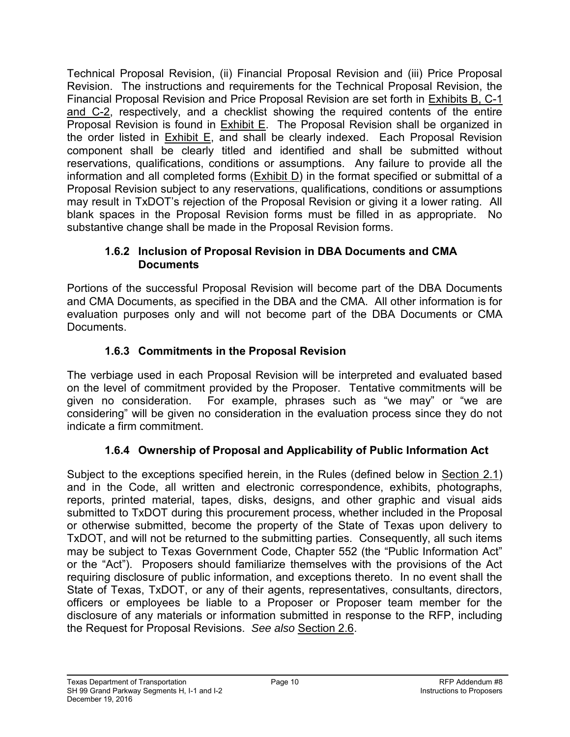Technical Proposal Revision, (ii) Financial Proposal Revision and (iii) Price Proposal Revision. The instructions and requirements for the Technical Proposal Revision, the Financial Proposal Revision and Price Proposal Revision are set forth in Exhibits B, C-1 and C-2, respectively, and a checklist showing the required contents of the entire Proposal Revision is found in Exhibit E. The Proposal Revision shall be organized in the order listed in **Exhibit E**, and shall be clearly indexed. Each Proposal Revision component shall be clearly titled and identified and shall be submitted without reservations, qualifications, conditions or assumptions. Any failure to provide all the information and all completed forms (Exhibit D) in the format specified or submittal of a Proposal Revision subject to any reservations, qualifications, conditions or assumptions may result in TxDOT's rejection of the Proposal Revision or giving it a lower rating. All blank spaces in the Proposal Revision forms must be filled in as appropriate. No substantive change shall be made in the Proposal Revision forms.

## <span id="page-17-0"></span>**1.6.2 Inclusion of Proposal Revision in DBA Documents and CMA Documents**

Portions of the successful Proposal Revision will become part of the DBA Documents and CMA Documents, as specified in the DBA and the CMA. All other information is for evaluation purposes only and will not become part of the DBA Documents or CMA Documents.

# **1.6.3 Commitments in the Proposal Revision**

<span id="page-17-1"></span>The verbiage used in each Proposal Revision will be interpreted and evaluated based on the level of commitment provided by the Proposer. Tentative commitments will be given no consideration. For example, phrases such as "we may" or "we are considering" will be given no consideration in the evaluation process since they do not indicate a firm commitment.

# **1.6.4 Ownership of Proposal and Applicability of Public Information Act**

<span id="page-17-2"></span>Subject to the exceptions specified herein, in the Rules (defined below in Section 2.1) and in the Code, all written and electronic correspondence, exhibits, photographs, reports, printed material, tapes, disks, designs, and other graphic and visual aids submitted to TxDOT during this procurement process, whether included in the Proposal or otherwise submitted, become the property of the State of Texas upon delivery to TxDOT, and will not be returned to the submitting parties. Consequently, all such items may be subject to Texas Government Code, Chapter 552 (the "Public Information Act" or the "Act"). Proposers should familiarize themselves with the provisions of the Act requiring disclosure of public information, and exceptions thereto. In no event shall the State of Texas, TxDOT, or any of their agents, representatives, consultants, directors, officers or employees be liable to a Proposer or Proposer team member for the disclosure of any materials or information submitted in response to the RFP, including the Request for Proposal Revisions. *See also* Section 2.6.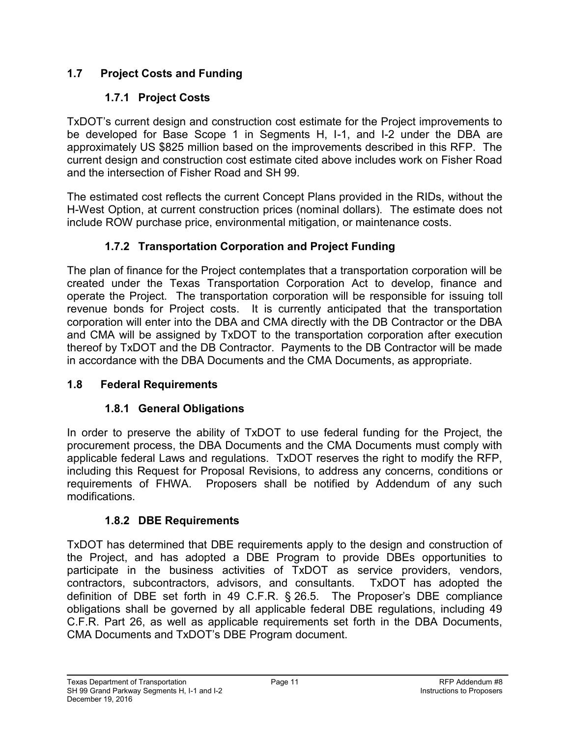## <span id="page-18-1"></span><span id="page-18-0"></span>**1.7 Project Costs and Funding**

# **1.7.1 Project Costs**

TxDOT's current design and construction cost estimate for the Project improvements to be developed for Base Scope 1 in Segments H, I-1, and I-2 under the DBA are approximately US \$825 million based on the improvements described in this RFP. The current design and construction cost estimate cited above includes work on Fisher Road and the intersection of Fisher Road and SH 99.

The estimated cost reflects the current Concept Plans provided in the RIDs, without the H-West Option, at current construction prices (nominal dollars). The estimate does not include ROW purchase price, environmental mitigation, or maintenance costs.

## **1.7.2 Transportation Corporation and Project Funding**

<span id="page-18-2"></span>The plan of finance for the Project contemplates that a transportation corporation will be created under the Texas Transportation Corporation Act to develop, finance and operate the Project. The transportation corporation will be responsible for issuing toll revenue bonds for Project costs. It is currently anticipated that the transportation corporation will enter into the DBA and CMA directly with the DB Contractor or the DBA and CMA will be assigned by TxDOT to the transportation corporation after execution thereof by TxDOT and the DB Contractor. Payments to the DB Contractor will be made in accordance with the DBA Documents and the CMA Documents, as appropriate.

## <span id="page-18-4"></span><span id="page-18-3"></span>**1.8 Federal Requirements**

## **1.8.1 General Obligations**

In order to preserve the ability of TxDOT to use federal funding for the Project, the procurement process, the DBA Documents and the CMA Documents must comply with applicable federal Laws and regulations. TxDOT reserves the right to modify the RFP, including this Request for Proposal Revisions, to address any concerns, conditions or requirements of FHWA. Proposers shall be notified by Addendum of any such modifications.

## **1.8.2 DBE Requirements**

<span id="page-18-5"></span>TxDOT has determined that DBE requirements apply to the design and construction of the Project, and has adopted a DBE Program to provide DBEs opportunities to participate in the business activities of TxDOT as service providers, vendors, contractors, subcontractors, advisors, and consultants. TxDOT has adopted the definition of DBE set forth in 49 C.F.R. § 26.5. The Proposer's DBE compliance obligations shall be governed by all applicable federal DBE regulations, including 49 C.F.R. Part 26, as well as applicable requirements set forth in the DBA Documents, CMA Documents and TxDOT's DBE Program document.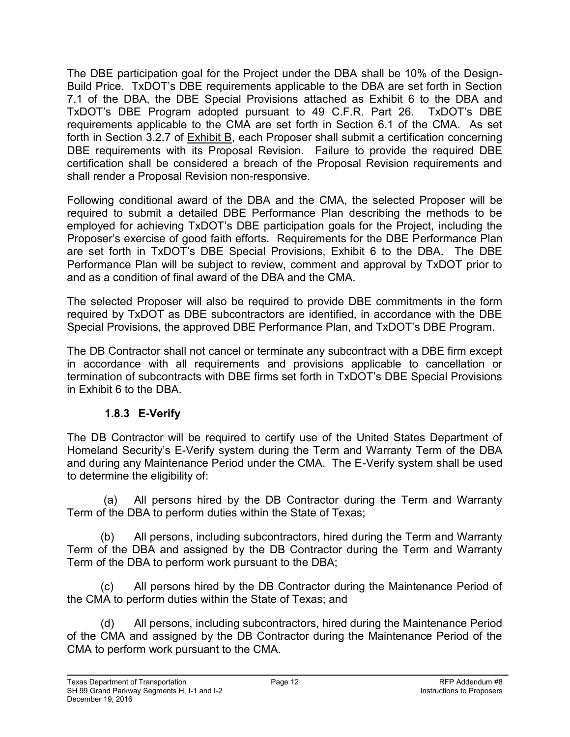The DBE participation goal for the Project under the DBA shall be 10% of the Design-Build Price. TxDOT's DBE requirements applicable to the DBA are set forth in Section 7.1 of the DBA, the DBE Special Provisions attached as Exhibit 6 to the DBA and TxDOT's DBE Program adopted pursuant to 49 C.F.R. Part 26. TxDOT's DBE requirements applicable to the CMA are set forth in Section 6.1 of the CMA. As set forth in Section 3.2.7 of Exhibit B, each Proposer shall submit a certification concerning DBE requirements with its Proposal Revision. Failure to provide the required DBE certification shall be considered a breach of the Proposal Revision requirements and shall render a Proposal Revision non-responsive.

Following conditional award of the DBA and the CMA, the selected Proposer will be required to submit a detailed DBE Performance Plan describing the methods to be employed for achieving TxDOT's DBE participation goals for the Project, including the Proposer's exercise of good faith efforts. Requirements for the DBE Performance Plan are set forth in TxDOT's DBE Special Provisions, Exhibit 6 to the DBA. The DBE Performance Plan will be subject to review, comment and approval by TxDOT prior to and as a condition of final award of the DBA and the CMA.

The selected Proposer will also be required to provide DBE commitments in the form required by TxDOT as DBE subcontractors are identified, in accordance with the DBE Special Provisions, the approved DBE Performance Plan, and TxDOT's DBE Program.

The DB Contractor shall not cancel or terminate any subcontract with a DBE firm except in accordance with all requirements and provisions applicable to cancellation or termination of subcontracts with DBE firms set forth in TxDOT's DBE Special Provisions in Exhibit 6 to the DBA.

## **1.8.3 E-Verify**

<span id="page-19-0"></span>The DB Contractor will be required to certify use of the United States Department of Homeland Security's E-Verify system during the Term and Warranty Term of the DBA and during any Maintenance Period under the CMA. The E-Verify system shall be used to determine the eligibility of:

 (a) All persons hired by the DB Contractor during the Term and Warranty Term of the DBA to perform duties within the State of Texas;

(b) All persons, including subcontractors, hired during the Term and Warranty Term of the DBA and assigned by the DB Contractor during the Term and Warranty Term of the DBA to perform work pursuant to the DBA;

(c) All persons hired by the DB Contractor during the Maintenance Period of the CMA to perform duties within the State of Texas; and

(d) All persons, including subcontractors, hired during the Maintenance Period of the CMA and assigned by the DB Contractor during the Maintenance Period of the CMA to perform work pursuant to the CMA.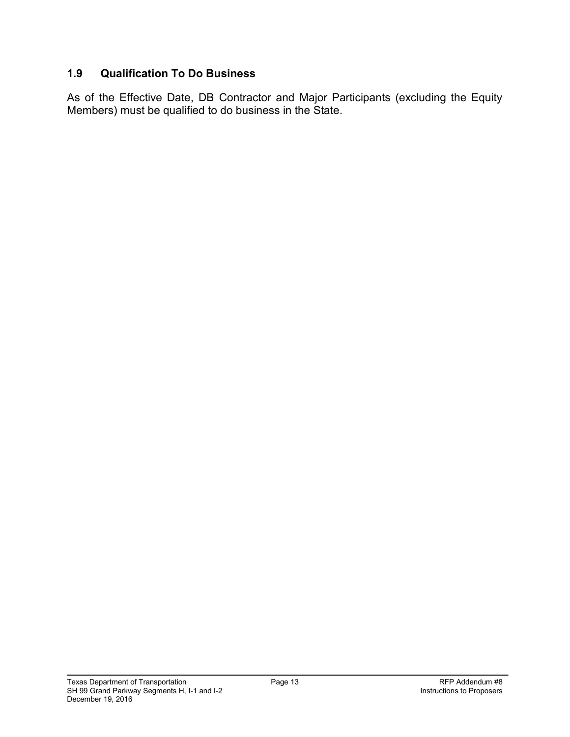## <span id="page-20-0"></span>**1.9 Qualification To Do Business**

As of the Effective Date, DB Contractor and Major Participants (excluding the Equity Members) must be qualified to do business in the State.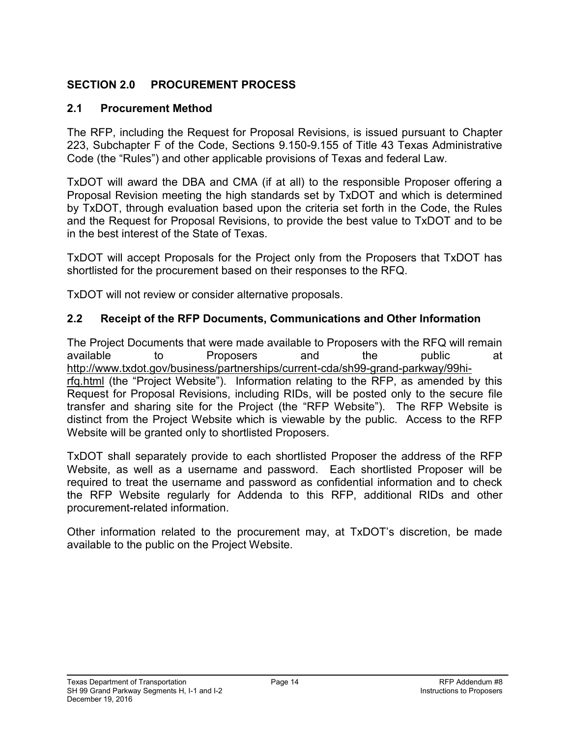## <span id="page-21-0"></span>**SECTION 2.0 PROCUREMENT PROCESS**

## <span id="page-21-1"></span>**2.1 Procurement Method**

The RFP, including the Request for Proposal Revisions, is issued pursuant to Chapter 223, Subchapter F of the Code, Sections 9.150-9.155 of Title 43 Texas Administrative Code (the "Rules") and other applicable provisions of Texas and federal Law.

TxDOT will award the DBA and CMA (if at all) to the responsible Proposer offering a Proposal Revision meeting the high standards set by TxDOT and which is determined by TxDOT, through evaluation based upon the criteria set forth in the Code, the Rules and the Request for Proposal Revisions, to provide the best value to TxDOT and to be in the best interest of the State of Texas.

TxDOT will accept Proposals for the Project only from the Proposers that TxDOT has shortlisted for the procurement based on their responses to the RFQ.

TxDOT will not review or consider alternative proposals.

## <span id="page-21-2"></span>**2.2 Receipt of the RFP Documents, Communications and Other Information**

The Project Documents that were made available to Proposers with the RFQ will remain available to Proposers and the public at http://www.txdot.gov/business/partnerships/current-cda/sh99-grand-parkway/99hirfq.html (the "Project Website"). Information relating to the RFP, as amended by this Request for Proposal Revisions, including RIDs, will be posted only to the secure file transfer and sharing site for the Project (the "RFP Website"). The RFP Website is distinct from the Project Website which is viewable by the public. Access to the RFP Website will be granted only to shortlisted Proposers.

TxDOT shall separately provide to each shortlisted Proposer the address of the RFP Website, as well as a username and password. Each shortlisted Proposer will be required to treat the username and password as confidential information and to check the RFP Website regularly for Addenda to this RFP, additional RIDs and other procurement-related information.

Other information related to the procurement may, at TxDOT's discretion, be made available to the public on the Project Website.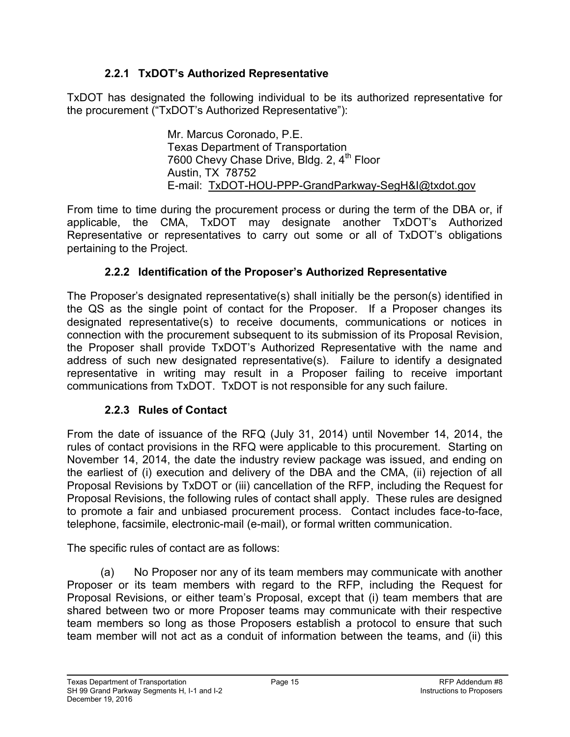## **2.2.1 TxDOT's Authorized Representative**

<span id="page-22-0"></span>TxDOT has designated the following individual to be its authorized representative for the procurement ("TxDOT's Authorized Representative"):

> Mr. Marcus Coronado, P.E. Texas Department of Transportation 7600 Chevy Chase Drive, Bldg. 2, 4<sup>th</sup> Floor Austin, TX 78752 E-mail: TxDOT-HOU-PPP-GrandParkway-SegH&I@txdot.gov

From time to time during the procurement process or during the term of the DBA or, if applicable, the CMA, TxDOT may designate another TxDOT's Authorized Representative or representatives to carry out some or all of TxDOT's obligations pertaining to the Project.

## **2.2.2 Identification of the Proposer's Authorized Representative**

<span id="page-22-1"></span>The Proposer's designated representative(s) shall initially be the person(s) identified in the QS as the single point of contact for the Proposer. If a Proposer changes its designated representative(s) to receive documents, communications or notices in connection with the procurement subsequent to its submission of its Proposal Revision, the Proposer shall provide TxDOT's Authorized Representative with the name and address of such new designated representative(s). Failure to identify a designated representative in writing may result in a Proposer failing to receive important communications from TxDOT. TxDOT is not responsible for any such failure.

## **2.2.3 Rules of Contact**

<span id="page-22-2"></span>From the date of issuance of the RFQ (July 31, 2014) until November 14, 2014, the rules of contact provisions in the RFQ were applicable to this procurement. Starting on November 14, 2014, the date the industry review package was issued, and ending on the earliest of (i) execution and delivery of the DBA and the CMA, (ii) rejection of all Proposal Revisions by TxDOT or (iii) cancellation of the RFP, including the Request for Proposal Revisions, the following rules of contact shall apply. These rules are designed to promote a fair and unbiased procurement process. Contact includes face-to-face, telephone, facsimile, electronic-mail (e-mail), or formal written communication.

The specific rules of contact are as follows:

(a) No Proposer nor any of its team members may communicate with another Proposer or its team members with regard to the RFP, including the Request for Proposal Revisions, or either team's Proposal, except that (i) team members that are shared between two or more Proposer teams may communicate with their respective team members so long as those Proposers establish a protocol to ensure that such team member will not act as a conduit of information between the teams, and (ii) this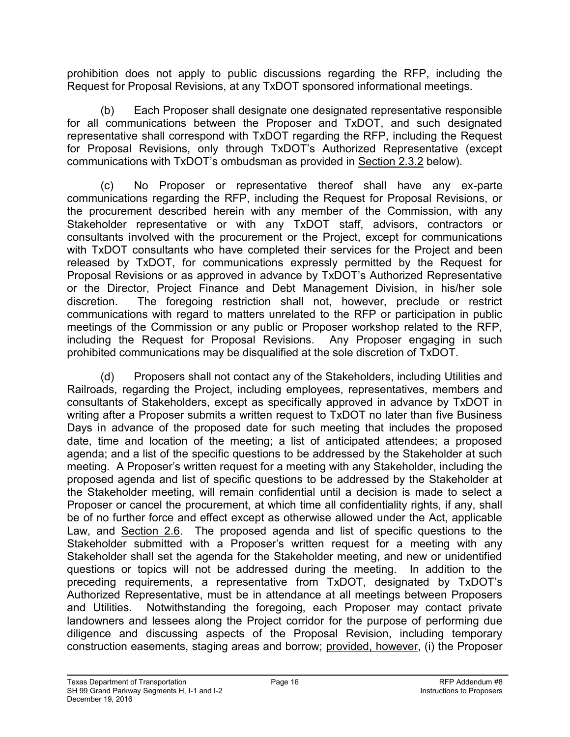prohibition does not apply to public discussions regarding the RFP, including the Request for Proposal Revisions, at any TxDOT sponsored informational meetings.

(b) Each Proposer shall designate one designated representative responsible for all communications between the Proposer and TxDOT, and such designated representative shall correspond with TxDOT regarding the RFP, including the Request for Proposal Revisions, only through TxDOT's Authorized Representative (except communications with TxDOT's ombudsman as provided in Section 2.3.2 below).

(c) No Proposer or representative thereof shall have any ex-parte communications regarding the RFP, including the Request for Proposal Revisions, or the procurement described herein with any member of the Commission, with any Stakeholder representative or with any TxDOT staff, advisors, contractors or consultants involved with the procurement or the Project, except for communications with TxDOT consultants who have completed their services for the Project and been released by TxDOT, for communications expressly permitted by the Request for Proposal Revisions or as approved in advance by TxDOT's Authorized Representative or the Director, Project Finance and Debt Management Division, in his/her sole discretion. The foregoing restriction shall not, however, preclude or restrict communications with regard to matters unrelated to the RFP or participation in public meetings of the Commission or any public or Proposer workshop related to the RFP, including the Request for Proposal Revisions. Any Proposer engaging in such prohibited communications may be disqualified at the sole discretion of TxDOT.

(d) Proposers shall not contact any of the Stakeholders, including Utilities and Railroads, regarding the Project, including employees, representatives, members and consultants of Stakeholders, except as specifically approved in advance by TxDOT in writing after a Proposer submits a written request to TxDOT no later than five Business Days in advance of the proposed date for such meeting that includes the proposed date, time and location of the meeting; a list of anticipated attendees; a proposed agenda; and a list of the specific questions to be addressed by the Stakeholder at such meeting. A Proposer's written request for a meeting with any Stakeholder, including the proposed agenda and list of specific questions to be addressed by the Stakeholder at the Stakeholder meeting, will remain confidential until a decision is made to select a Proposer or cancel the procurement, at which time all confidentiality rights, if any, shall be of no further force and effect except as otherwise allowed under the Act, applicable Law, and **Section 2.6.** The proposed agenda and list of specific questions to the Stakeholder submitted with a Proposer's written request for a meeting with any Stakeholder shall set the agenda for the Stakeholder meeting, and new or unidentified questions or topics will not be addressed during the meeting. In addition to the preceding requirements, a representative from TxDOT, designated by TxDOT's Authorized Representative, must be in attendance at all meetings between Proposers and Utilities. Notwithstanding the foregoing, each Proposer may contact private landowners and lessees along the Project corridor for the purpose of performing due diligence and discussing aspects of the Proposal Revision, including temporary construction easements, staging areas and borrow; provided, however, (i) the Proposer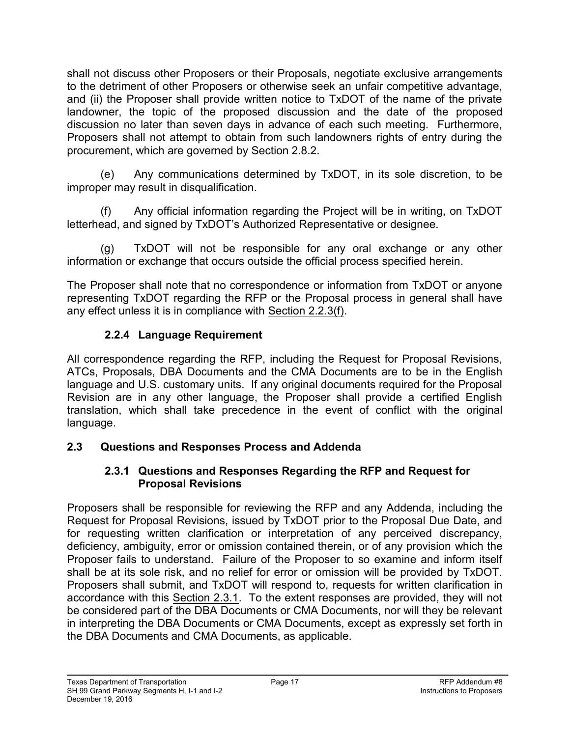shall not discuss other Proposers or their Proposals, negotiate exclusive arrangements to the detriment of other Proposers or otherwise seek an unfair competitive advantage, and (ii) the Proposer shall provide written notice to TxDOT of the name of the private landowner, the topic of the proposed discussion and the date of the proposed discussion no later than seven days in advance of each such meeting. Furthermore, Proposers shall not attempt to obtain from such landowners rights of entry during the procurement, which are governed by Section 2.8.2.

(e) Any communications determined by TxDOT, in its sole discretion, to be improper may result in disqualification.

(f) Any official information regarding the Project will be in writing, on TxDOT letterhead, and signed by TxDOT's Authorized Representative or designee.

(g) TxDOT will not be responsible for any oral exchange or any other information or exchange that occurs outside the official process specified herein.

The Proposer shall note that no correspondence or information from TxDOT or anyone representing TxDOT regarding the RFP or the Proposal process in general shall have any effect unless it is in compliance with Section 2.2.3(f).

## **2.2.4 Language Requirement**

<span id="page-24-0"></span>All correspondence regarding the RFP, including the Request for Proposal Revisions, ATCs, Proposals, DBA Documents and the CMA Documents are to be in the English language and U.S. customary units. If any original documents required for the Proposal Revision are in any other language, the Proposer shall provide a certified English translation, which shall take precedence in the event of conflict with the original language.

## <span id="page-24-2"></span><span id="page-24-1"></span>**2.3 Questions and Responses Process and Addenda**

## **2.3.1 Questions and Responses Regarding the RFP and Request for Proposal Revisions**

Proposers shall be responsible for reviewing the RFP and any Addenda, including the Request for Proposal Revisions, issued by TxDOT prior to the Proposal Due Date, and for requesting written clarification or interpretation of any perceived discrepancy, deficiency, ambiguity, error or omission contained therein, or of any provision which the Proposer fails to understand. Failure of the Proposer to so examine and inform itself shall be at its sole risk, and no relief for error or omission will be provided by TxDOT. Proposers shall submit, and TxDOT will respond to, requests for written clarification in accordance with this Section 2.3.1. To the extent responses are provided, they will not be considered part of the DBA Documents or CMA Documents, nor will they be relevant in interpreting the DBA Documents or CMA Documents, except as expressly set forth in the DBA Documents and CMA Documents, as applicable.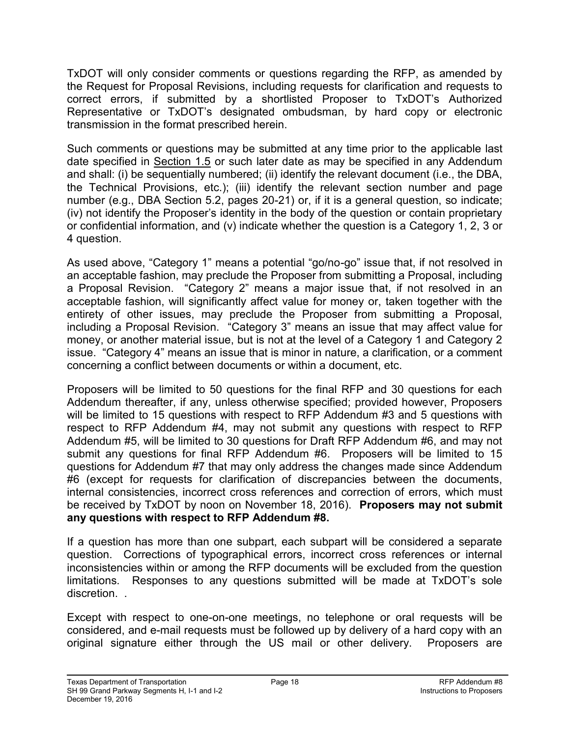TxDOT will only consider comments or questions regarding the RFP, as amended by the Request for Proposal Revisions, including requests for clarification and requests to correct errors, if submitted by a shortlisted Proposer to TxDOT's Authorized Representative or TxDOT's designated ombudsman, by hard copy or electronic transmission in the format prescribed herein.

Such comments or questions may be submitted at any time prior to the applicable last date specified in Section 1.5 or such later date as may be specified in any Addendum and shall: (i) be sequentially numbered; (ii) identify the relevant document (i.e., the DBA, the Technical Provisions, etc.); (iii) identify the relevant section number and page number (e.g., DBA Section 5.2, pages 20-21) or, if it is a general question, so indicate; (iv) not identify the Proposer's identity in the body of the question or contain proprietary or confidential information, and (v) indicate whether the question is a Category 1, 2, 3 or 4 question.

As used above, "Category 1" means a potential "go/no-go" issue that, if not resolved in an acceptable fashion, may preclude the Proposer from submitting a Proposal, including a Proposal Revision. "Category 2" means a major issue that, if not resolved in an acceptable fashion, will significantly affect value for money or, taken together with the entirety of other issues, may preclude the Proposer from submitting a Proposal, including a Proposal Revision. "Category 3" means an issue that may affect value for money, or another material issue, but is not at the level of a Category 1 and Category 2 issue. "Category 4" means an issue that is minor in nature, a clarification, or a comment concerning a conflict between documents or within a document, etc.

Proposers will be limited to 50 questions for the final RFP and 30 questions for each Addendum thereafter, if any, unless otherwise specified; provided however, Proposers will be limited to 15 questions with respect to RFP Addendum #3 and 5 questions with respect to RFP Addendum #4, may not submit any questions with respect to RFP Addendum #5, will be limited to 30 questions for Draft RFP Addendum #6, and may not submit any questions for final RFP Addendum #6. Proposers will be limited to 15 questions for Addendum #7 that may only address the changes made since Addendum #6 (except for requests for clarification of discrepancies between the documents, internal consistencies, incorrect cross references and correction of errors, which must be received by TxDOT by noon on November 18, 2016). **Proposers may not submit any questions with respect to RFP Addendum #8.**

If a question has more than one subpart, each subpart will be considered a separate question. Corrections of typographical errors, incorrect cross references or internal inconsistencies within or among the RFP documents will be excluded from the question limitations. Responses to any questions submitted will be made at TxDOT's sole discretion. .

Except with respect to one-on-one meetings, no telephone or oral requests will be considered, and e-mail requests must be followed up by delivery of a hard copy with an original signature either through the US mail or other delivery. Proposers are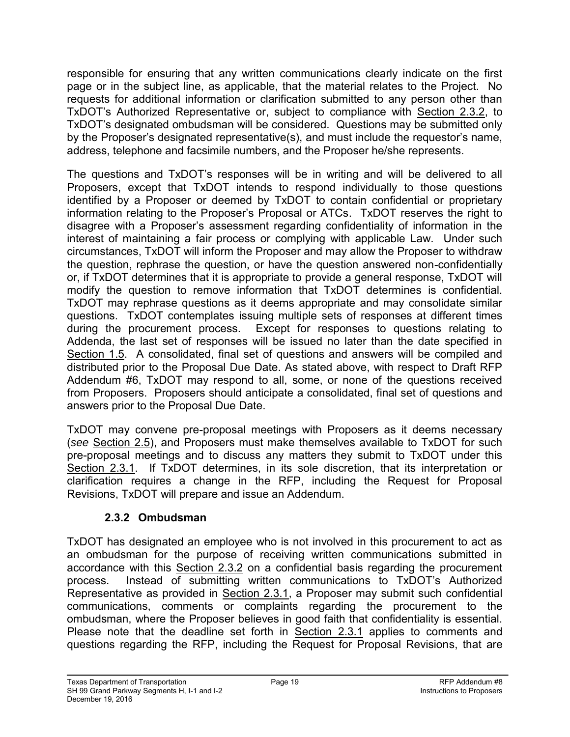responsible for ensuring that any written communications clearly indicate on the first page or in the subject line, as applicable, that the material relates to the Project. No requests for additional information or clarification submitted to any person other than TxDOT's Authorized Representative or, subject to compliance with Section 2.3.2, to TxDOT's designated ombudsman will be considered. Questions may be submitted only by the Proposer's designated representative(s), and must include the requestor's name, address, telephone and facsimile numbers, and the Proposer he/she represents.

The questions and TxDOT's responses will be in writing and will be delivered to all Proposers, except that TxDOT intends to respond individually to those questions identified by a Proposer or deemed by TxDOT to contain confidential or proprietary information relating to the Proposer's Proposal or ATCs. TxDOT reserves the right to disagree with a Proposer's assessment regarding confidentiality of information in the interest of maintaining a fair process or complying with applicable Law. Under such circumstances, TxDOT will inform the Proposer and may allow the Proposer to withdraw the question, rephrase the question, or have the question answered non-confidentially or, if TxDOT determines that it is appropriate to provide a general response, TxDOT will modify the question to remove information that TxDOT determines is confidential. TxDOT may rephrase questions as it deems appropriate and may consolidate similar questions. TxDOT contemplates issuing multiple sets of responses at different times during the procurement process. Except for responses to questions relating to Addenda, the last set of responses will be issued no later than the date specified in Section 1.5. A consolidated, final set of questions and answers will be compiled and distributed prior to the Proposal Due Date. As stated above, with respect to Draft RFP Addendum #6, TxDOT may respond to all, some, or none of the questions received from Proposers. Proposers should anticipate a consolidated, final set of questions and answers prior to the Proposal Due Date.

TxDOT may convene pre-proposal meetings with Proposers as it deems necessary (*see* Section 2.5), and Proposers must make themselves available to TxDOT for such pre-proposal meetings and to discuss any matters they submit to TxDOT under this Section 2.3.1. If TxDOT determines, in its sole discretion, that its interpretation or clarification requires a change in the RFP, including the Request for Proposal Revisions, TxDOT will prepare and issue an Addendum.

## **2.3.2 Ombudsman**

<span id="page-26-0"></span>TxDOT has designated an employee who is not involved in this procurement to act as an ombudsman for the purpose of receiving written communications submitted in accordance with this Section 2.3.2 on a confidential basis regarding the procurement process. Instead of submitting written communications to TxDOT's Authorized Representative as provided in Section 2.3.1, a Proposer may submit such confidential communications, comments or complaints regarding the procurement to the ombudsman, where the Proposer believes in good faith that confidentiality is essential. Please note that the deadline set forth in Section 2.3.1 applies to comments and questions regarding the RFP, including the Request for Proposal Revisions, that are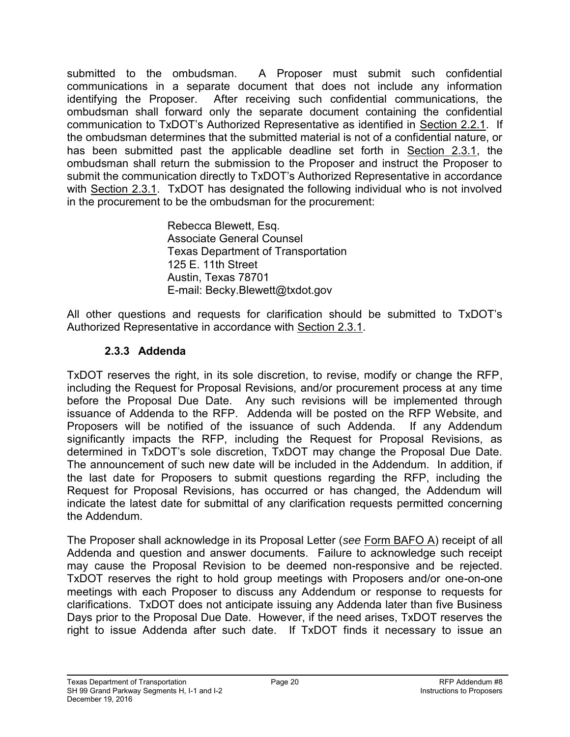submitted to the ombudsman. A Proposer must submit such confidential communications in a separate document that does not include any information identifying the Proposer. After receiving such confidential communications, the ombudsman shall forward only the separate document containing the confidential communication to TxDOT's Authorized Representative as identified in Section 2.2.1. If the ombudsman determines that the submitted material is not of a confidential nature, or has been submitted past the applicable deadline set forth in Section 2.3.1, the ombudsman shall return the submission to the Proposer and instruct the Proposer to submit the communication directly to TxDOT's Authorized Representative in accordance with Section 2.3.1. TxDOT has designated the following individual who is not involved in the procurement to be the ombudsman for the procurement:

> Rebecca Blewett, Esq. Associate General Counsel Texas Department of Transportation 125 E. 11th Street Austin, Texas 78701 E-mail: Becky.Blewett@txdot.gov

<span id="page-27-0"></span>All other questions and requests for clarification should be submitted to TxDOT's Authorized Representative in accordance with Section 2.3.1.

## **2.3.3 Addenda**

TxDOT reserves the right, in its sole discretion, to revise, modify or change the RFP, including the Request for Proposal Revisions, and/or procurement process at any time before the Proposal Due Date. Any such revisions will be implemented through issuance of Addenda to the RFP. Addenda will be posted on the RFP Website, and Proposers will be notified of the issuance of such Addenda. If any Addendum significantly impacts the RFP, including the Request for Proposal Revisions, as determined in TxDOT's sole discretion, TxDOT may change the Proposal Due Date. The announcement of such new date will be included in the Addendum. In addition, if the last date for Proposers to submit questions regarding the RFP, including the Request for Proposal Revisions, has occurred or has changed, the Addendum will indicate the latest date for submittal of any clarification requests permitted concerning the Addendum.

The Proposer shall acknowledge in its Proposal Letter (*see* Form BAFO A) receipt of all Addenda and question and answer documents. Failure to acknowledge such receipt may cause the Proposal Revision to be deemed non-responsive and be rejected. TxDOT reserves the right to hold group meetings with Proposers and/or one-on-one meetings with each Proposer to discuss any Addendum or response to requests for clarifications. TxDOT does not anticipate issuing any Addenda later than five Business Days prior to the Proposal Due Date. However, if the need arises, TxDOT reserves the right to issue Addenda after such date. If TxDOT finds it necessary to issue an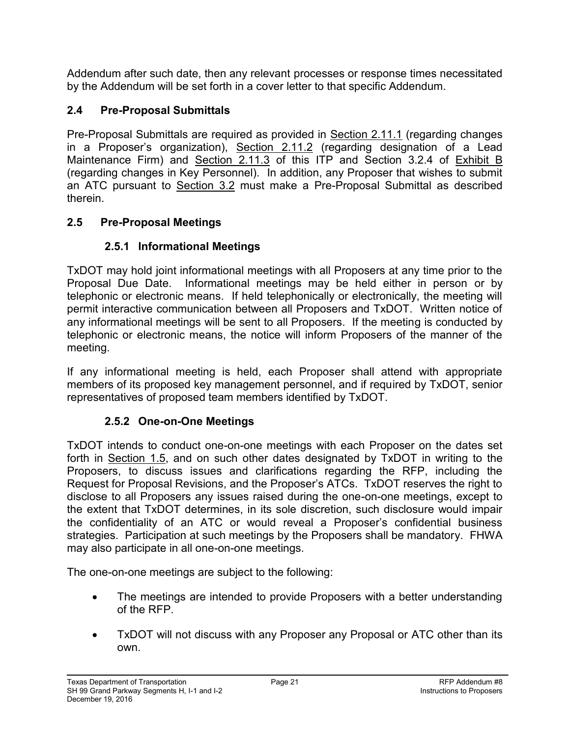Addendum after such date, then any relevant processes or response times necessitated by the Addendum will be set forth in a cover letter to that specific Addendum.

# <span id="page-28-0"></span>**2.4 Pre-Proposal Submittals**

Pre-Proposal Submittals are required as provided in Section 2.11.1 (regarding changes in a Proposer's organization), Section 2.11.2 (regarding designation of a Lead Maintenance Firm) and Section 2.11.3 of this ITP and Section 3.2.4 of Exhibit B (regarding changes in Key Personnel). In addition, any Proposer that wishes to submit an ATC pursuant to Section 3.2 must make a Pre-Proposal Submittal as described therein.

## <span id="page-28-2"></span><span id="page-28-1"></span>**2.5 Pre-Proposal Meetings**

## **2.5.1 Informational Meetings**

TxDOT may hold joint informational meetings with all Proposers at any time prior to the Proposal Due Date. Informational meetings may be held either in person or by telephonic or electronic means. If held telephonically or electronically, the meeting will permit interactive communication between all Proposers and TxDOT. Written notice of any informational meetings will be sent to all Proposers. If the meeting is conducted by telephonic or electronic means, the notice will inform Proposers of the manner of the meeting.

If any informational meeting is held, each Proposer shall attend with appropriate members of its proposed key management personnel, and if required by TxDOT, senior representatives of proposed team members identified by TxDOT.

## **2.5.2 One-on-One Meetings**

<span id="page-28-3"></span>TxDOT intends to conduct one-on-one meetings with each Proposer on the dates set forth in Section 1.5, and on such other dates designated by TxDOT in writing to the Proposers, to discuss issues and clarifications regarding the RFP, including the Request for Proposal Revisions, and the Proposer's ATCs. TxDOT reserves the right to disclose to all Proposers any issues raised during the one-on-one meetings, except to the extent that TxDOT determines, in its sole discretion, such disclosure would impair the confidentiality of an ATC or would reveal a Proposer's confidential business strategies. Participation at such meetings by the Proposers shall be mandatory. FHWA may also participate in all one-on-one meetings.

The one-on-one meetings are subject to the following:

- The meetings are intended to provide Proposers with a better understanding of the RFP.
- TxDOT will not discuss with any Proposer any Proposal or ATC other than its own.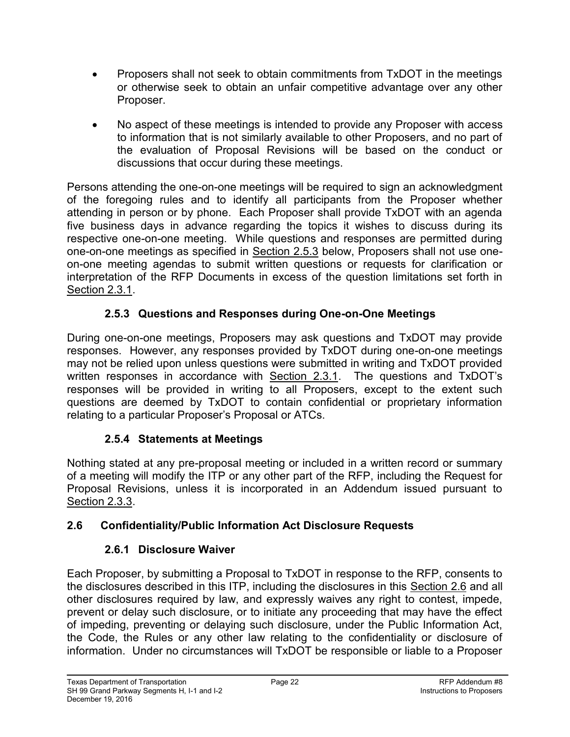- Proposers shall not seek to obtain commitments from TxDOT in the meetings or otherwise seek to obtain an unfair competitive advantage over any other Proposer.
- No aspect of these meetings is intended to provide any Proposer with access to information that is not similarly available to other Proposers, and no part of the evaluation of Proposal Revisions will be based on the conduct or discussions that occur during these meetings.

Persons attending the one-on-one meetings will be required to sign an acknowledgment of the foregoing rules and to identify all participants from the Proposer whether attending in person or by phone. Each Proposer shall provide TxDOT with an agenda five business days in advance regarding the topics it wishes to discuss during its respective one-on-one meeting. While questions and responses are permitted during one-on-one meetings as specified in Section 2.5.3 below, Proposers shall not use oneon-one meeting agendas to submit written questions or requests for clarification or interpretation of the RFP Documents in excess of the question limitations set forth in Section 2.3.1.

## **2.5.3 Questions and Responses during One-on-One Meetings**

<span id="page-29-0"></span>During one-on-one meetings, Proposers may ask questions and TxDOT may provide responses. However, any responses provided by TxDOT during one-on-one meetings may not be relied upon unless questions were submitted in writing and TxDOT provided written responses in accordance with Section 2.3.1. The questions and TxDOT's responses will be provided in writing to all Proposers, except to the extent such questions are deemed by TxDOT to contain confidential or proprietary information relating to a particular Proposer's Proposal or ATCs.

## **2.5.4 Statements at Meetings**

<span id="page-29-1"></span>Nothing stated at any pre-proposal meeting or included in a written record or summary of a meeting will modify the ITP or any other part of the RFP, including the Request for Proposal Revisions, unless it is incorporated in an Addendum issued pursuant to Section 2.3.3.

## <span id="page-29-3"></span><span id="page-29-2"></span>**2.6 Confidentiality/Public Information Act Disclosure Requests**

# **2.6.1 Disclosure Waiver**

Each Proposer, by submitting a Proposal to TxDOT in response to the RFP, consents to the disclosures described in this ITP, including the disclosures in this Section 2.6 and all other disclosures required by law, and expressly waives any right to contest, impede, prevent or delay such disclosure, or to initiate any proceeding that may have the effect of impeding, preventing or delaying such disclosure, under the Public Information Act, the Code, the Rules or any other law relating to the confidentiality or disclosure of information. Under no circumstances will TxDOT be responsible or liable to a Proposer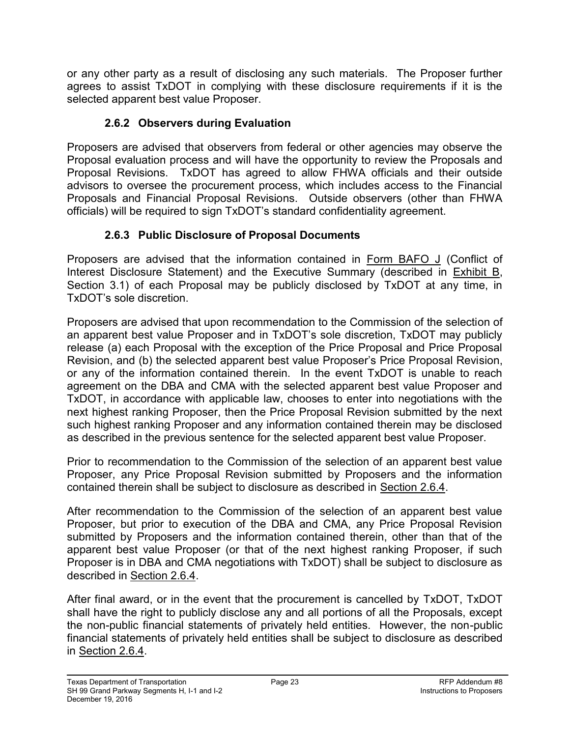or any other party as a result of disclosing any such materials. The Proposer further agrees to assist TxDOT in complying with these disclosure requirements if it is the selected apparent best value Proposer.

## **2.6.2 Observers during Evaluation**

<span id="page-30-0"></span>Proposers are advised that observers from federal or other agencies may observe the Proposal evaluation process and will have the opportunity to review the Proposals and Proposal Revisions. TxDOT has agreed to allow FHWA officials and their outside advisors to oversee the procurement process, which includes access to the Financial Proposals and Financial Proposal Revisions. Outside observers (other than FHWA officials) will be required to sign TxDOT's standard confidentiality agreement.

# **2.6.3 Public Disclosure of Proposal Documents**

<span id="page-30-1"></span>Proposers are advised that the information contained in Form BAFO J (Conflict of Interest Disclosure Statement) and the Executive Summary (described in Exhibit B, Section 3.1) of each Proposal may be publicly disclosed by TxDOT at any time, in TxDOT's sole discretion.

Proposers are advised that upon recommendation to the Commission of the selection of an apparent best value Proposer and in TxDOT's sole discretion, TxDOT may publicly release (a) each Proposal with the exception of the Price Proposal and Price Proposal Revision, and (b) the selected apparent best value Proposer's Price Proposal Revision, or any of the information contained therein. In the event TxDOT is unable to reach agreement on the DBA and CMA with the selected apparent best value Proposer and TxDOT, in accordance with applicable law, chooses to enter into negotiations with the next highest ranking Proposer, then the Price Proposal Revision submitted by the next such highest ranking Proposer and any information contained therein may be disclosed as described in the previous sentence for the selected apparent best value Proposer.

Prior to recommendation to the Commission of the selection of an apparent best value Proposer, any Price Proposal Revision submitted by Proposers and the information contained therein shall be subject to disclosure as described in Section 2.6.4.

After recommendation to the Commission of the selection of an apparent best value Proposer, but prior to execution of the DBA and CMA, any Price Proposal Revision submitted by Proposers and the information contained therein, other than that of the apparent best value Proposer (or that of the next highest ranking Proposer, if such Proposer is in DBA and CMA negotiations with TxDOT) shall be subject to disclosure as described in Section 2.6.4.

After final award, or in the event that the procurement is cancelled by TxDOT, TxDOT shall have the right to publicly disclose any and all portions of all the Proposals, except the non-public financial statements of privately held entities. However, the non-public financial statements of privately held entities shall be subject to disclosure as described in Section 2.6.4.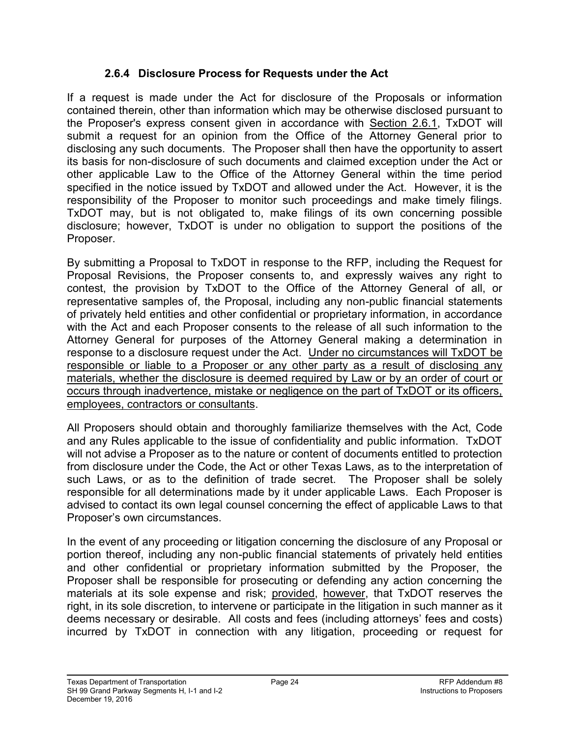## **2.6.4 Disclosure Process for Requests under the Act**

<span id="page-31-0"></span>If a request is made under the Act for disclosure of the Proposals or information contained therein, other than information which may be otherwise disclosed pursuant to the Proposer's express consent given in accordance with Section 2.6.1, TxDOT will submit a request for an opinion from the Office of the Attorney General prior to disclosing any such documents. The Proposer shall then have the opportunity to assert its basis for non-disclosure of such documents and claimed exception under the Act or other applicable Law to the Office of the Attorney General within the time period specified in the notice issued by TxDOT and allowed under the Act. However, it is the responsibility of the Proposer to monitor such proceedings and make timely filings. TxDOT may, but is not obligated to, make filings of its own concerning possible disclosure; however, TxDOT is under no obligation to support the positions of the Proposer.

By submitting a Proposal to TxDOT in response to the RFP, including the Request for Proposal Revisions, the Proposer consents to, and expressly waives any right to contest, the provision by TxDOT to the Office of the Attorney General of all, or representative samples of, the Proposal, including any non-public financial statements of privately held entities and other confidential or proprietary information, in accordance with the Act and each Proposer consents to the release of all such information to the Attorney General for purposes of the Attorney General making a determination in response to a disclosure request under the Act. Under no circumstances will TxDOT be responsible or liable to a Proposer or any other party as a result of disclosing any materials, whether the disclosure is deemed required by Law or by an order of court or occurs through inadvertence, mistake or negligence on the part of TxDOT or its officers, employees, contractors or consultants.

All Proposers should obtain and thoroughly familiarize themselves with the Act, Code and any Rules applicable to the issue of confidentiality and public information. TxDOT will not advise a Proposer as to the nature or content of documents entitled to protection from disclosure under the Code, the Act or other Texas Laws, as to the interpretation of such Laws, or as to the definition of trade secret. The Proposer shall be solely responsible for all determinations made by it under applicable Laws. Each Proposer is advised to contact its own legal counsel concerning the effect of applicable Laws to that Proposer's own circumstances.

In the event of any proceeding or litigation concerning the disclosure of any Proposal or portion thereof, including any non-public financial statements of privately held entities and other confidential or proprietary information submitted by the Proposer, the Proposer shall be responsible for prosecuting or defending any action concerning the materials at its sole expense and risk; provided, however, that TxDOT reserves the right, in its sole discretion, to intervene or participate in the litigation in such manner as it deems necessary or desirable. All costs and fees (including attorneys' fees and costs) incurred by TxDOT in connection with any litigation, proceeding or request for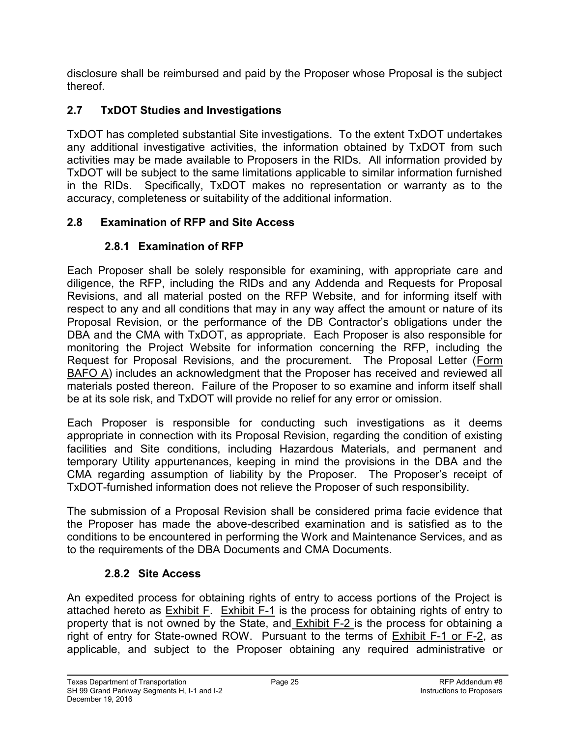disclosure shall be reimbursed and paid by the Proposer whose Proposal is the subject thereof.

# <span id="page-32-0"></span>**2.7 TxDOT Studies and Investigations**

TxDOT has completed substantial Site investigations. To the extent TxDOT undertakes any additional investigative activities, the information obtained by TxDOT from such activities may be made available to Proposers in the RIDs. All information provided by TxDOT will be subject to the same limitations applicable to similar information furnished in the RIDs. Specifically, TxDOT makes no representation or warranty as to the accuracy, completeness or suitability of the additional information.

## <span id="page-32-2"></span><span id="page-32-1"></span>**2.8 Examination of RFP and Site Access**

## **2.8.1 Examination of RFP**

Each Proposer shall be solely responsible for examining, with appropriate care and diligence, the RFP, including the RIDs and any Addenda and Requests for Proposal Revisions, and all material posted on the RFP Website, and for informing itself with respect to any and all conditions that may in any way affect the amount or nature of its Proposal Revision, or the performance of the DB Contractor's obligations under the DBA and the CMA with TxDOT, as appropriate. Each Proposer is also responsible for monitoring the Project Website for information concerning the RFP, including the Request for Proposal Revisions, and the procurement. The Proposal Letter (Form BAFO A) includes an acknowledgment that the Proposer has received and reviewed all materials posted thereon. Failure of the Proposer to so examine and inform itself shall be at its sole risk, and TxDOT will provide no relief for any error or omission.

Each Proposer is responsible for conducting such investigations as it deems appropriate in connection with its Proposal Revision, regarding the condition of existing facilities and Site conditions, including Hazardous Materials, and permanent and temporary Utility appurtenances, keeping in mind the provisions in the DBA and the CMA regarding assumption of liability by the Proposer. The Proposer's receipt of TxDOT-furnished information does not relieve the Proposer of such responsibility.

The submission of a Proposal Revision shall be considered prima facie evidence that the Proposer has made the above-described examination and is satisfied as to the conditions to be encountered in performing the Work and Maintenance Services, and as to the requirements of the DBA Documents and CMA Documents.

## **2.8.2 Site Access**

<span id="page-32-3"></span>An expedited process for obtaining rights of entry to access portions of the Project is attached hereto as Exhibit F. Exhibit F-1 is the process for obtaining rights of entry to property that is not owned by the State, and **Exhibit F-2** is the process for obtaining a right of entry for State-owned ROW. Pursuant to the terms of Exhibit F-1 or F-2, as applicable, and subject to the Proposer obtaining any required administrative or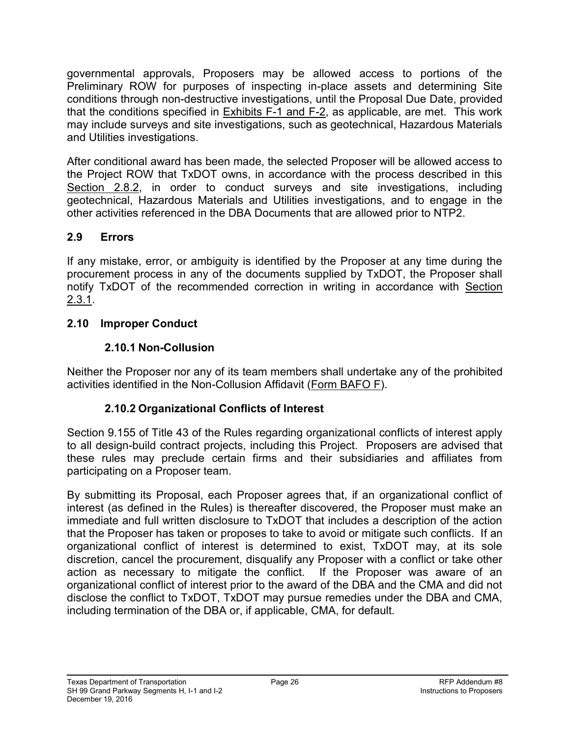governmental approvals, Proposers may be allowed access to portions of the Preliminary ROW for purposes of inspecting in-place assets and determining Site conditions through non-destructive investigations, until the Proposal Due Date, provided that the conditions specified in  $Exhibits F-1$  and  $F-2$ , as applicable, are met. This work may include surveys and site investigations, such as geotechnical, Hazardous Materials and Utilities investigations.

After conditional award has been made, the selected Proposer will be allowed access to the Project ROW that TxDOT owns, in accordance with the process described in this Section 2.8.2, in order to conduct surveys and site investigations, including geotechnical, Hazardous Materials and Utilities investigations, and to engage in the other activities referenced in the DBA Documents that are allowed prior to NTP2.

## <span id="page-33-0"></span>**2.9 Errors**

If any mistake, error, or ambiguity is identified by the Proposer at any time during the procurement process in any of the documents supplied by TxDOT, the Proposer shall notify TxDOT of the recommended correction in writing in accordance with Section 2.3.1.

## <span id="page-33-2"></span><span id="page-33-1"></span>**2.10 Improper Conduct**

## **2.10.1 Non-Collusion**

<span id="page-33-3"></span>Neither the Proposer nor any of its team members shall undertake any of the prohibited activities identified in the Non-Collusion Affidavit (Form BAFO F).

## **2.10.2 Organizational Conflicts of Interest**

Section 9.155 of Title 43 of the Rules regarding organizational conflicts of interest apply to all design-build contract projects, including this Project. Proposers are advised that these rules may preclude certain firms and their subsidiaries and affiliates from participating on a Proposer team.

By submitting its Proposal, each Proposer agrees that, if an organizational conflict of interest (as defined in the Rules) is thereafter discovered, the Proposer must make an immediate and full written disclosure to TxDOT that includes a description of the action that the Proposer has taken or proposes to take to avoid or mitigate such conflicts. If an organizational conflict of interest is determined to exist, TxDOT may, at its sole discretion, cancel the procurement, disqualify any Proposer with a conflict or take other action as necessary to mitigate the conflict. If the Proposer was aware of an organizational conflict of interest prior to the award of the DBA and the CMA and did not disclose the conflict to TxDOT, TxDOT may pursue remedies under the DBA and CMA, including termination of the DBA or, if applicable, CMA, for default.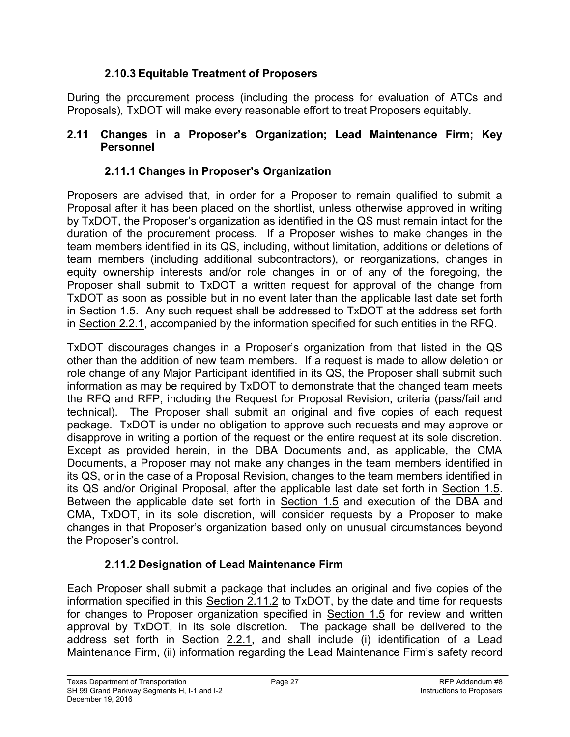## **2.10.3 Equitable Treatment of Proposers**

<span id="page-34-0"></span>During the procurement process (including the process for evaluation of ATCs and Proposals), TxDOT will make every reasonable effort to treat Proposers equitably.

#### <span id="page-34-2"></span><span id="page-34-1"></span>**2.11 Changes in a Proposer's Organization; Lead Maintenance Firm; Key Personnel**

## **2.11.1 Changes in Proposer's Organization**

Proposers are advised that, in order for a Proposer to remain qualified to submit a Proposal after it has been placed on the shortlist, unless otherwise approved in writing by TxDOT, the Proposer's organization as identified in the QS must remain intact for the duration of the procurement process. If a Proposer wishes to make changes in the team members identified in its QS, including, without limitation, additions or deletions of team members (including additional subcontractors), or reorganizations, changes in equity ownership interests and/or role changes in or of any of the foregoing, the Proposer shall submit to TxDOT a written request for approval of the change from TxDOT as soon as possible but in no event later than the applicable last date set forth in Section 1.5. Any such request shall be addressed to TxDOT at the address set forth in Section 2.2.1, accompanied by the information specified for such entities in the RFQ.

TxDOT discourages changes in a Proposer's organization from that listed in the QS other than the addition of new team members. If a request is made to allow deletion or role change of any Major Participant identified in its QS, the Proposer shall submit such information as may be required by TxDOT to demonstrate that the changed team meets the RFQ and RFP, including the Request for Proposal Revision, criteria (pass/fail and technical). The Proposer shall submit an original and five copies of each request package. TxDOT is under no obligation to approve such requests and may approve or disapprove in writing a portion of the request or the entire request at its sole discretion. Except as provided herein, in the DBA Documents and, as applicable, the CMA Documents, a Proposer may not make any changes in the team members identified in its QS, or in the case of a Proposal Revision, changes to the team members identified in its QS and/or Original Proposal, after the applicable last date set forth in Section 1.5. Between the applicable date set forth in Section 1.5 and execution of the DBA and CMA, TxDOT, in its sole discretion, will consider requests by a Proposer to make changes in that Proposer's organization based only on unusual circumstances beyond the Proposer's control.

## **2.11.2 Designation of Lead Maintenance Firm**

<span id="page-34-3"></span>Each Proposer shall submit a package that includes an original and five copies of the information specified in this Section 2.11.2 to TxDOT, by the date and time for requests for changes to Proposer organization specified in Section 1.5 for review and written approval by TxDOT, in its sole discretion. The package shall be delivered to the address set forth in Section 2.2.1, and shall include (i) identification of a Lead Maintenance Firm, (ii) information regarding the Lead Maintenance Firm's safety record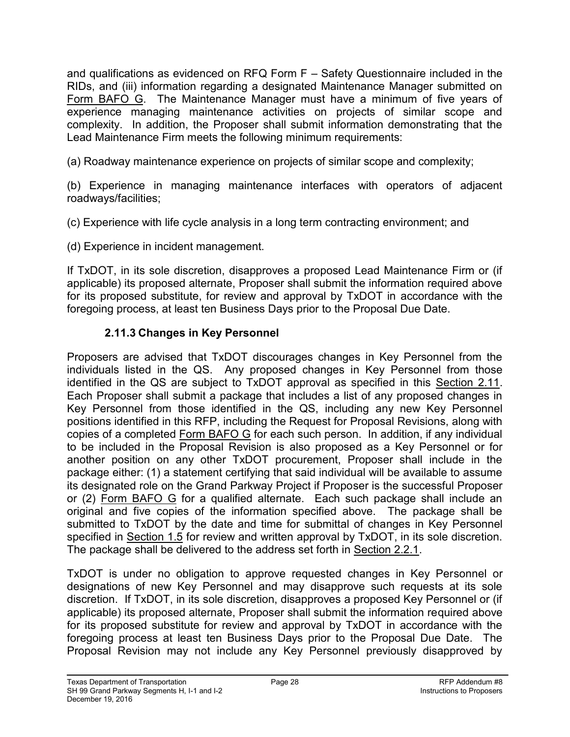and qualifications as evidenced on RFQ Form F – Safety Questionnaire included in the RIDs, and (iii) information regarding a designated Maintenance Manager submitted on Form BAFO G. The Maintenance Manager must have a minimum of five years of experience managing maintenance activities on projects of similar scope and complexity. In addition, the Proposer shall submit information demonstrating that the Lead Maintenance Firm meets the following minimum requirements:

(a) Roadway maintenance experience on projects of similar scope and complexity;

(b) Experience in managing maintenance interfaces with operators of adjacent roadways/facilities;

(c) Experience with life cycle analysis in a long term contracting environment; and

(d) Experience in incident management.

If TxDOT, in its sole discretion, disapproves a proposed Lead Maintenance Firm or (if applicable) its proposed alternate, Proposer shall submit the information required above for its proposed substitute, for review and approval by TxDOT in accordance with the foregoing process, at least ten Business Days prior to the Proposal Due Date.

## **2.11.3 Changes in Key Personnel**

<span id="page-35-0"></span>Proposers are advised that TxDOT discourages changes in Key Personnel from the individuals listed in the QS. Any proposed changes in Key Personnel from those identified in the QS are subject to TxDOT approval as specified in this Section 2.11. Each Proposer shall submit a package that includes a list of any proposed changes in Key Personnel from those identified in the QS, including any new Key Personnel positions identified in this RFP, including the Request for Proposal Revisions, along with copies of a completed Form BAFO G for each such person. In addition, if any individual to be included in the Proposal Revision is also proposed as a Key Personnel or for another position on any other TxDOT procurement, Proposer shall include in the package either: (1) a statement certifying that said individual will be available to assume its designated role on the Grand Parkway Project if Proposer is the successful Proposer or (2) Form BAFO G for a qualified alternate. Each such package shall include an original and five copies of the information specified above. The package shall be submitted to TxDOT by the date and time for submittal of changes in Key Personnel specified in Section 1.5 for review and written approval by TxDOT, in its sole discretion. The package shall be delivered to the address set forth in Section 2.2.1.

TxDOT is under no obligation to approve requested changes in Key Personnel or designations of new Key Personnel and may disapprove such requests at its sole discretion. If TxDOT, in its sole discretion, disapproves a proposed Key Personnel or (if applicable) its proposed alternate, Proposer shall submit the information required above for its proposed substitute for review and approval by TxDOT in accordance with the foregoing process at least ten Business Days prior to the Proposal Due Date. The Proposal Revision may not include any Key Personnel previously disapproved by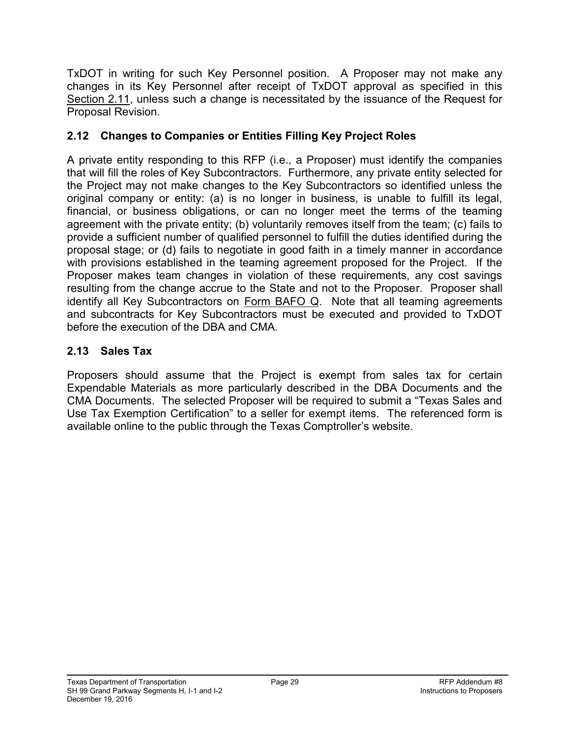TxDOT in writing for such Key Personnel position. A Proposer may not make any changes in its Key Personnel after receipt of TxDOT approval as specified in this Section 2.11, unless such a change is necessitated by the issuance of the Request for Proposal Revision.

## **2.12 Changes to Companies or Entities Filling Key Project Roles**

A private entity responding to this RFP (i.e., a Proposer) must identify the companies that will fill the roles of Key Subcontractors. Furthermore, any private entity selected for the Project may not make changes to the Key Subcontractors so identified unless the original company or entity: (a) is no longer in business, is unable to fulfill its legal, financial, or business obligations, or can no longer meet the terms of the teaming agreement with the private entity; (b) voluntarily removes itself from the team; (c) fails to provide a sufficient number of qualified personnel to fulfill the duties identified during the proposal stage; or (d) fails to negotiate in good faith in a timely manner in accordance with provisions established in the teaming agreement proposed for the Project. If the Proposer makes team changes in violation of these requirements, any cost savings resulting from the change accrue to the State and not to the Proposer. Proposer shall identify all Key Subcontractors on Form BAFO Q. Note that all teaming agreements and subcontracts for Key Subcontractors must be executed and provided to TxDOT before the execution of the DBA and CMA.

### **2.13 Sales Tax**

Proposers should assume that the Project is exempt from sales tax for certain Expendable Materials as more particularly described in the DBA Documents and the CMA Documents. The selected Proposer will be required to submit a "Texas Sales and Use Tax Exemption Certification" to a seller for exempt items. The referenced form is available online to the public through the Texas Comptroller's website.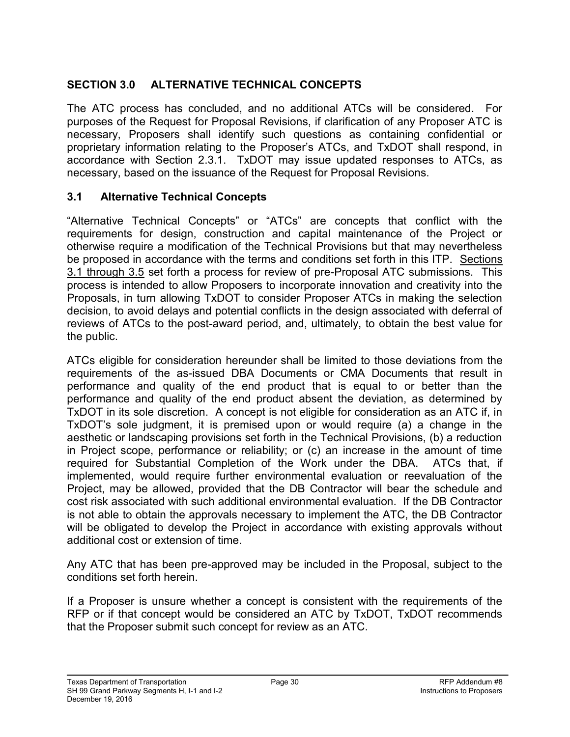## **SECTION 3.0 ALTERNATIVE TECHNICAL CONCEPTS**

The ATC process has concluded, and no additional ATCs will be considered. For purposes of the Request for Proposal Revisions, if clarification of any Proposer ATC is necessary, Proposers shall identify such questions as containing confidential or proprietary information relating to the Proposer's ATCs, and TxDOT shall respond, in accordance with Section 2.3.1. TxDOT may issue updated responses to ATCs, as necessary, based on the issuance of the Request for Proposal Revisions.

#### **3.1 Alternative Technical Concepts**

"Alternative Technical Concepts" or "ATCs" are concepts that conflict with the requirements for design, construction and capital maintenance of the Project or otherwise require a modification of the Technical Provisions but that may nevertheless be proposed in accordance with the terms and conditions set forth in this ITP. Sections 3.1 through 3.5 set forth a process for review of pre-Proposal ATC submissions. This process is intended to allow Proposers to incorporate innovation and creativity into the Proposals, in turn allowing TxDOT to consider Proposer ATCs in making the selection decision, to avoid delays and potential conflicts in the design associated with deferral of reviews of ATCs to the post-award period, and, ultimately, to obtain the best value for the public.

ATCs eligible for consideration hereunder shall be limited to those deviations from the requirements of the as-issued DBA Documents or CMA Documents that result in performance and quality of the end product that is equal to or better than the performance and quality of the end product absent the deviation, as determined by TxDOT in its sole discretion. A concept is not eligible for consideration as an ATC if, in TxDOT's sole judgment, it is premised upon or would require (a) a change in the aesthetic or landscaping provisions set forth in the Technical Provisions, (b) a reduction in Project scope, performance or reliability; or (c) an increase in the amount of time required for Substantial Completion of the Work under the DBA.ATCs that, if implemented, would require further environmental evaluation or reevaluation of the Project, may be allowed, provided that the DB Contractor will bear the schedule and cost risk associated with such additional environmental evaluation. If the DB Contractor is not able to obtain the approvals necessary to implement the ATC, the DB Contractor will be obligated to develop the Project in accordance with existing approvals without additional cost or extension of time.

Any ATC that has been pre-approved may be included in the Proposal, subject to the conditions set forth herein.

If a Proposer is unsure whether a concept is consistent with the requirements of the RFP or if that concept would be considered an ATC by TxDOT, TxDOT recommends that the Proposer submit such concept for review as an ATC.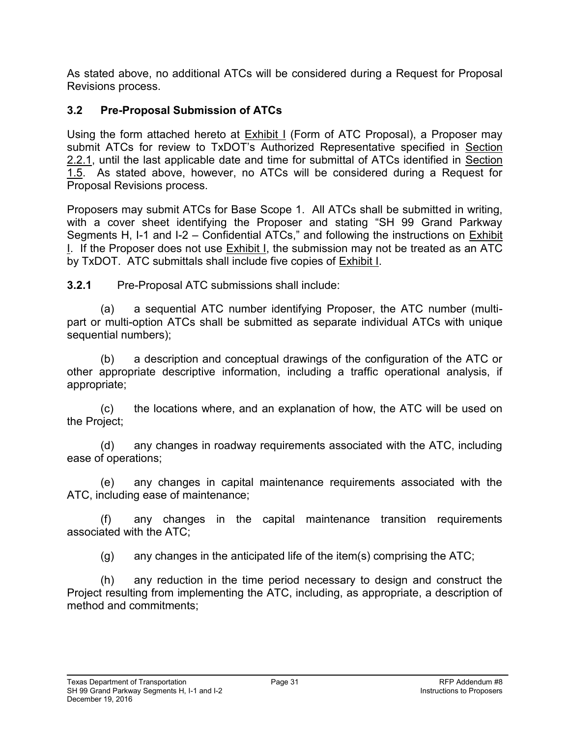As stated above, no additional ATCs will be considered during a Request for Proposal Revisions process.

## **3.2 Pre-Proposal Submission of ATCs**

Using the form attached hereto at Exhibit I (Form of ATC Proposal), a Proposer may submit ATCs for review to TxDOT's Authorized Representative specified in Section 2.2.1, until the last applicable date and time for submittal of ATCs identified in Section 1.5. As stated above, however, no ATCs will be considered during a Request for Proposal Revisions process.

Proposers may submit ATCs for Base Scope 1. All ATCs shall be submitted in writing, with a cover sheet identifying the Proposer and stating "SH 99 Grand Parkway Segments H, I-1 and I-2 – Confidential ATCs," and following the instructions on Exhibit I. If the Proposer does not use Exhibit I, the submission may not be treated as an ATC by TxDOT. ATC submittals shall include five copies of **Exhibit I**.

**3.2.1** Pre-Proposal ATC submissions shall include:

(a) a sequential ATC number identifying Proposer, the ATC number (multipart or multi-option ATCs shall be submitted as separate individual ATCs with unique sequential numbers);

(b) a description and conceptual drawings of the configuration of the ATC or other appropriate descriptive information, including a traffic operational analysis, if appropriate;

(c) the locations where, and an explanation of how, the ATC will be used on the Project;

(d) any changes in roadway requirements associated with the ATC, including ease of operations;

(e) any changes in capital maintenance requirements associated with the ATC, including ease of maintenance;

(f) any changes in the capital maintenance transition requirements associated with the ATC;

(g) any changes in the anticipated life of the item(s) comprising the ATC;

(h) any reduction in the time period necessary to design and construct the Project resulting from implementing the ATC, including, as appropriate, a description of method and commitments;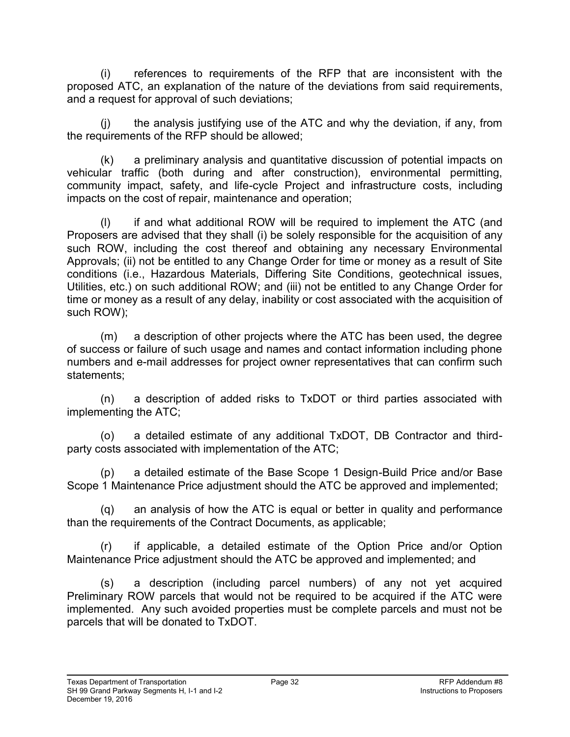(i) references to requirements of the RFP that are inconsistent with the proposed ATC, an explanation of the nature of the deviations from said requirements, and a request for approval of such deviations;

(j) the analysis justifying use of the ATC and why the deviation, if any, from the requirements of the RFP should be allowed;

(k) a preliminary analysis and quantitative discussion of potential impacts on vehicular traffic (both during and after construction), environmental permitting, community impact, safety, and life-cycle Project and infrastructure costs, including impacts on the cost of repair, maintenance and operation;

(l) if and what additional ROW will be required to implement the ATC (and Proposers are advised that they shall (i) be solely responsible for the acquisition of any such ROW, including the cost thereof and obtaining any necessary Environmental Approvals; (ii) not be entitled to any Change Order for time or money as a result of Site conditions (i.e., Hazardous Materials, Differing Site Conditions, geotechnical issues, Utilities, etc.) on such additional ROW; and (iii) not be entitled to any Change Order for time or money as a result of any delay, inability or cost associated with the acquisition of such ROW);

(m) a description of other projects where the ATC has been used, the degree of success or failure of such usage and names and contact information including phone numbers and e-mail addresses for project owner representatives that can confirm such statements;

(n) a description of added risks to TxDOT or third parties associated with implementing the ATC;

(o) a detailed estimate of any additional TxDOT, DB Contractor and thirdparty costs associated with implementation of the ATC;

(p) a detailed estimate of the Base Scope 1 Design-Build Price and/or Base Scope 1 Maintenance Price adjustment should the ATC be approved and implemented;

(q) an analysis of how the ATC is equal or better in quality and performance than the requirements of the Contract Documents, as applicable;

(r) if applicable, a detailed estimate of the Option Price and/or Option Maintenance Price adjustment should the ATC be approved and implemented; and

(s) a description (including parcel numbers) of any not yet acquired Preliminary ROW parcels that would not be required to be acquired if the ATC were implemented. Any such avoided properties must be complete parcels and must not be parcels that will be donated to TxDOT.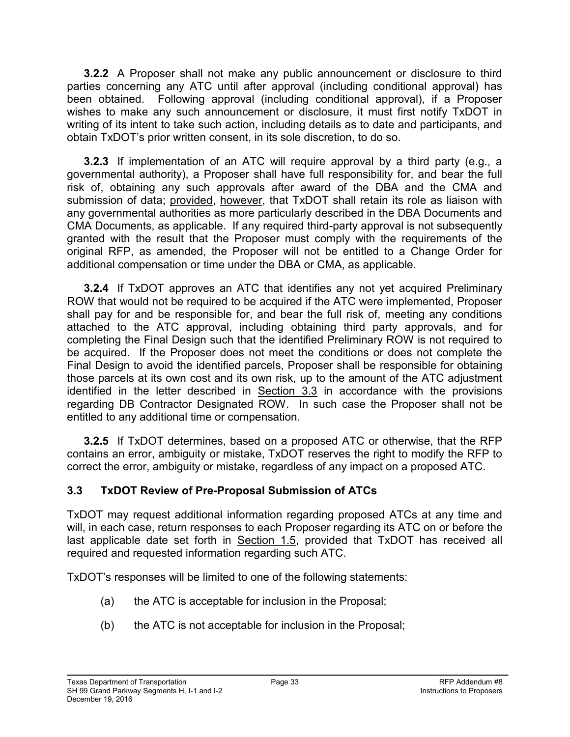**3.2.2** A Proposer shall not make any public announcement or disclosure to third parties concerning any ATC until after approval (including conditional approval) has been obtained. Following approval (including conditional approval), if a Proposer wishes to make any such announcement or disclosure, it must first notify TxDOT in writing of its intent to take such action, including details as to date and participants, and obtain TxDOT's prior written consent, in its sole discretion, to do so.

**3.2.3** If implementation of an ATC will require approval by a third party (e.g., a governmental authority), a Proposer shall have full responsibility for, and bear the full risk of, obtaining any such approvals after award of the DBA and the CMA and submission of data; provided, however, that TxDOT shall retain its role as liaison with any governmental authorities as more particularly described in the DBA Documents and CMA Documents, as applicable. If any required third-party approval is not subsequently granted with the result that the Proposer must comply with the requirements of the original RFP, as amended, the Proposer will not be entitled to a Change Order for additional compensation or time under the DBA or CMA, as applicable.

**3.2.4** If TxDOT approves an ATC that identifies any not yet acquired Preliminary ROW that would not be required to be acquired if the ATC were implemented, Proposer shall pay for and be responsible for, and bear the full risk of, meeting any conditions attached to the ATC approval, including obtaining third party approvals, and for completing the Final Design such that the identified Preliminary ROW is not required to be acquired. If the Proposer does not meet the conditions or does not complete the Final Design to avoid the identified parcels, Proposer shall be responsible for obtaining those parcels at its own cost and its own risk, up to the amount of the ATC adjustment identified in the letter described in Section 3.3 in accordance with the provisions regarding DB Contractor Designated ROW. In such case the Proposer shall not be entitled to any additional time or compensation.

**3.2.5** If TxDOT determines, based on a proposed ATC or otherwise, that the RFP contains an error, ambiguity or mistake, TxDOT reserves the right to modify the RFP to correct the error, ambiguity or mistake, regardless of any impact on a proposed ATC.

## **3.3 TxDOT Review of Pre-Proposal Submission of ATCs**

TxDOT may request additional information regarding proposed ATCs at any time and will, in each case, return responses to each Proposer regarding its ATC on or before the last applicable date set forth in Section 1.5, provided that TxDOT has received all required and requested information regarding such ATC.

TxDOT's responses will be limited to one of the following statements:

- (a) the ATC is acceptable for inclusion in the Proposal;
- (b) the ATC is not acceptable for inclusion in the Proposal;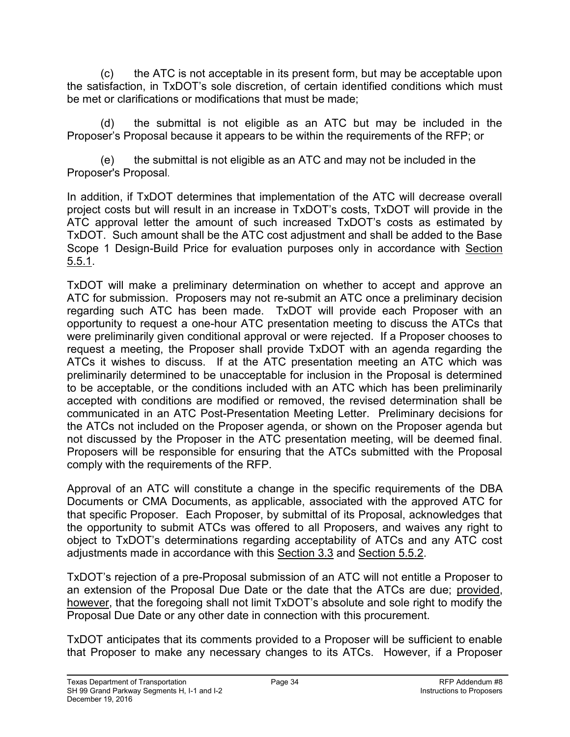(c) the ATC is not acceptable in its present form, but may be acceptable upon the satisfaction, in TxDOT's sole discretion, of certain identified conditions which must be met or clarifications or modifications that must be made;

(d) the submittal is not eligible as an ATC but may be included in the Proposer's Proposal because it appears to be within the requirements of the RFP; or

 (e) the submittal is not eligible as an ATC and may not be included in the Proposer's Proposal.

In addition, if TxDOT determines that implementation of the ATC will decrease overall project costs but will result in an increase in TxDOT's costs, TxDOT will provide in the ATC approval letter the amount of such increased TxDOT's costs as estimated by TxDOT. Such amount shall be the ATC cost adjustment and shall be added to the Base Scope 1 Design-Build Price for evaluation purposes only in accordance with Section 5.5.1.

TxDOT will make a preliminary determination on whether to accept and approve an ATC for submission. Proposers may not re-submit an ATC once a preliminary decision regarding such ATC has been made. TxDOT will provide each Proposer with an opportunity to request a one-hour ATC presentation meeting to discuss the ATCs that were preliminarily given conditional approval or were rejected. If a Proposer chooses to request a meeting, the Proposer shall provide TxDOT with an agenda regarding the ATCs it wishes to discuss. If at the ATC presentation meeting an ATC which was preliminarily determined to be unacceptable for inclusion in the Proposal is determined to be acceptable, or the conditions included with an ATC which has been preliminarily accepted with conditions are modified or removed, the revised determination shall be communicated in an ATC Post-Presentation Meeting Letter. Preliminary decisions for the ATCs not included on the Proposer agenda, or shown on the Proposer agenda but not discussed by the Proposer in the ATC presentation meeting, will be deemed final. Proposers will be responsible for ensuring that the ATCs submitted with the Proposal comply with the requirements of the RFP.

Approval of an ATC will constitute a change in the specific requirements of the DBA Documents or CMA Documents, as applicable, associated with the approved ATC for that specific Proposer. Each Proposer, by submittal of its Proposal, acknowledges that the opportunity to submit ATCs was offered to all Proposers, and waives any right to object to TxDOT's determinations regarding acceptability of ATCs and any ATC cost adjustments made in accordance with this Section 3.3 and Section 5.5.2.

TxDOT's rejection of a pre-Proposal submission of an ATC will not entitle a Proposer to an extension of the Proposal Due Date or the date that the ATCs are due; provided, however, that the foregoing shall not limit TxDOT's absolute and sole right to modify the Proposal Due Date or any other date in connection with this procurement.

TxDOT anticipates that its comments provided to a Proposer will be sufficient to enable that Proposer to make any necessary changes to its ATCs. However, if a Proposer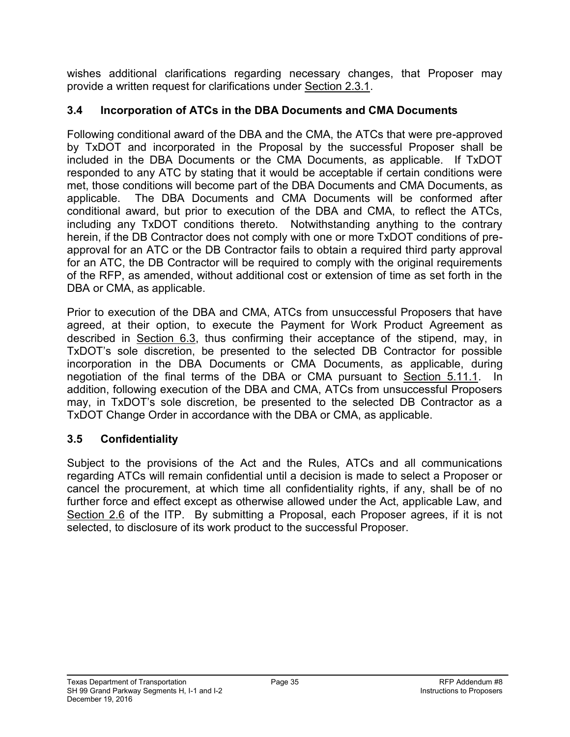wishes additional clarifications regarding necessary changes, that Proposer may provide a written request for clarifications under Section 2.3.1.

### **3.4 Incorporation of ATCs in the DBA Documents and CMA Documents**

Following conditional award of the DBA and the CMA, the ATCs that were pre-approved by TxDOT and incorporated in the Proposal by the successful Proposer shall be included in the DBA Documents or the CMA Documents, as applicable. If TxDOT responded to any ATC by stating that it would be acceptable if certain conditions were met, those conditions will become part of the DBA Documents and CMA Documents, as applicable. The DBA Documents and CMA Documents will be conformed after conditional award, but prior to execution of the DBA and CMA, to reflect the ATCs, including any TxDOT conditions thereto. Notwithstanding anything to the contrary herein, if the DB Contractor does not comply with one or more TxDOT conditions of preapproval for an ATC or the DB Contractor fails to obtain a required third party approval for an ATC, the DB Contractor will be required to comply with the original requirements of the RFP, as amended, without additional cost or extension of time as set forth in the DBA or CMA, as applicable.

Prior to execution of the DBA and CMA, ATCs from unsuccessful Proposers that have agreed, at their option, to execute the Payment for Work Product Agreement as described in Section 6.3, thus confirming their acceptance of the stipend, may, in TxDOT's sole discretion, be presented to the selected DB Contractor for possible incorporation in the DBA Documents or CMA Documents, as applicable, during negotiation of the final terms of the DBA or CMA pursuant to Section 5.11.1. In addition, following execution of the DBA and CMA, ATCs from unsuccessful Proposers may, in TxDOT's sole discretion, be presented to the selected DB Contractor as a TxDOT Change Order in accordance with the DBA or CMA, as applicable.

#### **3.5 Confidentiality**

Subject to the provisions of the Act and the Rules, ATCs and all communications regarding ATCs will remain confidential until a decision is made to select a Proposer or cancel the procurement, at which time all confidentiality rights, if any, shall be of no further force and effect except as otherwise allowed under the Act, applicable Law, and Section 2.6 of the ITP. By submitting a Proposal, each Proposer agrees, if it is not selected, to disclosure of its work product to the successful Proposer.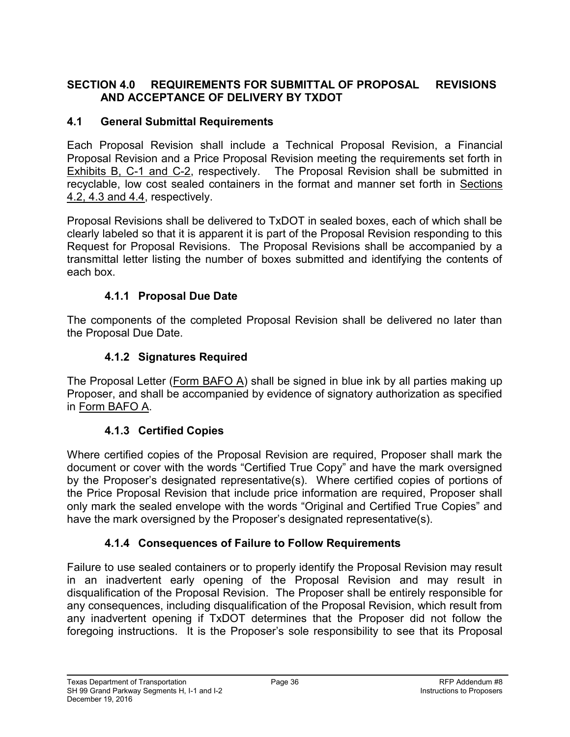#### **SECTION 4.0 REQUIREMENTS FOR SUBMITTAL OF PROPOSAL REVISIONS AND ACCEPTANCE OF DELIVERY BY TXDOT**

#### **4.1 General Submittal Requirements**

Each Proposal Revision shall include a Technical Proposal Revision, a Financial Proposal Revision and a Price Proposal Revision meeting the requirements set forth in Exhibits B, C-1 and C-2, respectively. The Proposal Revision shall be submitted in recyclable, low cost sealed containers in the format and manner set forth in Sections 4.2, 4.3 and 4.4, respectively.

Proposal Revisions shall be delivered to TxDOT in sealed boxes, each of which shall be clearly labeled so that it is apparent it is part of the Proposal Revision responding to this Request for Proposal Revisions. The Proposal Revisions shall be accompanied by a transmittal letter listing the number of boxes submitted and identifying the contents of each box.

### **4.1.1 Proposal Due Date**

The components of the completed Proposal Revision shall be delivered no later than the Proposal Due Date.

### **4.1.2 Signatures Required**

The Proposal Letter (Form BAFO A) shall be signed in blue ink by all parties making up Proposer, and shall be accompanied by evidence of signatory authorization as specified in Form BAFO A.

#### **4.1.3 Certified Copies**

Where certified copies of the Proposal Revision are required, Proposer shall mark the document or cover with the words "Certified True Copy" and have the mark oversigned by the Proposer's designated representative(s). Where certified copies of portions of the Price Proposal Revision that include price information are required, Proposer shall only mark the sealed envelope with the words "Original and Certified True Copies" and have the mark oversigned by the Proposer's designated representative(s).

#### **4.1.4 Consequences of Failure to Follow Requirements**

Failure to use sealed containers or to properly identify the Proposal Revision may result in an inadvertent early opening of the Proposal Revision and may result in disqualification of the Proposal Revision. The Proposer shall be entirely responsible for any consequences, including disqualification of the Proposal Revision, which result from any inadvertent opening if TxDOT determines that the Proposer did not follow the foregoing instructions. It is the Proposer's sole responsibility to see that its Proposal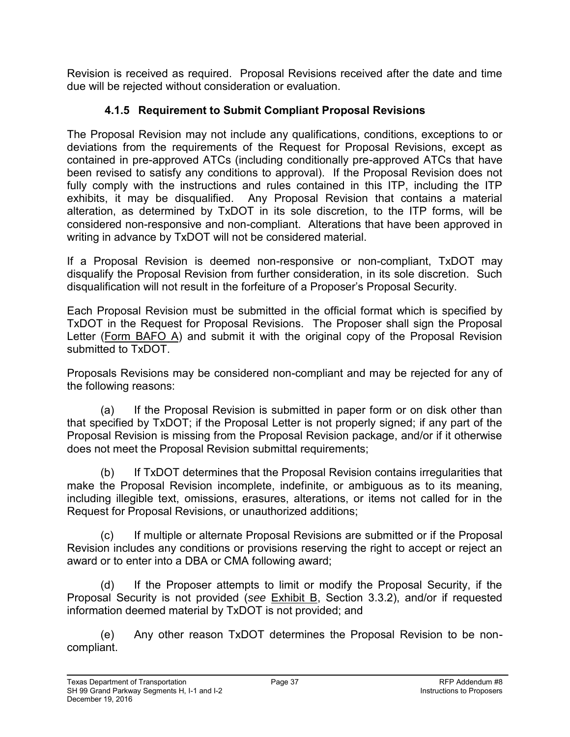Revision is received as required. Proposal Revisions received after the date and time due will be rejected without consideration or evaluation.

# **4.1.5 Requirement to Submit Compliant Proposal Revisions**

The Proposal Revision may not include any qualifications, conditions, exceptions to or deviations from the requirements of the Request for Proposal Revisions, except as contained in pre-approved ATCs (including conditionally pre-approved ATCs that have been revised to satisfy any conditions to approval). If the Proposal Revision does not fully comply with the instructions and rules contained in this ITP, including the ITP exhibits, it may be disqualified. Any Proposal Revision that contains a material alteration, as determined by TxDOT in its sole discretion, to the ITP forms, will be considered non-responsive and non-compliant. Alterations that have been approved in writing in advance by TxDOT will not be considered material.

If a Proposal Revision is deemed non-responsive or non-compliant, TxDOT may disqualify the Proposal Revision from further consideration, in its sole discretion. Such disqualification will not result in the forfeiture of a Proposer's Proposal Security.

Each Proposal Revision must be submitted in the official format which is specified by TxDOT in the Request for Proposal Revisions. The Proposer shall sign the Proposal Letter (Form BAFO A) and submit it with the original copy of the Proposal Revision submitted to TxDOT.

Proposals Revisions may be considered non-compliant and may be rejected for any of the following reasons:

(a) If the Proposal Revision is submitted in paper form or on disk other than that specified by TxDOT; if the Proposal Letter is not properly signed; if any part of the Proposal Revision is missing from the Proposal Revision package, and/or if it otherwise does not meet the Proposal Revision submittal requirements;

(b) If TxDOT determines that the Proposal Revision contains irregularities that make the Proposal Revision incomplete, indefinite, or ambiguous as to its meaning, including illegible text, omissions, erasures, alterations, or items not called for in the Request for Proposal Revisions, or unauthorized additions;

(c) If multiple or alternate Proposal Revisions are submitted or if the Proposal Revision includes any conditions or provisions reserving the right to accept or reject an award or to enter into a DBA or CMA following award;

(d) If the Proposer attempts to limit or modify the Proposal Security, if the Proposal Security is not provided (*see* Exhibit B, Section 3.3.2), and/or if requested information deemed material by TxDOT is not provided; and

(e) Any other reason TxDOT determines the Proposal Revision to be noncompliant.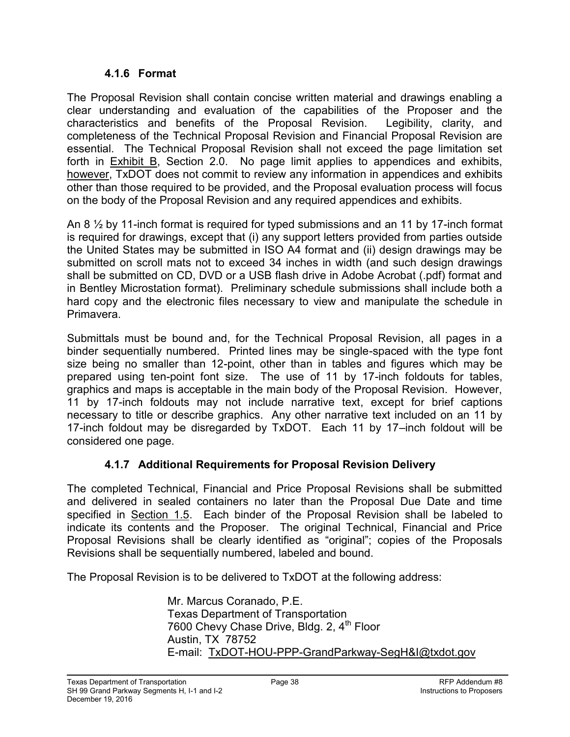#### **4.1.6 Format**

The Proposal Revision shall contain concise written material and drawings enabling a clear understanding and evaluation of the capabilities of the Proposer and the characteristics and benefits of the Proposal Revision. Legibility, clarity, and completeness of the Technical Proposal Revision and Financial Proposal Revision are essential. The Technical Proposal Revision shall not exceed the page limitation set forth in  $Exhibit B$ , Section 2.0. No page limit applies to appendices and exhibits, however, TxDOT does not commit to review any information in appendices and exhibits other than those required to be provided, and the Proposal evaluation process will focus on the body of the Proposal Revision and any required appendices and exhibits.

An 8 ½ by 11-inch format is required for typed submissions and an 11 by 17-inch format is required for drawings, except that (i) any support letters provided from parties outside the United States may be submitted in ISO A4 format and (ii) design drawings may be submitted on scroll mats not to exceed 34 inches in width (and such design drawings shall be submitted on CD, DVD or a USB flash drive in Adobe Acrobat (.pdf) format and in Bentley Microstation format). Preliminary schedule submissions shall include both a hard copy and the electronic files necessary to view and manipulate the schedule in Primavera.

Submittals must be bound and, for the Technical Proposal Revision, all pages in a binder sequentially numbered. Printed lines may be single-spaced with the type font size being no smaller than 12-point, other than in tables and figures which may be prepared using ten-point font size. The use of 11 by 17-inch foldouts for tables, graphics and maps is acceptable in the main body of the Proposal Revision. However, 11 by 17-inch foldouts may not include narrative text, except for brief captions necessary to title or describe graphics. Any other narrative text included on an 11 by 17-inch foldout may be disregarded by TxDOT. Each 11 by 17–inch foldout will be considered one page.

## **4.1.7 Additional Requirements for Proposal Revision Delivery**

The completed Technical, Financial and Price Proposal Revisions shall be submitted and delivered in sealed containers no later than the Proposal Due Date and time specified in Section 1.5. Each binder of the Proposal Revision shall be labeled to indicate its contents and the Proposer. The original Technical, Financial and Price Proposal Revisions shall be clearly identified as "original"; copies of the Proposals Revisions shall be sequentially numbered, labeled and bound.

The Proposal Revision is to be delivered to TxDOT at the following address:

Mr. Marcus Coranado, P.E. Texas Department of Transportation 7600 Chevy Chase Drive, Bldg. 2, 4<sup>th</sup> Floor Austin, TX 78752 E-mail: TxDOT-HOU-PPP-GrandParkway-SegH&I@txdot.gov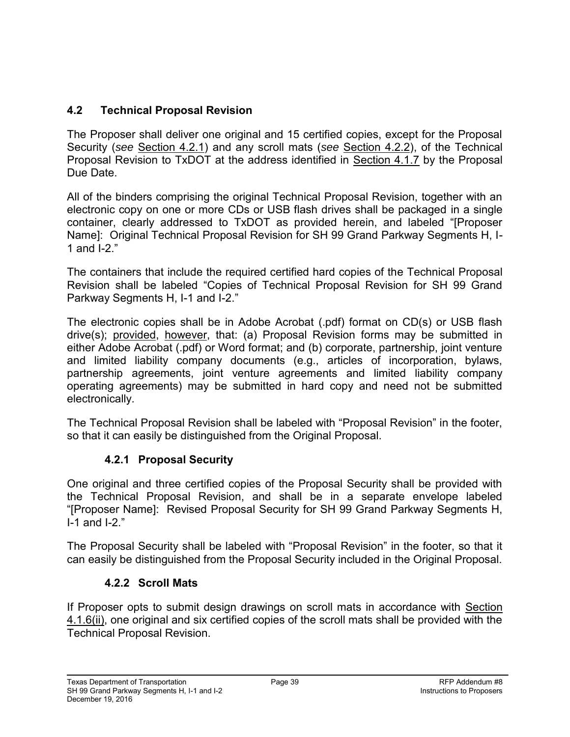# **4.2 Technical Proposal Revision**

The Proposer shall deliver one original and 15 certified copies, except for the Proposal Security (*see* Section 4.2.1) and any scroll mats (*see* Section 4.2.2), of the Technical Proposal Revision to TxDOT at the address identified in Section 4.1.7 by the Proposal Due Date.

All of the binders comprising the original Technical Proposal Revision, together with an electronic copy on one or more CDs or USB flash drives shall be packaged in a single container, clearly addressed to TxDOT as provided herein, and labeled "[Proposer Name]: Original Technical Proposal Revision for SH 99 Grand Parkway Segments H, I-1 and I-2."

The containers that include the required certified hard copies of the Technical Proposal Revision shall be labeled "Copies of Technical Proposal Revision for SH 99 Grand Parkway Segments H, I-1 and I-2."

The electronic copies shall be in Adobe Acrobat (.pdf) format on CD(s) or USB flash drive(s); provided, however, that: (a) Proposal Revision forms may be submitted in either Adobe Acrobat (.pdf) or Word format; and (b) corporate, partnership, joint venture and limited liability company documents (e.g., articles of incorporation, bylaws, partnership agreements, joint venture agreements and limited liability company operating agreements) may be submitted in hard copy and need not be submitted electronically.

The Technical Proposal Revision shall be labeled with "Proposal Revision" in the footer, so that it can easily be distinguished from the Original Proposal.

## **4.2.1 Proposal Security**

One original and three certified copies of the Proposal Security shall be provided with the Technical Proposal Revision, and shall be in a separate envelope labeled "[Proposer Name]: Revised Proposal Security for SH 99 Grand Parkway Segments H, I-1 and I-2."

The Proposal Security shall be labeled with "Proposal Revision" in the footer, so that it can easily be distinguished from the Proposal Security included in the Original Proposal.

#### **4.2.2 Scroll Mats**

If Proposer opts to submit design drawings on scroll mats in accordance with Section 4.1.6(ii), one original and six certified copies of the scroll mats shall be provided with the Technical Proposal Revision.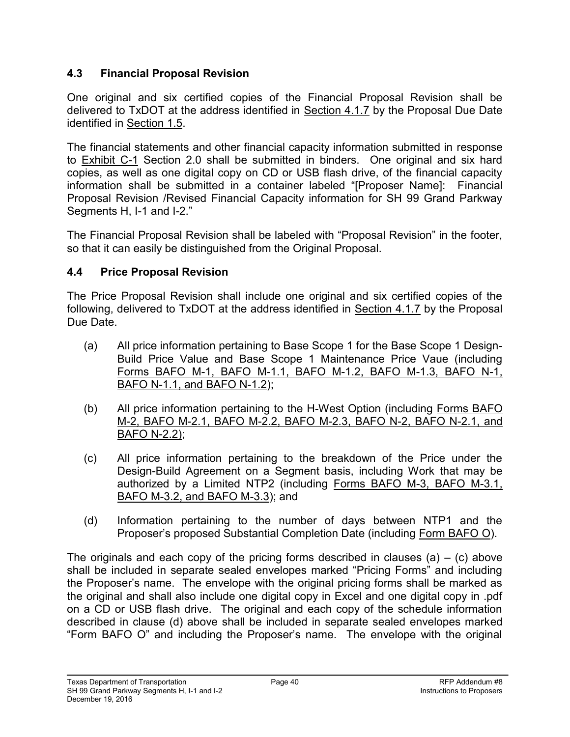### **4.3 Financial Proposal Revision**

One original and six certified copies of the Financial Proposal Revision shall be delivered to TxDOT at the address identified in Section 4.1.7 by the Proposal Due Date identified in Section 1.5.

The financial statements and other financial capacity information submitted in response to Exhibit C-1 Section 2.0 shall be submitted in binders. One original and six hard copies, as well as one digital copy on CD or USB flash drive, of the financial capacity information shall be submitted in a container labeled "[Proposer Name]: Financial Proposal Revision /Revised Financial Capacity information for SH 99 Grand Parkway Segments H, I-1 and I-2."

The Financial Proposal Revision shall be labeled with "Proposal Revision" in the footer, so that it can easily be distinguished from the Original Proposal.

### **4.4 Price Proposal Revision**

The Price Proposal Revision shall include one original and six certified copies of the following, delivered to TxDOT at the address identified in Section 4.1.7 by the Proposal Due Date.

- (a) All price information pertaining to Base Scope 1 for the Base Scope 1 Design-Build Price Value and Base Scope 1 Maintenance Price Vaue (including Forms BAFO M-1, BAFO M-1.1, BAFO M-1.2, BAFO M-1.3, BAFO N-1, BAFO N-1.1, and BAFO N-1.2);
- (b) All price information pertaining to the H-West Option (including Forms BAFO M-2, BAFO M-2.1, BAFO M-2.2, BAFO M-2.3, BAFO N-2, BAFO N-2.1, and BAFO N-2.2);
- (c) All price information pertaining to the breakdown of the Price under the Design-Build Agreement on a Segment basis, including Work that may be authorized by a Limited NTP2 (including Forms BAFO M-3, BAFO M-3.1, BAFO M-3.2, and BAFO M-3.3); and
- (d) Information pertaining to the number of days between NTP1 and the Proposer's proposed Substantial Completion Date (including Form BAFO O).

The originals and each copy of the pricing forms described in clauses (a)  $-$  (c) above shall be included in separate sealed envelopes marked "Pricing Forms" and including the Proposer's name. The envelope with the original pricing forms shall be marked as the original and shall also include one digital copy in Excel and one digital copy in .pdf on a CD or USB flash drive. The original and each copy of the schedule information described in clause (d) above shall be included in separate sealed envelopes marked "Form BAFO O" and including the Proposer's name. The envelope with the original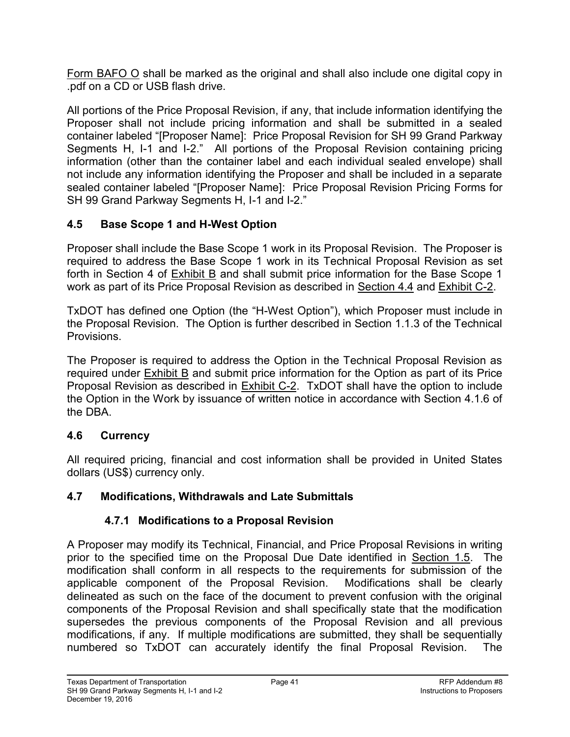Form BAFO O shall be marked as the original and shall also include one digital copy in .pdf on a CD or USB flash drive.

All portions of the Price Proposal Revision, if any, that include information identifying the Proposer shall not include pricing information and shall be submitted in a sealed container labeled "[Proposer Name]: Price Proposal Revision for SH 99 Grand Parkway Segments H, I-1 and I-2." All portions of the Proposal Revision containing pricing information (other than the container label and each individual sealed envelope) shall not include any information identifying the Proposer and shall be included in a separate sealed container labeled "[Proposer Name]: Price Proposal Revision Pricing Forms for SH 99 Grand Parkway Segments H, I-1 and I-2."

## **4.5 Base Scope 1 and H-West Option**

Proposer shall include the Base Scope 1 work in its Proposal Revision. The Proposer is required to address the Base Scope 1 work in its Technical Proposal Revision as set forth in Section 4 of Exhibit B and shall submit price information for the Base Scope 1 work as part of its Price Proposal Revision as described in Section 4.4 and Exhibit C-2.

TxDOT has defined one Option (the "H-West Option"), which Proposer must include in the Proposal Revision. The Option is further described in Section 1.1.3 of the Technical Provisions.

The Proposer is required to address the Option in the Technical Proposal Revision as required under Exhibit B and submit price information for the Option as part of its Price Proposal Revision as described in Exhibit C-2. TxDOT shall have the option to include the Option in the Work by issuance of written notice in accordance with Section 4.1.6 of the DBA.

#### **4.6 Currency**

All required pricing, financial and cost information shall be provided in United States dollars (US\$) currency only.

#### **4.7 Modifications, Withdrawals and Late Submittals**

## **4.7.1 Modifications to a Proposal Revision**

A Proposer may modify its Technical, Financial, and Price Proposal Revisions in writing prior to the specified time on the Proposal Due Date identified in Section 1.5. The modification shall conform in all respects to the requirements for submission of the applicable component of the Proposal Revision. Modifications shall be clearly delineated as such on the face of the document to prevent confusion with the original components of the Proposal Revision and shall specifically state that the modification supersedes the previous components of the Proposal Revision and all previous modifications, if any. If multiple modifications are submitted, they shall be sequentially numbered so TxDOT can accurately identify the final Proposal Revision. The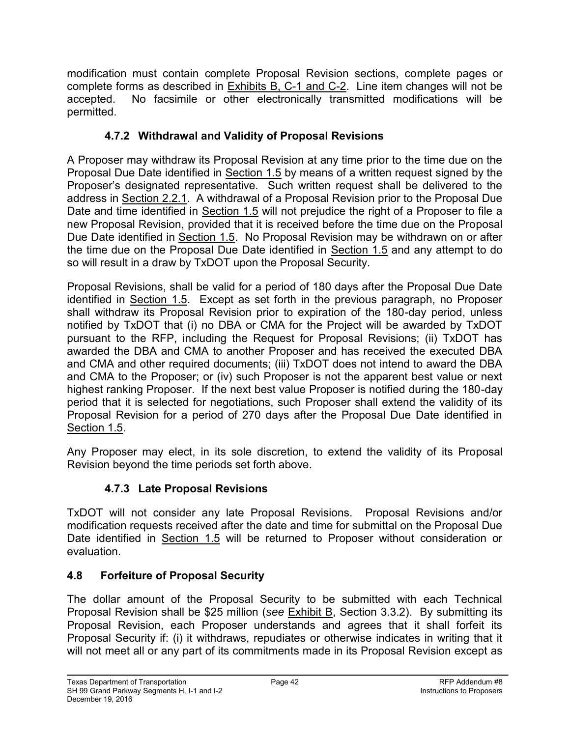modification must contain complete Proposal Revision sections, complete pages or complete forms as described in **Exhibits B, C-1 and C-2.** Line item changes will not be accepted. No facsimile or other electronically transmitted modifications will be permitted.

# **4.7.2 Withdrawal and Validity of Proposal Revisions**

A Proposer may withdraw its Proposal Revision at any time prior to the time due on the Proposal Due Date identified in Section 1.5 by means of a written request signed by the Proposer's designated representative. Such written request shall be delivered to the address in Section 2.2.1. A withdrawal of a Proposal Revision prior to the Proposal Due Date and time identified in Section 1.5 will not prejudice the right of a Proposer to file a new Proposal Revision, provided that it is received before the time due on the Proposal Due Date identified in Section 1.5. No Proposal Revision may be withdrawn on or after the time due on the Proposal Due Date identified in Section 1.5 and any attempt to do so will result in a draw by TxDOT upon the Proposal Security.

Proposal Revisions, shall be valid for a period of 180 days after the Proposal Due Date identified in Section 1.5. Except as set forth in the previous paragraph, no Proposer shall withdraw its Proposal Revision prior to expiration of the 180-day period, unless notified by TxDOT that (i) no DBA or CMA for the Project will be awarded by TxDOT pursuant to the RFP, including the Request for Proposal Revisions; (ii) TxDOT has awarded the DBA and CMA to another Proposer and has received the executed DBA and CMA and other required documents; (iii) TxDOT does not intend to award the DBA and CMA to the Proposer; or (iv) such Proposer is not the apparent best value or next highest ranking Proposer. If the next best value Proposer is notified during the 180-day period that it is selected for negotiations, such Proposer shall extend the validity of its Proposal Revision for a period of 270 days after the Proposal Due Date identified in Section 1.5.

Any Proposer may elect, in its sole discretion, to extend the validity of its Proposal Revision beyond the time periods set forth above.

## **4.7.3 Late Proposal Revisions**

TxDOT will not consider any late Proposal Revisions. Proposal Revisions and/or modification requests received after the date and time for submittal on the Proposal Due Date identified in Section 1.5 will be returned to Proposer without consideration or evaluation.

## **4.8 Forfeiture of Proposal Security**

The dollar amount of the Proposal Security to be submitted with each Technical Proposal Revision shall be \$25 million (*see* Exhibit B, Section 3.3.2). By submitting its Proposal Revision, each Proposer understands and agrees that it shall forfeit its Proposal Security if: (i) it withdraws, repudiates or otherwise indicates in writing that it will not meet all or any part of its commitments made in its Proposal Revision except as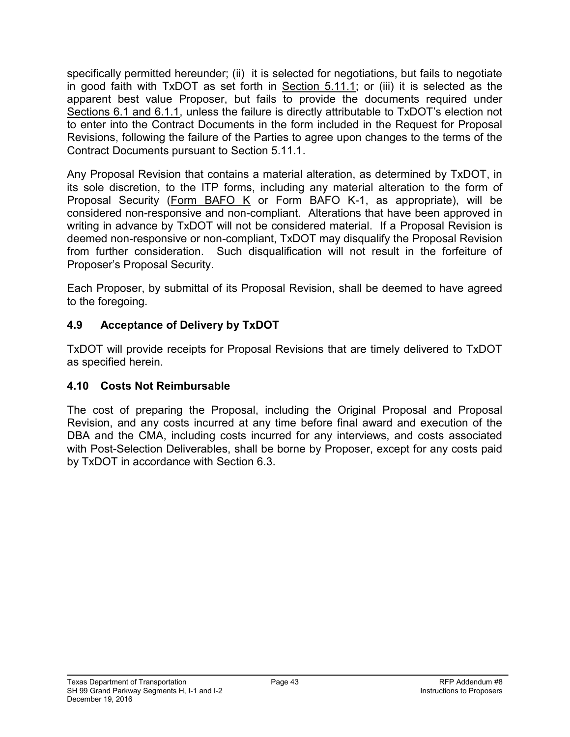specifically permitted hereunder; (ii) it is selected for negotiations, but fails to negotiate in good faith with TxDOT as set forth in Section 5.11.1; or (iii) it is selected as the apparent best value Proposer, but fails to provide the documents required under Sections 6.1 and 6.1.1, unless the failure is directly attributable to TxDOT's election not to enter into the Contract Documents in the form included in the Request for Proposal Revisions, following the failure of the Parties to agree upon changes to the terms of the Contract Documents pursuant to Section 5.11.1.

Any Proposal Revision that contains a material alteration, as determined by TxDOT, in its sole discretion, to the ITP forms, including any material alteration to the form of Proposal Security (Form BAFO K or Form BAFO K-1, as appropriate), will be considered non-responsive and non-compliant. Alterations that have been approved in writing in advance by TxDOT will not be considered material. If a Proposal Revision is deemed non-responsive or non-compliant, TxDOT may disqualify the Proposal Revision from further consideration. Such disqualification will not result in the forfeiture of Proposer's Proposal Security.

Each Proposer, by submittal of its Proposal Revision, shall be deemed to have agreed to the foregoing.

### **4.9 Acceptance of Delivery by TxDOT**

TxDOT will provide receipts for Proposal Revisions that are timely delivered to TxDOT as specified herein.

#### **4.10 Costs Not Reimbursable**

The cost of preparing the Proposal, including the Original Proposal and Proposal Revision, and any costs incurred at any time before final award and execution of the DBA and the CMA, including costs incurred for any interviews, and costs associated with Post-Selection Deliverables, shall be borne by Proposer, except for any costs paid by TxDOT in accordance with Section 6.3.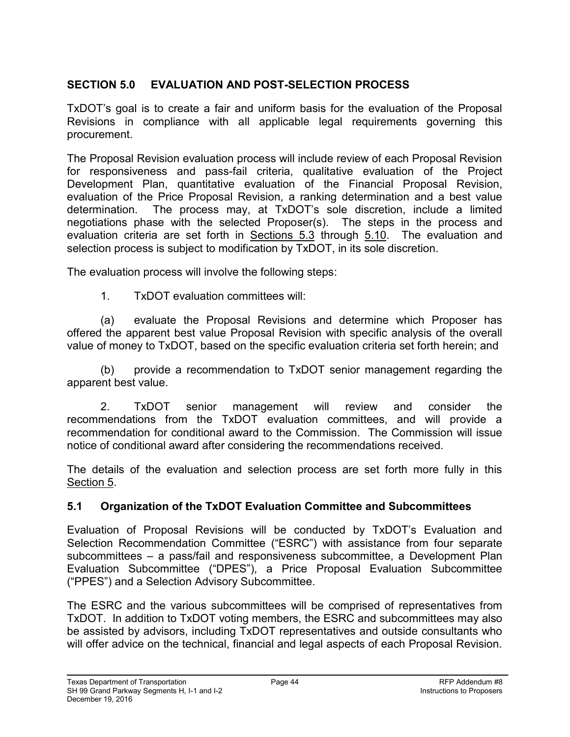### **SECTION 5.0 EVALUATION AND POST-SELECTION PROCESS**

TxDOT's goal is to create a fair and uniform basis for the evaluation of the Proposal Revisions in compliance with all applicable legal requirements governing this procurement.

The Proposal Revision evaluation process will include review of each Proposal Revision for responsiveness and pass-fail criteria, qualitative evaluation of the Project Development Plan, quantitative evaluation of the Financial Proposal Revision, evaluation of the Price Proposal Revision, a ranking determination and a best value determination. The process may, at TxDOT's sole discretion, include a limited negotiations phase with the selected Proposer(s). The steps in the process and evaluation criteria are set forth in Sections 5.3 through 5.10. The evaluation and selection process is subject to modification by TxDOT, in its sole discretion.

The evaluation process will involve the following steps:

1. TxDOT evaluation committees will:

(a) evaluate the Proposal Revisions and determine which Proposer has offered the apparent best value Proposal Revision with specific analysis of the overall value of money to TxDOT, based on the specific evaluation criteria set forth herein; and

(b) provide a recommendation to TxDOT senior management regarding the apparent best value.

2. TxDOT senior management will review and consider the recommendations from the TxDOT evaluation committees, and will provide a recommendation for conditional award to the Commission. The Commission will issue notice of conditional award after considering the recommendations received.

The details of the evaluation and selection process are set forth more fully in this Section 5.

#### **5.1 Organization of the TxDOT Evaluation Committee and Subcommittees**

Evaluation of Proposal Revisions will be conducted by TxDOT's Evaluation and Selection Recommendation Committee ("ESRC") with assistance from four separate subcommittees – a pass/fail and responsiveness subcommittee, a Development Plan Evaluation Subcommittee ("DPES"), a Price Proposal Evaluation Subcommittee ("PPES") and a Selection Advisory Subcommittee.

The ESRC and the various subcommittees will be comprised of representatives from TxDOT. In addition to TxDOT voting members, the ESRC and subcommittees may also be assisted by advisors, including TxDOT representatives and outside consultants who will offer advice on the technical, financial and legal aspects of each Proposal Revision.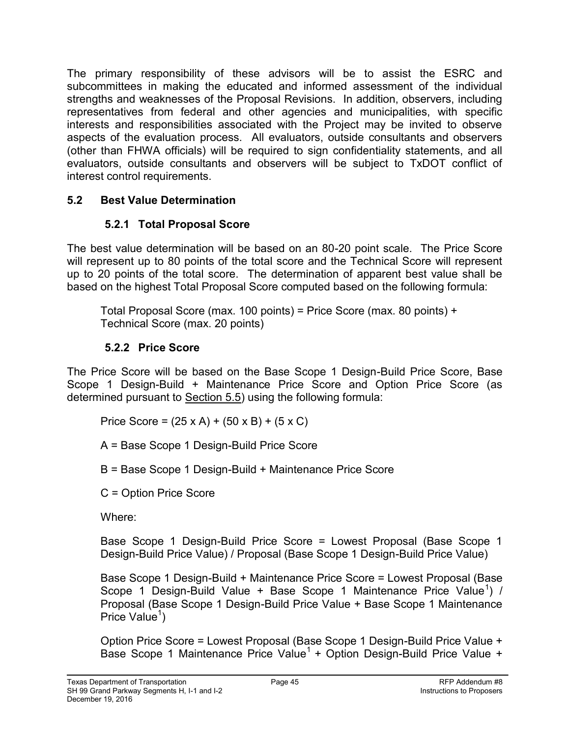The primary responsibility of these advisors will be to assist the ESRC and subcommittees in making the educated and informed assessment of the individual strengths and weaknesses of the Proposal Revisions. In addition, observers, including representatives from federal and other agencies and municipalities, with specific interests and responsibilities associated with the Project may be invited to observe aspects of the evaluation process. All evaluators, outside consultants and observers (other than FHWA officials) will be required to sign confidentiality statements, and all evaluators, outside consultants and observers will be subject to TxDOT conflict of interest control requirements.

#### **5.2 Best Value Determination**

# **5.2.1 Total Proposal Score**

The best value determination will be based on an 80-20 point scale. The Price Score will represent up to 80 points of the total score and the Technical Score will represent up to 20 points of the total score. The determination of apparent best value shall be based on the highest Total Proposal Score computed based on the following formula:

Total Proposal Score (max. 100 points) = Price Score (max. 80 points) + Technical Score (max. 20 points)

## **5.2.2 Price Score**

The Price Score will be based on the Base Scope 1 Design-Build Price Score, Base Scope 1 Design-Build + Maintenance Price Score and Option Price Score (as determined pursuant to Section 5.5) using the following formula:

Price Score =  $(25 \times A) + (50 \times B) + (5 \times C)$ 

A = Base Scope 1 Design-Build Price Score

B = Base Scope 1 Design-Build + Maintenance Price Score

C = Option Price Score

Where:

Base Scope 1 Design-Build Price Score = Lowest Proposal (Base Scope 1 Design-Build Price Value) / Proposal (Base Scope 1 Design-Build Price Value)

Base Scope 1 Design-Build + Maintenance Price Score = Lowest Proposal (Base Scope 1 Design-Build Value + Base Scope 1 Maintenance Price Value<sup>1</sup>) / Proposal (Base Scope 1 Design-Build Price Value + Base Scope 1 Maintenance Price Value<sup>1</sup>)

Option Price Score = Lowest Proposal (Base Scope 1 Design-Build Price Value + Base Scope 1 Maintenance Price Value<sup>1</sup> + Option Design-Build Price Value +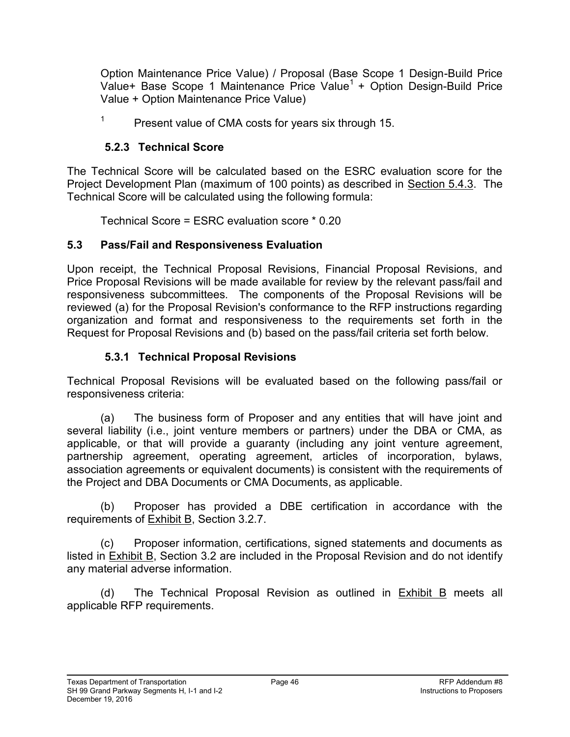Option Maintenance Price Value) / Proposal (Base Scope 1 Design-Build Price Value+ Base Scope 1 Maintenance Price Value<sup>1</sup> + Option Design-Build Price Value + Option Maintenance Price Value)

1 Present value of CMA costs for years six through 15.

### **5.2.3 Technical Score**

The Technical Score will be calculated based on the ESRC evaluation score for the Project Development Plan (maximum of 100 points) as described in Section 5.4.3. The Technical Score will be calculated using the following formula:

Technical Score = ESRC evaluation score \* 0.20

## **5.3 Pass/Fail and Responsiveness Evaluation**

Upon receipt, the Technical Proposal Revisions, Financial Proposal Revisions, and Price Proposal Revisions will be made available for review by the relevant pass/fail and responsiveness subcommittees. The components of the Proposal Revisions will be reviewed (a) for the Proposal Revision's conformance to the RFP instructions regarding organization and format and responsiveness to the requirements set forth in the Request for Proposal Revisions and (b) based on the pass/fail criteria set forth below.

## **5.3.1 Technical Proposal Revisions**

Technical Proposal Revisions will be evaluated based on the following pass/fail or responsiveness criteria:

(a) The business form of Proposer and any entities that will have joint and several liability (i.e., joint venture members or partners) under the DBA or CMA, as applicable, or that will provide a guaranty (including any joint venture agreement, partnership agreement, operating agreement, articles of incorporation, bylaws, association agreements or equivalent documents) is consistent with the requirements of the Project and DBA Documents or CMA Documents, as applicable.

(b) Proposer has provided a DBE certification in accordance with the requirements of Exhibit B, Section 3.2.7.

(c) Proposer information, certifications, signed statements and documents as listed in **Exhibit B**, Section 3.2 are included in the Proposal Revision and do not identify any material adverse information.

(d) The Technical Proposal Revision as outlined in Exhibit B meets all applicable RFP requirements.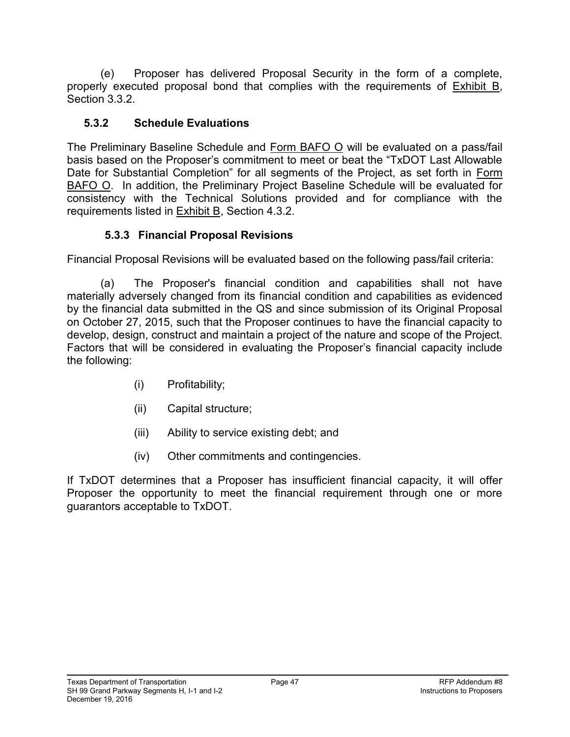(e) Proposer has delivered Proposal Security in the form of a complete, properly executed proposal bond that complies with the requirements of Exhibit B, Section 3.3.2.

### **5.3.2 Schedule Evaluations**

The Preliminary Baseline Schedule and Form BAFO O will be evaluated on a pass/fail basis based on the Proposer's commitment to meet or beat the "TxDOT Last Allowable Date for Substantial Completion" for all segments of the Project, as set forth in Form BAFO O. In addition, the Preliminary Project Baseline Schedule will be evaluated for consistency with the Technical Solutions provided and for compliance with the requirements listed in Exhibit B, Section 4.3.2.

## **5.3.3 Financial Proposal Revisions**

Financial Proposal Revisions will be evaluated based on the following pass/fail criteria:

(a) The Proposer's financial condition and capabilities shall not have materially adversely changed from its financial condition and capabilities as evidenced by the financial data submitted in the QS and since submission of its Original Proposal on October 27, 2015, such that the Proposer continues to have the financial capacity to develop, design, construct and maintain a project of the nature and scope of the Project. Factors that will be considered in evaluating the Proposer's financial capacity include the following:

- (i) Profitability;
- (ii) Capital structure;
- (iii) Ability to service existing debt; and
- (iv) Other commitments and contingencies.

If TxDOT determines that a Proposer has insufficient financial capacity, it will offer Proposer the opportunity to meet the financial requirement through one or more guarantors acceptable to TxDOT.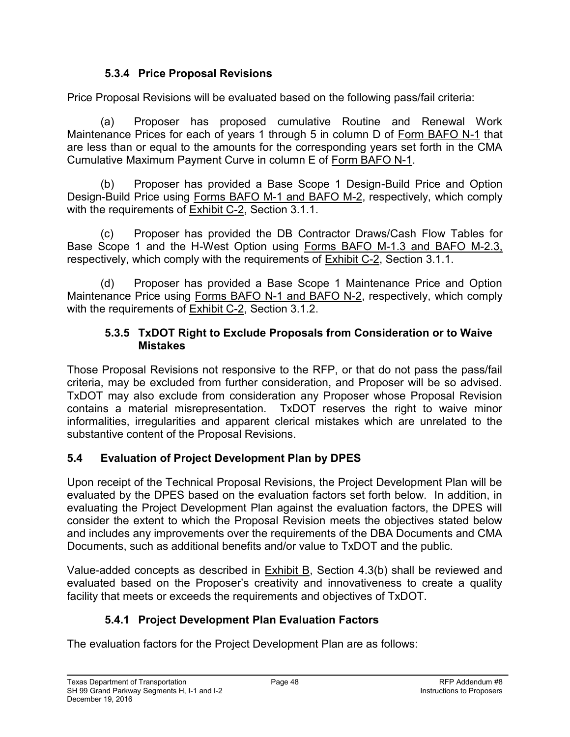#### **5.3.4 Price Proposal Revisions**

Price Proposal Revisions will be evaluated based on the following pass/fail criteria:

(a) Proposer has proposed cumulative Routine and Renewal Work Maintenance Prices for each of years 1 through 5 in column D of Form BAFO N-1 that are less than or equal to the amounts for the corresponding years set forth in the CMA Cumulative Maximum Payment Curve in column E of Form BAFO N-1.

(b) Proposer has provided a Base Scope 1 Design-Build Price and Option Design-Build Price using Forms BAFO M-1 and BAFO M-2, respectively, which comply with the requirements of **Exhibit C-2**, Section 3.1.1.

(c) Proposer has provided the DB Contractor Draws/Cash Flow Tables for Base Scope 1 and the H-West Option using Forms BAFO M-1.3 and BAFO M-2.3, respectively, which comply with the requirements of Exhibit C-2, Section 3.1.1.

(d) Proposer has provided a Base Scope 1 Maintenance Price and Option Maintenance Price using Forms BAFO N-1 and BAFO N-2, respectively, which comply with the requirements of Exhibit C-2, Section 3.1.2.

#### **5.3.5 TxDOT Right to Exclude Proposals from Consideration or to Waive Mistakes**

Those Proposal Revisions not responsive to the RFP, or that do not pass the pass/fail criteria, may be excluded from further consideration, and Proposer will be so advised. TxDOT may also exclude from consideration any Proposer whose Proposal Revision contains a material misrepresentation. TxDOT reserves the right to waive minor informalities, irregularities and apparent clerical mistakes which are unrelated to the substantive content of the Proposal Revisions.

## **5.4 Evaluation of Project Development Plan by DPES**

Upon receipt of the Technical Proposal Revisions, the Project Development Plan will be evaluated by the DPES based on the evaluation factors set forth below. In addition, in evaluating the Project Development Plan against the evaluation factors, the DPES will consider the extent to which the Proposal Revision meets the objectives stated below and includes any improvements over the requirements of the DBA Documents and CMA Documents, such as additional benefits and/or value to TxDOT and the public.

Value-added concepts as described in Exhibit B, Section 4.3(b) shall be reviewed and evaluated based on the Proposer's creativity and innovativeness to create a quality facility that meets or exceeds the requirements and objectives of TxDOT.

# **5.4.1 Project Development Plan Evaluation Factors**

The evaluation factors for the Project Development Plan are as follows: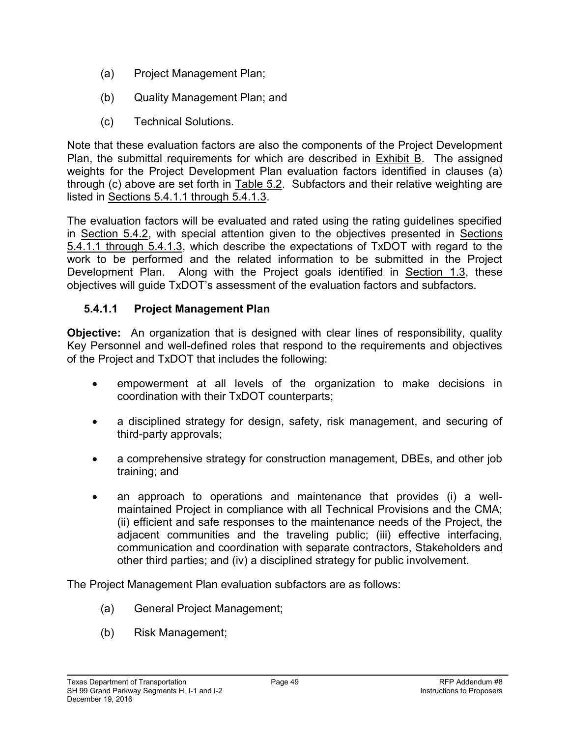- (a) Project Management Plan;
- (b) Quality Management Plan; and
- (c) Technical Solutions.

Note that these evaluation factors are also the components of the Project Development Plan, the submittal requirements for which are described in Exhibit B. The assigned weights for the Project Development Plan evaluation factors identified in clauses (a) through (c) above are set forth in Table 5.2. Subfactors and their relative weighting are listed in Sections 5.4.1.1 through 5.4.1.3.

The evaluation factors will be evaluated and rated using the rating guidelines specified in Section 5.4.2, with special attention given to the objectives presented in Sections 5.4.1.1 through 5.4.1.3, which describe the expectations of TxDOT with regard to the work to be performed and the related information to be submitted in the Project Development Plan. Along with the Project goals identified in Section 1.3, these objectives will guide TxDOT's assessment of the evaluation factors and subfactors.

#### **5.4.1.1 Project Management Plan**

**Objective:** An organization that is designed with clear lines of responsibility, quality Key Personnel and well-defined roles that respond to the requirements and objectives of the Project and TxDOT that includes the following:

- empowerment at all levels of the organization to make decisions in coordination with their TxDOT counterparts;
- a disciplined strategy for design, safety, risk management, and securing of third-party approvals;
- a comprehensive strategy for construction management, DBEs, and other job training; and
- an approach to operations and maintenance that provides (i) a wellmaintained Project in compliance with all Technical Provisions and the CMA; (ii) efficient and safe responses to the maintenance needs of the Project, the adjacent communities and the traveling public; (iii) effective interfacing, communication and coordination with separate contractors, Stakeholders and other third parties; and (iv) a disciplined strategy for public involvement.

The Project Management Plan evaluation subfactors are as follows:

- (a) General Project Management;
- (b) Risk Management;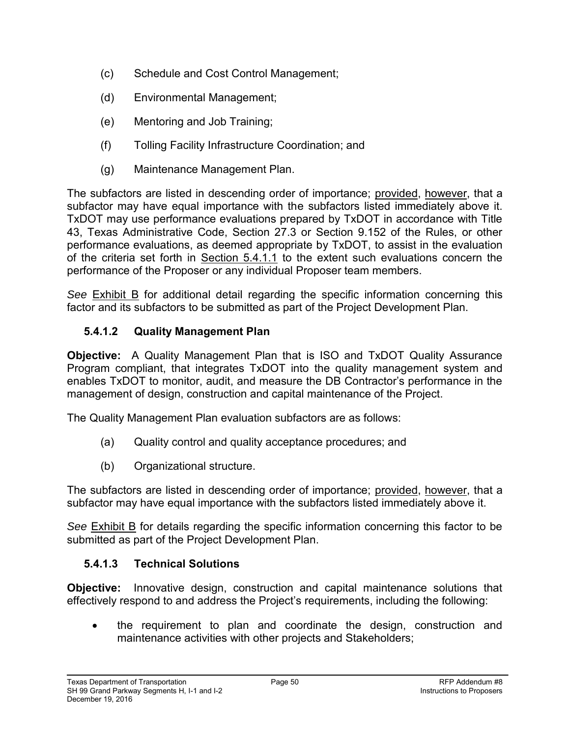- (c) Schedule and Cost Control Management;
- (d) Environmental Management;
- (e) Mentoring and Job Training;
- (f) Tolling Facility Infrastructure Coordination; and
- (g) Maintenance Management Plan.

The subfactors are listed in descending order of importance; provided, however, that a subfactor may have equal importance with the subfactors listed immediately above it. TxDOT may use performance evaluations prepared by TxDOT in accordance with Title 43, Texas Administrative Code, Section 27.3 or Section 9.152 of the Rules, or other performance evaluations, as deemed appropriate by TxDOT, to assist in the evaluation of the criteria set forth in Section 5.4.1.1 to the extent such evaluations concern the performance of the Proposer or any individual Proposer team members.

*See* Exhibit B for additional detail regarding the specific information concerning this factor and its subfactors to be submitted as part of the Project Development Plan.

### **5.4.1.2 Quality Management Plan**

**Objective:** A Quality Management Plan that is ISO and TxDOT Quality Assurance Program compliant, that integrates TxDOT into the quality management system and enables TxDOT to monitor, audit, and measure the DB Contractor's performance in the management of design, construction and capital maintenance of the Project.

The Quality Management Plan evaluation subfactors are as follows:

- (a) Quality control and quality acceptance procedures; and
- (b) Organizational structure.

The subfactors are listed in descending order of importance; provided, however, that a subfactor may have equal importance with the subfactors listed immediately above it.

*See* Exhibit B for details regarding the specific information concerning this factor to be submitted as part of the Project Development Plan.

#### **5.4.1.3 Technical Solutions**

**Objective:** Innovative design, construction and capital maintenance solutions that effectively respond to and address the Project's requirements, including the following:

 the requirement to plan and coordinate the design, construction and maintenance activities with other projects and Stakeholders;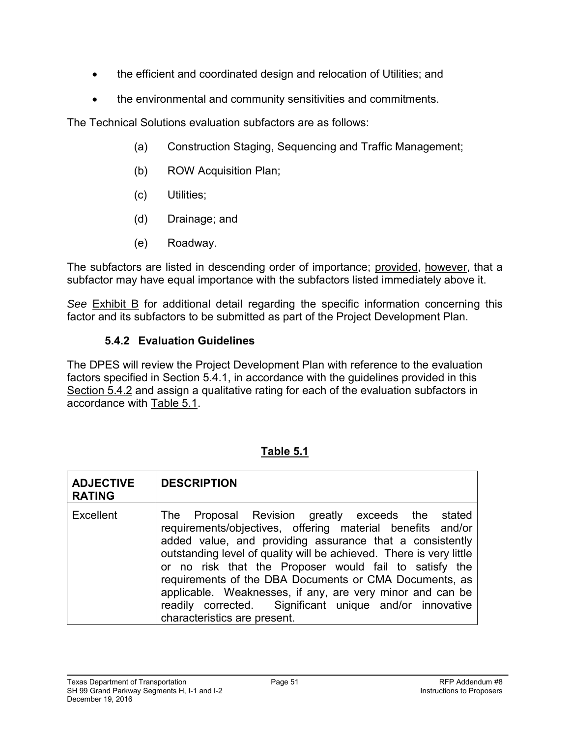- the efficient and coordinated design and relocation of Utilities; and
- the environmental and community sensitivities and commitments.

The Technical Solutions evaluation subfactors are as follows:

- (a) Construction Staging, Sequencing and Traffic Management;
- (b) ROW Acquisition Plan;
- (c) Utilities;
- (d) Drainage; and
- (e) Roadway.

The subfactors are listed in descending order of importance; provided, however, that a subfactor may have equal importance with the subfactors listed immediately above it.

*See* Exhibit B for additional detail regarding the specific information concerning this factor and its subfactors to be submitted as part of the Project Development Plan.

### **5.4.2 Evaluation Guidelines**

The DPES will review the Project Development Plan with reference to the evaluation factors specified in Section 5.4.1, in accordance with the guidelines provided in this Section 5.4.2 and assign a qualitative rating for each of the evaluation subfactors in accordance with Table 5.1.

| <b>ADJECTIVE</b><br><b>RATING</b> | <b>DESCRIPTION</b>                                                                                                                                                                                                                                                                                                                                                                                                                                                                                                            |
|-----------------------------------|-------------------------------------------------------------------------------------------------------------------------------------------------------------------------------------------------------------------------------------------------------------------------------------------------------------------------------------------------------------------------------------------------------------------------------------------------------------------------------------------------------------------------------|
| Excellent                         | The Proposal Revision greatly exceeds the stated<br>requirements/objectives, offering material benefits and/or<br>added value, and providing assurance that a consistently<br>outstanding level of quality will be achieved. There is very little<br>or no risk that the Proposer would fail to satisfy the<br>requirements of the DBA Documents or CMA Documents, as<br>applicable. Weaknesses, if any, are very minor and can be<br>readily corrected. Significant unique and/or innovative<br>characteristics are present. |

## **Table 5.1**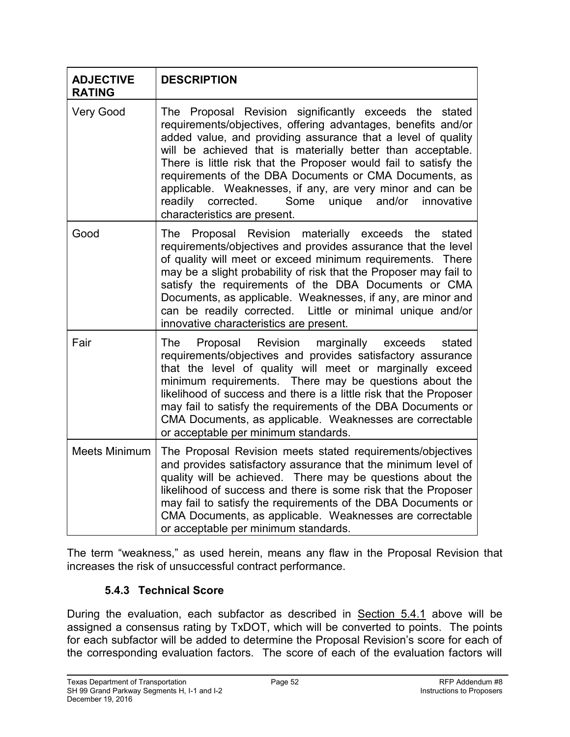| <b>ADJECTIVE</b><br><b>RATING</b> | <b>DESCRIPTION</b>                                                                                                                                                                                                                                                                                                                                                                                                                                                                                                                       |
|-----------------------------------|------------------------------------------------------------------------------------------------------------------------------------------------------------------------------------------------------------------------------------------------------------------------------------------------------------------------------------------------------------------------------------------------------------------------------------------------------------------------------------------------------------------------------------------|
| <b>Very Good</b>                  | The Proposal Revision significantly exceeds the stated<br>requirements/objectives, offering advantages, benefits and/or<br>added value, and providing assurance that a level of quality<br>will be achieved that is materially better than acceptable.<br>There is little risk that the Proposer would fail to satisfy the<br>requirements of the DBA Documents or CMA Documents, as<br>applicable. Weaknesses, if any, are very minor and can be<br>Some unique and/or innovative<br>readily corrected.<br>characteristics are present. |
| Good                              | Proposal Revision materially exceeds the stated<br>The<br>requirements/objectives and provides assurance that the level<br>of quality will meet or exceed minimum requirements. There<br>may be a slight probability of risk that the Proposer may fail to<br>satisfy the requirements of the DBA Documents or CMA<br>Documents, as applicable. Weaknesses, if any, are minor and<br>can be readily corrected. Little or minimal unique and/or<br>innovative characteristics are present.                                                |
| Fair                              | Proposal Revision marginally exceeds<br>The<br>stated<br>requirements/objectives and provides satisfactory assurance<br>that the level of quality will meet or marginally exceed<br>minimum requirements. There may be questions about the<br>likelihood of success and there is a little risk that the Proposer<br>may fail to satisfy the requirements of the DBA Documents or<br>CMA Documents, as applicable. Weaknesses are correctable<br>or acceptable per minimum standards.                                                     |
| <b>Meets Minimum</b>              | The Proposal Revision meets stated requirements/objectives<br>and provides satisfactory assurance that the minimum level of<br>quality will be achieved. There may be questions about the<br>likelihood of success and there is some risk that the Proposer<br>may fail to satisfy the requirements of the DBA Documents or<br>CMA Documents, as applicable. Weaknesses are correctable<br>or acceptable per minimum standards.                                                                                                          |

The term "weakness," as used herein, means any flaw in the Proposal Revision that increases the risk of unsuccessful contract performance.

#### **5.4.3 Technical Score**

During the evaluation, each subfactor as described in Section 5.4.1 above will be assigned a consensus rating by TxDOT, which will be converted to points. The points for each subfactor will be added to determine the Proposal Revision's score for each of the corresponding evaluation factors. The score of each of the evaluation factors will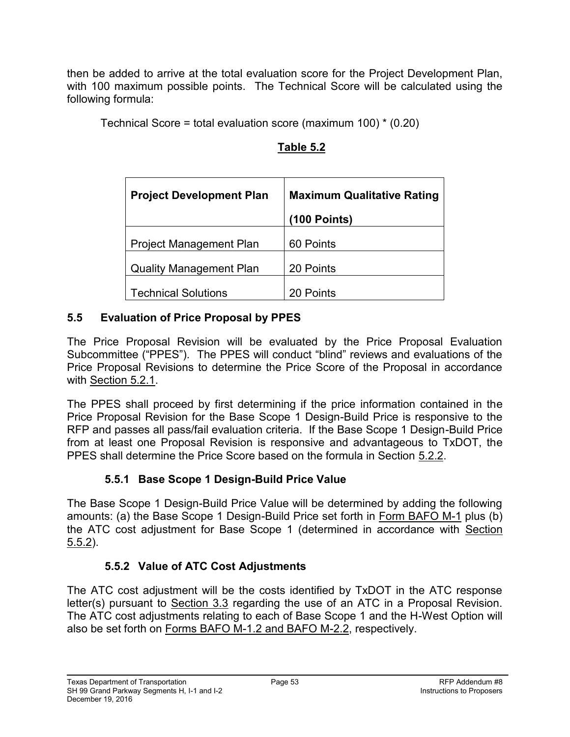then be added to arrive at the total evaluation score for the Project Development Plan, with 100 maximum possible points. The Technical Score will be calculated using the following formula:

Technical Score = total evaluation score (maximum 100) \* (0.20)

| <b>Project Development Plan</b> | <b>Maximum Qualitative Rating</b> |
|---------------------------------|-----------------------------------|
|                                 | $(100$ Points)                    |
| <b>Project Management Plan</b>  | 60 Points                         |
| <b>Quality Management Plan</b>  | 20 Points                         |
| <b>Technical Solutions</b>      | 20 Points                         |

## **Table 5.2**

## **5.5 Evaluation of Price Proposal by PPES**

The Price Proposal Revision will be evaluated by the Price Proposal Evaluation Subcommittee ("PPES"). The PPES will conduct "blind" reviews and evaluations of the Price Proposal Revisions to determine the Price Score of the Proposal in accordance with Section 5.2.1.

The PPES shall proceed by first determining if the price information contained in the Price Proposal Revision for the Base Scope 1 Design-Build Price is responsive to the RFP and passes all pass/fail evaluation criteria. If the Base Scope 1 Design-Build Price from at least one Proposal Revision is responsive and advantageous to TxDOT, the PPES shall determine the Price Score based on the formula in Section 5.2.2.

## **5.5.1 Base Scope 1 Design-Build Price Value**

The Base Scope 1 Design-Build Price Value will be determined by adding the following amounts: (a) the Base Scope 1 Design-Build Price set forth in Form BAFO M-1 plus (b) the ATC cost adjustment for Base Scope 1 (determined in accordance with Section 5.5.2).

## **5.5.2 Value of ATC Cost Adjustments**

The ATC cost adjustment will be the costs identified by TxDOT in the ATC response letter(s) pursuant to Section 3.3 regarding the use of an ATC in a Proposal Revision. The ATC cost adjustments relating to each of Base Scope 1 and the H-West Option will also be set forth on Forms BAFO M-1.2 and BAFO M-2.2, respectively.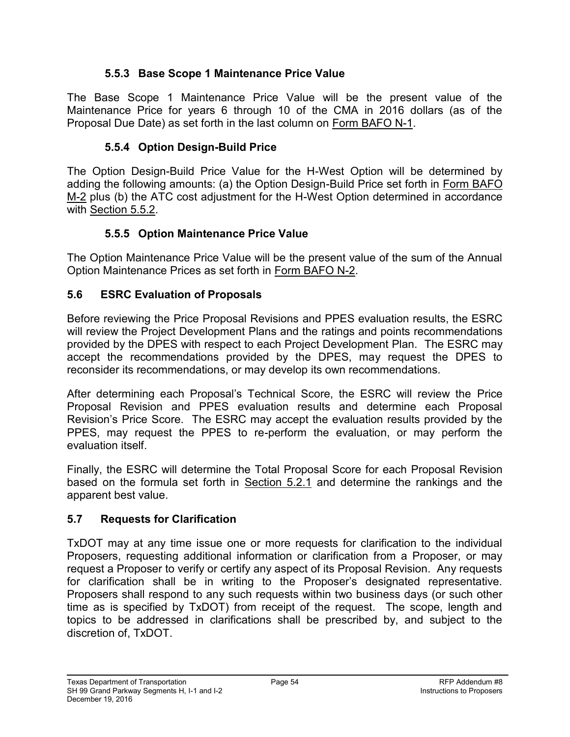### **5.5.3 Base Scope 1 Maintenance Price Value**

The Base Scope 1 Maintenance Price Value will be the present value of the Maintenance Price for years 6 through 10 of the CMA in 2016 dollars (as of the Proposal Due Date) as set forth in the last column on Form BAFO N-1.

### **5.5.4 Option Design-Build Price**

The Option Design-Build Price Value for the H-West Option will be determined by adding the following amounts: (a) the Option Design-Build Price set forth in Form BAFO M-2 plus (b) the ATC cost adjustment for the H-West Option determined in accordance with Section 5.5.2.

## **5.5.5 Option Maintenance Price Value**

The Option Maintenance Price Value will be the present value of the sum of the Annual Option Maintenance Prices as set forth in Form BAFO N-2.

### **5.6 ESRC Evaluation of Proposals**

Before reviewing the Price Proposal Revisions and PPES evaluation results, the ESRC will review the Project Development Plans and the ratings and points recommendations provided by the DPES with respect to each Project Development Plan. The ESRC may accept the recommendations provided by the DPES, may request the DPES to reconsider its recommendations, or may develop its own recommendations.

After determining each Proposal's Technical Score, the ESRC will review the Price Proposal Revision and PPES evaluation results and determine each Proposal Revision's Price Score. The ESRC may accept the evaluation results provided by the PPES, may request the PPES to re-perform the evaluation, or may perform the evaluation itself.

Finally, the ESRC will determine the Total Proposal Score for each Proposal Revision based on the formula set forth in Section 5.2.1 and determine the rankings and the apparent best value.

## **5.7 Requests for Clarification**

TxDOT may at any time issue one or more requests for clarification to the individual Proposers, requesting additional information or clarification from a Proposer, or may request a Proposer to verify or certify any aspect of its Proposal Revision. Any requests for clarification shall be in writing to the Proposer's designated representative. Proposers shall respond to any such requests within two business days (or such other time as is specified by TxDOT) from receipt of the request. The scope, length and topics to be addressed in clarifications shall be prescribed by, and subject to the discretion of, TxDOT.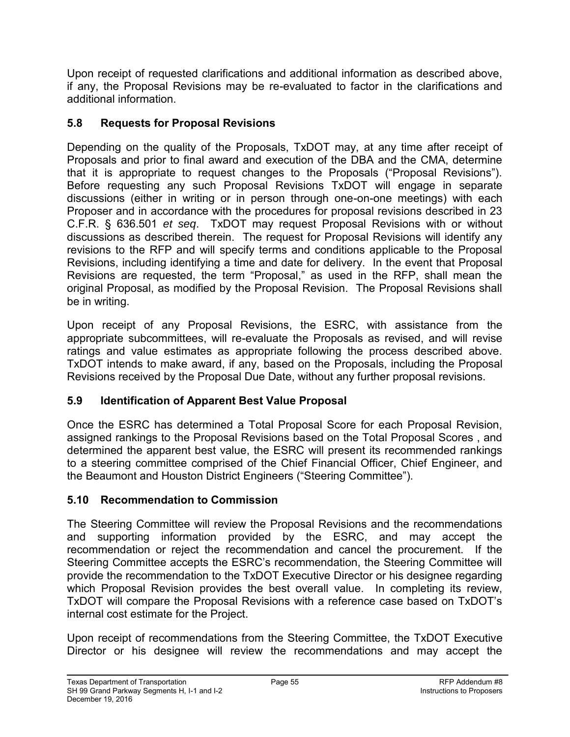Upon receipt of requested clarifications and additional information as described above, if any, the Proposal Revisions may be re-evaluated to factor in the clarifications and additional information.

## **5.8 Requests for Proposal Revisions**

Depending on the quality of the Proposals, TxDOT may, at any time after receipt of Proposals and prior to final award and execution of the DBA and the CMA, determine that it is appropriate to request changes to the Proposals ("Proposal Revisions"). Before requesting any such Proposal Revisions TxDOT will engage in separate discussions (either in writing or in person through one-on-one meetings) with each Proposer and in accordance with the procedures for proposal revisions described in 23 C.F.R. § 636.501 *et seq*. TxDOT may request Proposal Revisions with or without discussions as described therein. The request for Proposal Revisions will identify any revisions to the RFP and will specify terms and conditions applicable to the Proposal Revisions, including identifying a time and date for delivery. In the event that Proposal Revisions are requested, the term "Proposal," as used in the RFP, shall mean the original Proposal, as modified by the Proposal Revision. The Proposal Revisions shall be in writing.

Upon receipt of any Proposal Revisions, the ESRC, with assistance from the appropriate subcommittees, will re-evaluate the Proposals as revised, and will revise ratings and value estimates as appropriate following the process described above. TxDOT intends to make award, if any, based on the Proposals, including the Proposal Revisions received by the Proposal Due Date, without any further proposal revisions.

## **5.9 Identification of Apparent Best Value Proposal**

Once the ESRC has determined a Total Proposal Score for each Proposal Revision, assigned rankings to the Proposal Revisions based on the Total Proposal Scores , and determined the apparent best value, the ESRC will present its recommended rankings to a steering committee comprised of the Chief Financial Officer, Chief Engineer, and the Beaumont and Houston District Engineers ("Steering Committee").

## **5.10 Recommendation to Commission**

The Steering Committee will review the Proposal Revisions and the recommendations and supporting information provided by the ESRC, and may accept the recommendation or reject the recommendation and cancel the procurement. If the Steering Committee accepts the ESRC's recommendation, the Steering Committee will provide the recommendation to the TxDOT Executive Director or his designee regarding which Proposal Revision provides the best overall value. In completing its review, TxDOT will compare the Proposal Revisions with a reference case based on TxDOT's internal cost estimate for the Project.

Upon receipt of recommendations from the Steering Committee, the TxDOT Executive Director or his designee will review the recommendations and may accept the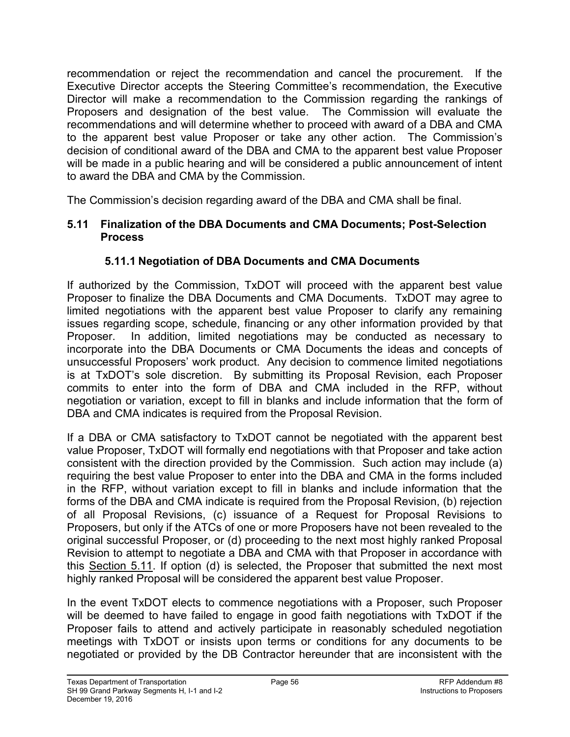recommendation or reject the recommendation and cancel the procurement. If the Executive Director accepts the Steering Committee's recommendation, the Executive Director will make a recommendation to the Commission regarding the rankings of Proposers and designation of the best value. The Commission will evaluate the recommendations and will determine whether to proceed with award of a DBA and CMA to the apparent best value Proposer or take any other action. The Commission's decision of conditional award of the DBA and CMA to the apparent best value Proposer will be made in a public hearing and will be considered a public announcement of intent to award the DBA and CMA by the Commission.

The Commission's decision regarding award of the DBA and CMA shall be final.

#### **5.11 Finalization of the DBA Documents and CMA Documents; Post-Selection Process**

#### **5.11.1 Negotiation of DBA Documents and CMA Documents**

If authorized by the Commission, TxDOT will proceed with the apparent best value Proposer to finalize the DBA Documents and CMA Documents. TxDOT may agree to limited negotiations with the apparent best value Proposer to clarify any remaining issues regarding scope, schedule, financing or any other information provided by that Proposer. In addition, limited negotiations may be conducted as necessary to incorporate into the DBA Documents or CMA Documents the ideas and concepts of unsuccessful Proposers' work product. Any decision to commence limited negotiations is at TxDOT's sole discretion. By submitting its Proposal Revision, each Proposer commits to enter into the form of DBA and CMA included in the RFP, without negotiation or variation, except to fill in blanks and include information that the form of DBA and CMA indicates is required from the Proposal Revision.

If a DBA or CMA satisfactory to TxDOT cannot be negotiated with the apparent best value Proposer, TxDOT will formally end negotiations with that Proposer and take action consistent with the direction provided by the Commission. Such action may include (a) requiring the best value Proposer to enter into the DBA and CMA in the forms included in the RFP, without variation except to fill in blanks and include information that the forms of the DBA and CMA indicate is required from the Proposal Revision, (b) rejection of all Proposal Revisions, (c) issuance of a Request for Proposal Revisions to Proposers, but only if the ATCs of one or more Proposers have not been revealed to the original successful Proposer, or (d) proceeding to the next most highly ranked Proposal Revision to attempt to negotiate a DBA and CMA with that Proposer in accordance with this Section 5.11. If option (d) is selected, the Proposer that submitted the next most highly ranked Proposal will be considered the apparent best value Proposer.

In the event TxDOT elects to commence negotiations with a Proposer, such Proposer will be deemed to have failed to engage in good faith negotiations with TxDOT if the Proposer fails to attend and actively participate in reasonably scheduled negotiation meetings with TxDOT or insists upon terms or conditions for any documents to be negotiated or provided by the DB Contractor hereunder that are inconsistent with the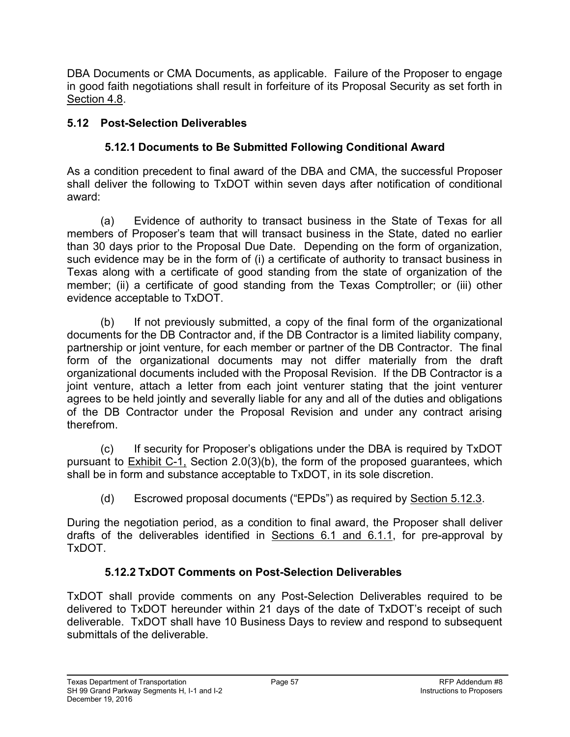DBA Documents or CMA Documents, as applicable. Failure of the Proposer to engage in good faith negotiations shall result in forfeiture of its Proposal Security as set forth in Section 4.8.

## **5.12 Post-Selection Deliverables**

## **5.12.1 Documents to Be Submitted Following Conditional Award**

As a condition precedent to final award of the DBA and CMA, the successful Proposer shall deliver the following to TxDOT within seven days after notification of conditional award:

(a) Evidence of authority to transact business in the State of Texas for all members of Proposer's team that will transact business in the State, dated no earlier than 30 days prior to the Proposal Due Date. Depending on the form of organization, such evidence may be in the form of (i) a certificate of authority to transact business in Texas along with a certificate of good standing from the state of organization of the member; (ii) a certificate of good standing from the Texas Comptroller; or (iii) other evidence acceptable to TxDOT.

(b) If not previously submitted, a copy of the final form of the organizational documents for the DB Contractor and, if the DB Contractor is a limited liability company, partnership or joint venture, for each member or partner of the DB Contractor. The final form of the organizational documents may not differ materially from the draft organizational documents included with the Proposal Revision. If the DB Contractor is a joint venture, attach a letter from each joint venturer stating that the joint venturer agrees to be held jointly and severally liable for any and all of the duties and obligations of the DB Contractor under the Proposal Revision and under any contract arising therefrom.

(c) If security for Proposer's obligations under the DBA is required by TxDOT pursuant to Exhibit C-1, Section 2.0(3)(b), the form of the proposed guarantees, which shall be in form and substance acceptable to TxDOT, in its sole discretion.

(d) Escrowed proposal documents ("EPDs") as required by Section 5.12.3.

During the negotiation period, as a condition to final award, the Proposer shall deliver drafts of the deliverables identified in Sections 6.1 and 6.1.1, for pre-approval by TxDOT.

## **5.12.2 TxDOT Comments on Post-Selection Deliverables**

TxDOT shall provide comments on any Post-Selection Deliverables required to be delivered to TxDOT hereunder within 21 days of the date of TxDOT's receipt of such deliverable. TxDOT shall have 10 Business Days to review and respond to subsequent submittals of the deliverable.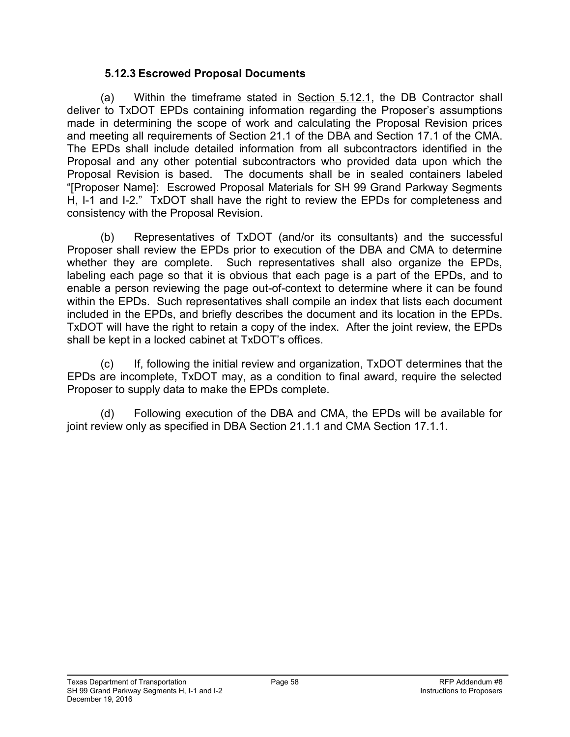#### **5.12.3 Escrowed Proposal Documents**

 (a) Within the timeframe stated in Section 5.12.1, the DB Contractor shall deliver to TxDOT EPDs containing information regarding the Proposer's assumptions made in determining the scope of work and calculating the Proposal Revision prices and meeting all requirements of Section 21.1 of the DBA and Section 17.1 of the CMA. The EPDs shall include detailed information from all subcontractors identified in the Proposal and any other potential subcontractors who provided data upon which the Proposal Revision is based. The documents shall be in sealed containers labeled "[Proposer Name]: Escrowed Proposal Materials for SH 99 Grand Parkway Segments H, I-1 and I-2." TxDOT shall have the right to review the EPDs for completeness and consistency with the Proposal Revision.

 (b) Representatives of TxDOT (and/or its consultants) and the successful Proposer shall review the EPDs prior to execution of the DBA and CMA to determine whether they are complete. Such representatives shall also organize the EPDs, labeling each page so that it is obvious that each page is a part of the EPDs, and to enable a person reviewing the page out-of-context to determine where it can be found within the EPDs. Such representatives shall compile an index that lists each document included in the EPDs, and briefly describes the document and its location in the EPDs. TxDOT will have the right to retain a copy of the index. After the joint review, the EPDs shall be kept in a locked cabinet at TxDOT's offices.

 (c) If, following the initial review and organization, TxDOT determines that the EPDs are incomplete, TxDOT may, as a condition to final award, require the selected Proposer to supply data to make the EPDs complete.

 (d) Following execution of the DBA and CMA, the EPDs will be available for joint review only as specified in DBA Section 21.1.1 and CMA Section 17.1.1.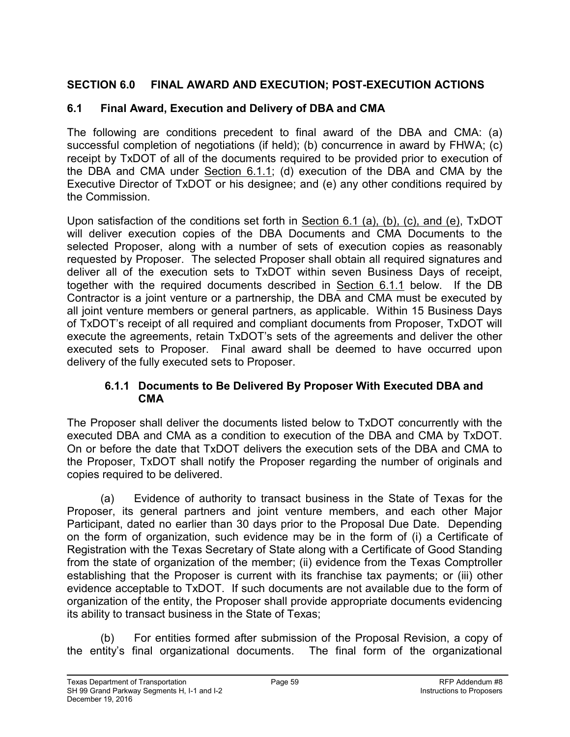## **SECTION 6.0 FINAL AWARD AND EXECUTION; POST-EXECUTION ACTIONS**

### **6.1 Final Award, Execution and Delivery of DBA and CMA**

The following are conditions precedent to final award of the DBA and CMA: (a) successful completion of negotiations (if held); (b) concurrence in award by FHWA; (c) receipt by TxDOT of all of the documents required to be provided prior to execution of the DBA and CMA under Section 6.1.1; (d) execution of the DBA and CMA by the Executive Director of TxDOT or his designee; and (e) any other conditions required by the Commission.

Upon satisfaction of the conditions set forth in Section 6.1 (a), (b), (c), and (e), TxDOT will deliver execution copies of the DBA Documents and CMA Documents to the selected Proposer, along with a number of sets of execution copies as reasonably requested by Proposer. The selected Proposer shall obtain all required signatures and deliver all of the execution sets to TxDOT within seven Business Days of receipt, together with the required documents described in Section 6.1.1 below. If the DB Contractor is a joint venture or a partnership, the DBA and CMA must be executed by all joint venture members or general partners, as applicable. Within 15 Business Days of TxDOT's receipt of all required and compliant documents from Proposer, TxDOT will execute the agreements, retain TxDOT's sets of the agreements and deliver the other executed sets to Proposer. Final award shall be deemed to have occurred upon delivery of the fully executed sets to Proposer.

#### **6.1.1 Documents to Be Delivered By Proposer With Executed DBA and CMA**

The Proposer shall deliver the documents listed below to TxDOT concurrently with the executed DBA and CMA as a condition to execution of the DBA and CMA by TxDOT. On or before the date that TxDOT delivers the execution sets of the DBA and CMA to the Proposer, TxDOT shall notify the Proposer regarding the number of originals and copies required to be delivered.

(a) Evidence of authority to transact business in the State of Texas for the Proposer, its general partners and joint venture members, and each other Major Participant, dated no earlier than 30 days prior to the Proposal Due Date. Depending on the form of organization, such evidence may be in the form of (i) a Certificate of Registration with the Texas Secretary of State along with a Certificate of Good Standing from the state of organization of the member; (ii) evidence from the Texas Comptroller establishing that the Proposer is current with its franchise tax payments; or (iii) other evidence acceptable to TxDOT. If such documents are not available due to the form of organization of the entity, the Proposer shall provide appropriate documents evidencing its ability to transact business in the State of Texas;

(b) For entities formed after submission of the Proposal Revision, a copy of the entity's final organizational documents. The final form of the organizational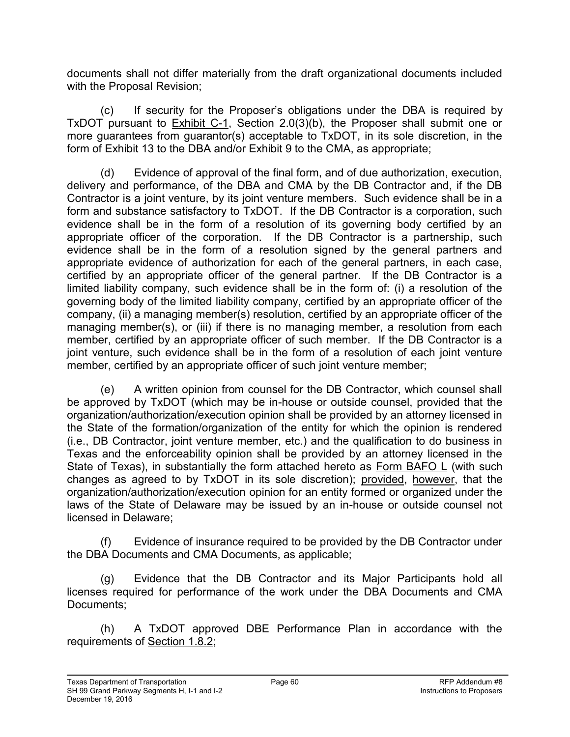documents shall not differ materially from the draft organizational documents included with the Proposal Revision;

(c) If security for the Proposer's obligations under the DBA is required by TxDOT pursuant to **Exhibit C-1**, Section 2.0(3)(b), the Proposer shall submit one or more guarantees from guarantor(s) acceptable to TxDOT, in its sole discretion, in the form of Exhibit 13 to the DBA and/or Exhibit 9 to the CMA, as appropriate;

(d) Evidence of approval of the final form, and of due authorization, execution, delivery and performance, of the DBA and CMA by the DB Contractor and, if the DB Contractor is a joint venture, by its joint venture members. Such evidence shall be in a form and substance satisfactory to TxDOT. If the DB Contractor is a corporation, such evidence shall be in the form of a resolution of its governing body certified by an appropriate officer of the corporation. If the DB Contractor is a partnership, such evidence shall be in the form of a resolution signed by the general partners and appropriate evidence of authorization for each of the general partners, in each case, certified by an appropriate officer of the general partner. If the DB Contractor is a limited liability company, such evidence shall be in the form of: (i) a resolution of the governing body of the limited liability company, certified by an appropriate officer of the company, (ii) a managing member(s) resolution, certified by an appropriate officer of the managing member(s), or (iii) if there is no managing member, a resolution from each member, certified by an appropriate officer of such member. If the DB Contractor is a joint venture, such evidence shall be in the form of a resolution of each joint venture member, certified by an appropriate officer of such joint venture member;

(e) A written opinion from counsel for the DB Contractor, which counsel shall be approved by TxDOT (which may be in-house or outside counsel, provided that the organization/authorization/execution opinion shall be provided by an attorney licensed in the State of the formation/organization of the entity for which the opinion is rendered (i.e., DB Contractor, joint venture member, etc.) and the qualification to do business in Texas and the enforceability opinion shall be provided by an attorney licensed in the State of Texas), in substantially the form attached hereto as Form BAFO L (with such changes as agreed to by TxDOT in its sole discretion); provided, however, that the organization/authorization/execution opinion for an entity formed or organized under the laws of the State of Delaware may be issued by an in-house or outside counsel not licensed in Delaware;

(f) Evidence of insurance required to be provided by the DB Contractor under the DBA Documents and CMA Documents, as applicable;

(g) Evidence that the DB Contractor and its Major Participants hold all licenses required for performance of the work under the DBA Documents and CMA Documents;

(h) A TxDOT approved DBE Performance Plan in accordance with the requirements of Section 1.8.2;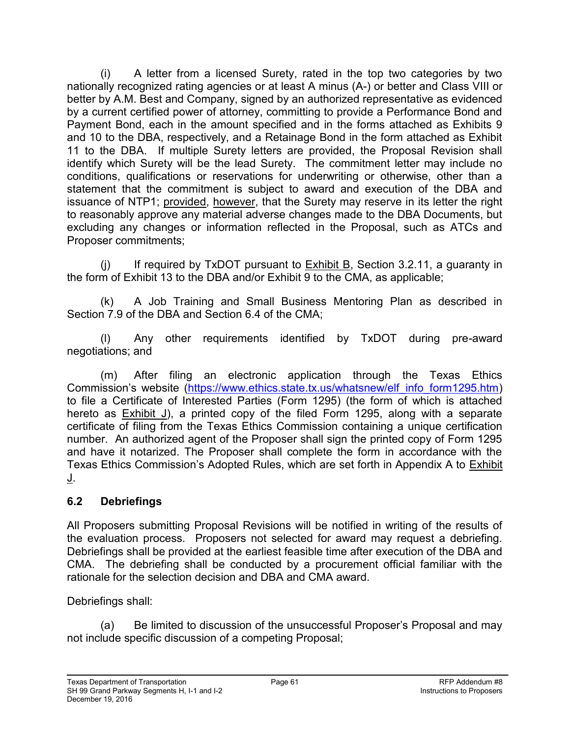(i) A letter from a licensed Surety, rated in the top two categories by two nationally recognized rating agencies or at least A minus (A-) or better and Class VIII or better by A.M. Best and Company, signed by an authorized representative as evidenced by a current certified power of attorney, committing to provide a Performance Bond and Payment Bond, each in the amount specified and in the forms attached as Exhibits 9 and 10 to the DBA, respectively, and a Retainage Bond in the form attached as Exhibit 11 to the DBA. If multiple Surety letters are provided, the Proposal Revision shall identify which Surety will be the lead Surety. The commitment letter may include no conditions, qualifications or reservations for underwriting or otherwise, other than a statement that the commitment is subject to award and execution of the DBA and issuance of NTP1; provided, however, that the Surety may reserve in its letter the right to reasonably approve any material adverse changes made to the DBA Documents, but excluding any changes or information reflected in the Proposal, such as ATCs and Proposer commitments;

 $(i)$  If required by TxDOT pursuant to Exhibit B, Section 3.2.11, a guaranty in the form of Exhibit 13 to the DBA and/or Exhibit 9 to the CMA, as applicable;

(k) A Job Training and Small Business Mentoring Plan as described in Section 7.9 of the DBA and Section 6.4 of the CMA;

(l) Any other requirements identified by TxDOT during pre-award negotiations; and

(m) After filing an electronic application through the Texas Ethics Commission's website (https://www.ethics.state.tx.us/whatsnew/elf\_info\_form1295.htm) to file a Certificate of Interested Parties (Form 1295) (the form of which is attached hereto as  $Exhibit J$ , a printed copy of the filed Form 1295, along with a separate certificate of filing from the Texas Ethics Commission containing a unique certification number. An authorized agent of the Proposer shall sign the printed copy of Form 1295 and have it notarized. The Proposer shall complete the form in accordance with the Texas Ethics Commission's Adopted Rules, which are set forth in Appendix A to Exhibit J.

## **6.2 Debriefings**

All Proposers submitting Proposal Revisions will be notified in writing of the results of the evaluation process. Proposers not selected for award may request a debriefing. Debriefings shall be provided at the earliest feasible time after execution of the DBA and CMA. The debriefing shall be conducted by a procurement official familiar with the rationale for the selection decision and DBA and CMA award.

Debriefings shall:

(a) Be limited to discussion of the unsuccessful Proposer's Proposal and may not include specific discussion of a competing Proposal;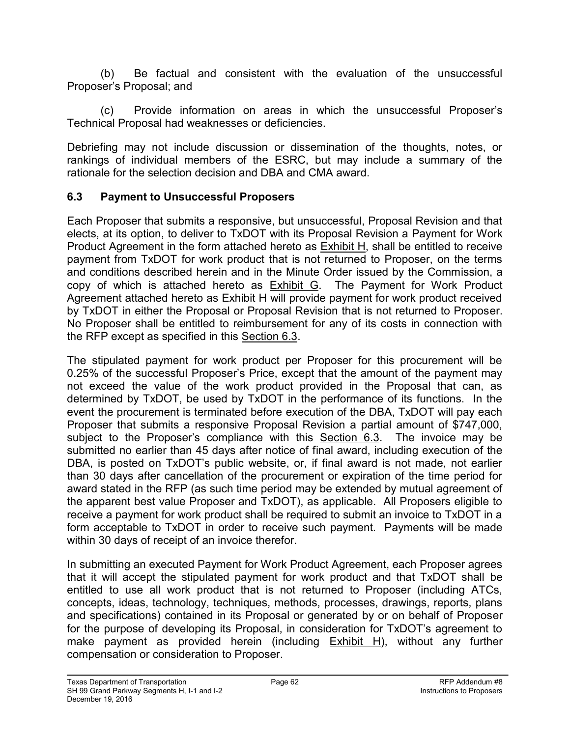(b) Be factual and consistent with the evaluation of the unsuccessful Proposer's Proposal; and

(c) Provide information on areas in which the unsuccessful Proposer's Technical Proposal had weaknesses or deficiencies.

Debriefing may not include discussion or dissemination of the thoughts, notes, or rankings of individual members of the ESRC, but may include a summary of the rationale for the selection decision and DBA and CMA award.

#### **6.3 Payment to Unsuccessful Proposers**

Each Proposer that submits a responsive, but unsuccessful, Proposal Revision and that elects, at its option, to deliver to TxDOT with its Proposal Revision a Payment for Work Product Agreement in the form attached hereto as Exhibit H, shall be entitled to receive payment from TxDOT for work product that is not returned to Proposer, on the terms and conditions described herein and in the Minute Order issued by the Commission, a copy of which is attached hereto as  $Exhibit G$ . The Payment for Work Product Agreement attached hereto as Exhibit H will provide payment for work product received by TxDOT in either the Proposal or Proposal Revision that is not returned to Proposer. No Proposer shall be entitled to reimbursement for any of its costs in connection with the RFP except as specified in this Section 6.3.

The stipulated payment for work product per Proposer for this procurement will be 0.25% of the successful Proposer's Price, except that the amount of the payment may not exceed the value of the work product provided in the Proposal that can, as determined by TxDOT, be used by TxDOT in the performance of its functions. In the event the procurement is terminated before execution of the DBA, TxDOT will pay each Proposer that submits a responsive Proposal Revision a partial amount of \$747,000, subject to the Proposer's compliance with this Section 6.3. The invoice may be submitted no earlier than 45 days after notice of final award, including execution of the DBA, is posted on TxDOT's public website, or, if final award is not made, not earlier than 30 days after cancellation of the procurement or expiration of the time period for award stated in the RFP (as such time period may be extended by mutual agreement of the apparent best value Proposer and TxDOT), as applicable. All Proposers eligible to receive a payment for work product shall be required to submit an invoice to TxDOT in a form acceptable to TxDOT in order to receive such payment. Payments will be made within 30 days of receipt of an invoice therefor.

In submitting an executed Payment for Work Product Agreement, each Proposer agrees that it will accept the stipulated payment for work product and that TxDOT shall be entitled to use all work product that is not returned to Proposer (including ATCs, concepts, ideas, technology, techniques, methods, processes, drawings, reports, plans and specifications) contained in its Proposal or generated by or on behalf of Proposer for the purpose of developing its Proposal, in consideration for TxDOT's agreement to make payment as provided herein (including Exhibit H), without any further compensation or consideration to Proposer.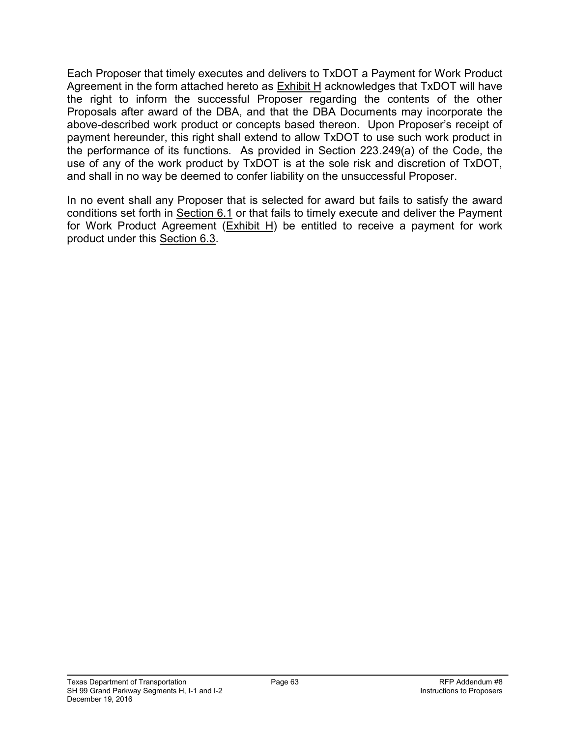Each Proposer that timely executes and delivers to TxDOT a Payment for Work Product Agreement in the form attached hereto as  $Exhibit H$  acknowledges that TxDOT will have the right to inform the successful Proposer regarding the contents of the other Proposals after award of the DBA, and that the DBA Documents may incorporate the above-described work product or concepts based thereon. Upon Proposer's receipt of payment hereunder, this right shall extend to allow TxDOT to use such work product in the performance of its functions. As provided in Section 223.249(a) of the Code, the use of any of the work product by TxDOT is at the sole risk and discretion of TxDOT, and shall in no way be deemed to confer liability on the unsuccessful Proposer.

In no event shall any Proposer that is selected for award but fails to satisfy the award conditions set forth in Section 6.1 or that fails to timely execute and deliver the Payment for Work Product Agreement  $(Exhibit H)$  be entitled to receive a payment for work product under this Section 6.3.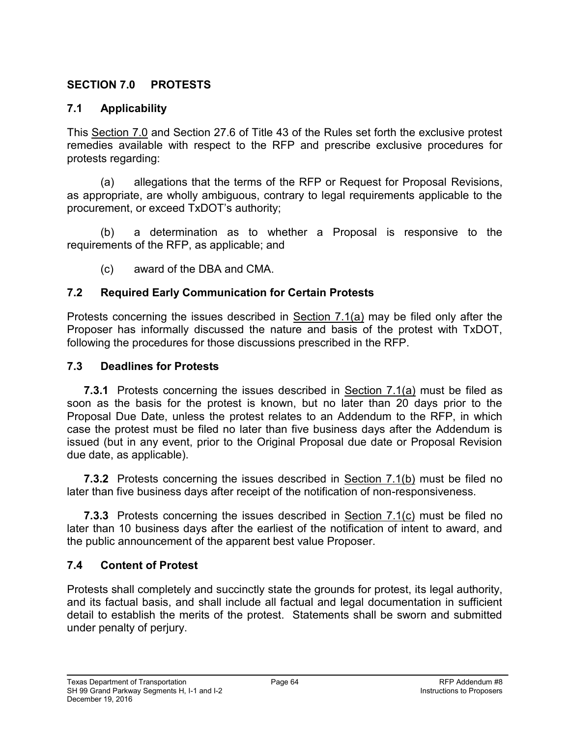#### **SECTION 7.0 PROTESTS**

#### **7.1 Applicability**

This Section 7.0 and Section 27.6 of Title 43 of the Rules set forth the exclusive protest remedies available with respect to the RFP and prescribe exclusive procedures for protests regarding:

(a) allegations that the terms of the RFP or Request for Proposal Revisions, as appropriate, are wholly ambiguous, contrary to legal requirements applicable to the procurement, or exceed TxDOT's authority;

(b) a determination as to whether a Proposal is responsive to the requirements of the RFP, as applicable; and

(c) award of the DBA and CMA.

#### **7.2 Required Early Communication for Certain Protests**

Protests concerning the issues described in Section 7.1(a) may be filed only after the Proposer has informally discussed the nature and basis of the protest with TxDOT, following the procedures for those discussions prescribed in the RFP.

#### **7.3 Deadlines for Protests**

**7.3.1** Protests concerning the issues described in Section 7.1(a) must be filed as soon as the basis for the protest is known, but no later than 20 days prior to the Proposal Due Date, unless the protest relates to an Addendum to the RFP, in which case the protest must be filed no later than five business days after the Addendum is issued (but in any event, prior to the Original Proposal due date or Proposal Revision due date, as applicable).

**7.3.2** Protests concerning the issues described in Section 7.1(b) must be filed no later than five business days after receipt of the notification of non-responsiveness.

**7.3.3** Protests concerning the issues described in **Section 7.1(c)** must be filed no later than 10 business days after the earliest of the notification of intent to award, and the public announcement of the apparent best value Proposer.

#### **7.4 Content of Protest**

Protests shall completely and succinctly state the grounds for protest, its legal authority, and its factual basis, and shall include all factual and legal documentation in sufficient detail to establish the merits of the protest. Statements shall be sworn and submitted under penalty of perjury.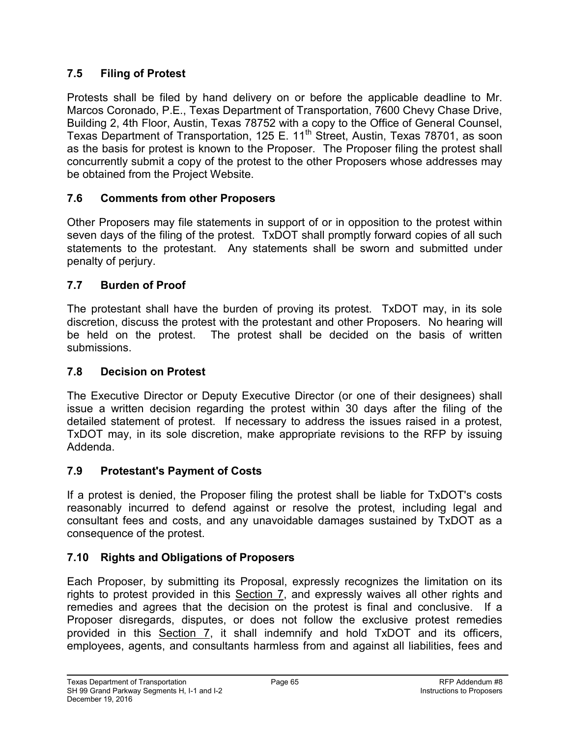## **7.5 Filing of Protest**

Protests shall be filed by hand delivery on or before the applicable deadline to Mr. Marcos Coronado, P.E., Texas Department of Transportation, 7600 Chevy Chase Drive, Building 2, 4th Floor, Austin, Texas 78752 with a copy to the Office of General Counsel, Texas Department of Transportation, 125 E. 11<sup>th</sup> Street, Austin, Texas 78701, as soon as the basis for protest is known to the Proposer. The Proposer filing the protest shall concurrently submit a copy of the protest to the other Proposers whose addresses may be obtained from the Project Website.

## **7.6 Comments from other Proposers**

Other Proposers may file statements in support of or in opposition to the protest within seven days of the filing of the protest. TxDOT shall promptly forward copies of all such statements to the protestant. Any statements shall be sworn and submitted under penalty of perjury.

## **7.7 Burden of Proof**

The protestant shall have the burden of proving its protest. TxDOT may, in its sole discretion, discuss the protest with the protestant and other Proposers. No hearing will be held on the protest. The protest shall be decided on the basis of written submissions.

#### **7.8 Decision on Protest**

The Executive Director or Deputy Executive Director (or one of their designees) shall issue a written decision regarding the protest within 30 days after the filing of the detailed statement of protest. If necessary to address the issues raised in a protest, TxDOT may, in its sole discretion, make appropriate revisions to the RFP by issuing Addenda.

# **7.9 Protestant's Payment of Costs**

If a protest is denied, the Proposer filing the protest shall be liable for TxDOT's costs reasonably incurred to defend against or resolve the protest, including legal and consultant fees and costs, and any unavoidable damages sustained by TxDOT as a consequence of the protest.

# **7.10 Rights and Obligations of Proposers**

Each Proposer, by submitting its Proposal, expressly recognizes the limitation on its rights to protest provided in this Section 7, and expressly waives all other rights and remedies and agrees that the decision on the protest is final and conclusive. If a Proposer disregards, disputes, or does not follow the exclusive protest remedies provided in this Section 7, it shall indemnify and hold TxDOT and its officers, employees, agents, and consultants harmless from and against all liabilities, fees and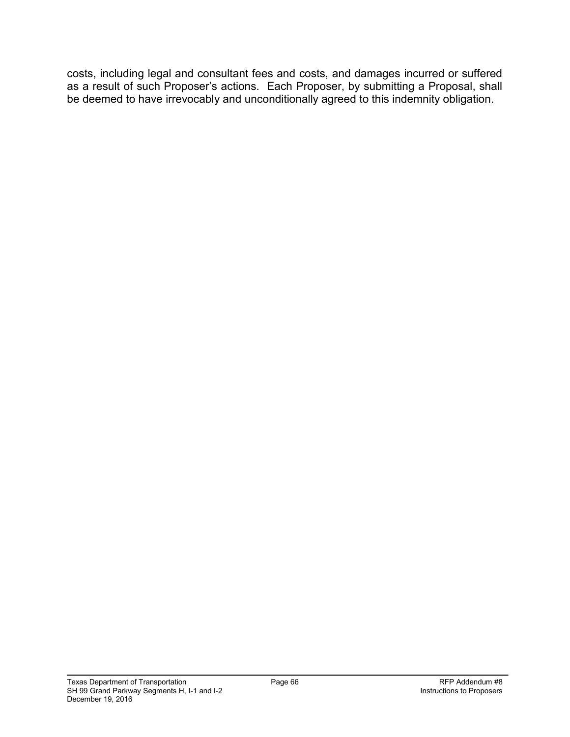costs, including legal and consultant fees and costs, and damages incurred or suffered as a result of such Proposer's actions. Each Proposer, by submitting a Proposal, shall be deemed to have irrevocably and unconditionally agreed to this indemnity obligation.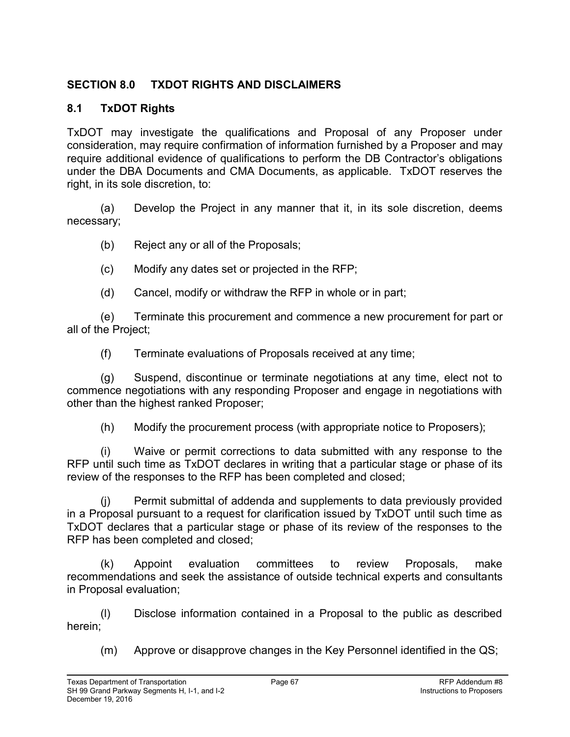## **SECTION 8.0 TXDOT RIGHTS AND DISCLAIMERS**

### **8.1 TxDOT Rights**

TxDOT may investigate the qualifications and Proposal of any Proposer under consideration, may require confirmation of information furnished by a Proposer and may require additional evidence of qualifications to perform the DB Contractor's obligations under the DBA Documents and CMA Documents, as applicable. TxDOT reserves the right, in its sole discretion, to:

(a) Develop the Project in any manner that it, in its sole discretion, deems necessary;

(b) Reject any or all of the Proposals;

- (c) Modify any dates set or projected in the RFP;
- (d) Cancel, modify or withdraw the RFP in whole or in part;

(e) Terminate this procurement and commence a new procurement for part or all of the Project;

(f) Terminate evaluations of Proposals received at any time;

(g) Suspend, discontinue or terminate negotiations at any time, elect not to commence negotiations with any responding Proposer and engage in negotiations with other than the highest ranked Proposer;

(h) Modify the procurement process (with appropriate notice to Proposers);

(i) Waive or permit corrections to data submitted with any response to the RFP until such time as TxDOT declares in writing that a particular stage or phase of its review of the responses to the RFP has been completed and closed;

(j) Permit submittal of addenda and supplements to data previously provided in a Proposal pursuant to a request for clarification issued by TxDOT until such time as TxDOT declares that a particular stage or phase of its review of the responses to the RFP has been completed and closed;

(k) Appoint evaluation committees to review Proposals, make recommendations and seek the assistance of outside technical experts and consultants in Proposal evaluation;

(l) Disclose information contained in a Proposal to the public as described herein;

(m) Approve or disapprove changes in the Key Personnel identified in the QS;